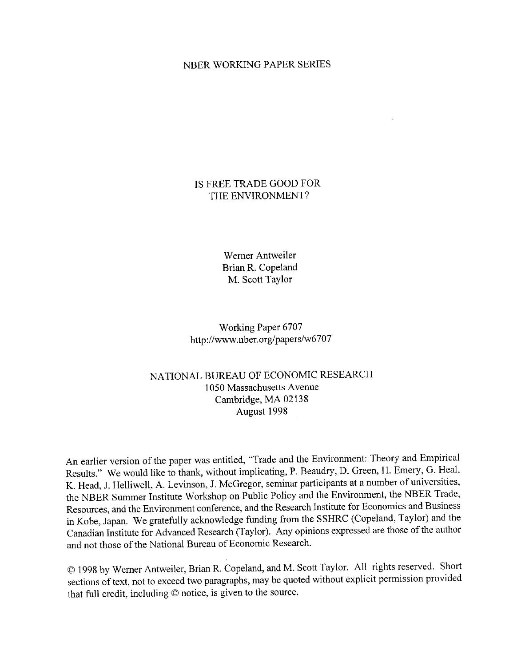#### NBER WORKING PAPER SERIES

#### IS FREE TRADE GOOD FOR THE ENVIRONMENT?

Werner Antweiler Brian R. Copeland M. Scott Taylor

Working Paper 6707 http://www.nber.org/papers/w6707

### NATIONAL BUREAU OF ECONOMIC RESEARCH 1050 Massachusetts Avenue Cambridge, MA 02138 August 1998

An earlier version of the paper was entitled, "Trade and the Environment: Theory and Empirical Results." We would like to thank, without implicating, P. Beaudry, D. Green, H. Emery, G. Heal, K. Head, J. Helliwell, A. Levinson, J. McGregor, seminar participants at a number of universities, the NBER Summer Institute Workshop on Public Policy and the Environment, the NBER Trade, Resources, and the Environment conference, and the Research Institute for Economics and Business in Kobe, Japan. We gratefully acknowledge funding from the SSHRC (Copeland, Taylor) and the Canadian Institute for Advanced Research (Taylor). Any opinions expressed are those of the author and not those of the National Bureau of Economic Research.

© 1998 by Werner Antweiler, Brian R. Copeland, and M. Scott Taylor. All rights reserved. Short sections of text, not to exceed two paragraphs, may be quoted without explicit permission provided that full credit, including © notice, is given to the source.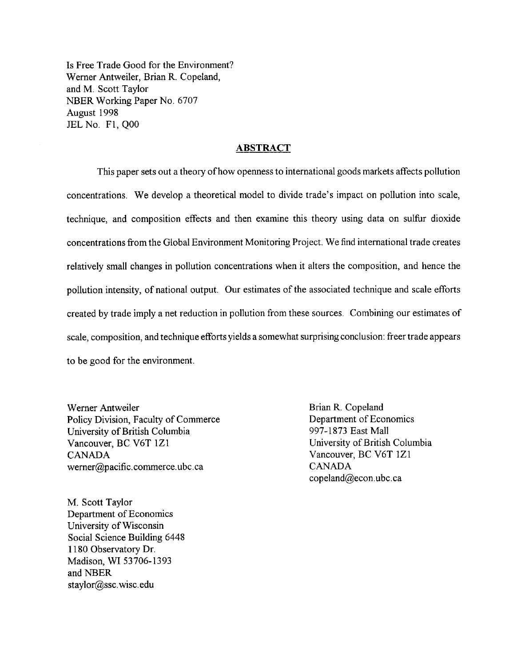Is Free Trade Good for the Environment? Werner Antweiler, Brian R. Copeland, and M. Scott Taylor NBER Working Paper No. 6707 August 1998 JEL No. F1, Q00

#### **ABSTRACT**

This paper sets out a theory of how openness to international goods markets affects pollution concentrations. We develop a theoretical model to divide trade's impact on pollution into scale, technique, and composition effects and then examine this theory using data on sulfur dioxide concentrations from the Global Environment Monitoring Project. We find international trade creates relatively small changes in pollution concentrations when it alters the composition, and hence the pollution intensity, of national output. Our estimates of the associated technique and scale efforts created by trade imply a net reduction in pollution from these sources. Combining our estimates of scale, composition, and technique efforts yields a somewhat surprising conclusion: freer trade appears to be good for the environment.

Werner Antweiler Policy Division, Faculty of Commerce University of British Columbia Vancouver, BC V6T 1Z1 **CANADA** werner@pacific.commerce.ubc.ca

M. Scott Taylor Department of Economics University of Wisconsin Social Science Building 6448 1180 Observatory Dr. Madison, WI 53706-1393 and NBER staylor@ssc.wisc.edu

Brian R. Copeland Department of Economics 997-1873 East Mall University of British Columbia Vancouver, BC V6T 1Z1 **CANADA** copeland@econ.ubc.ca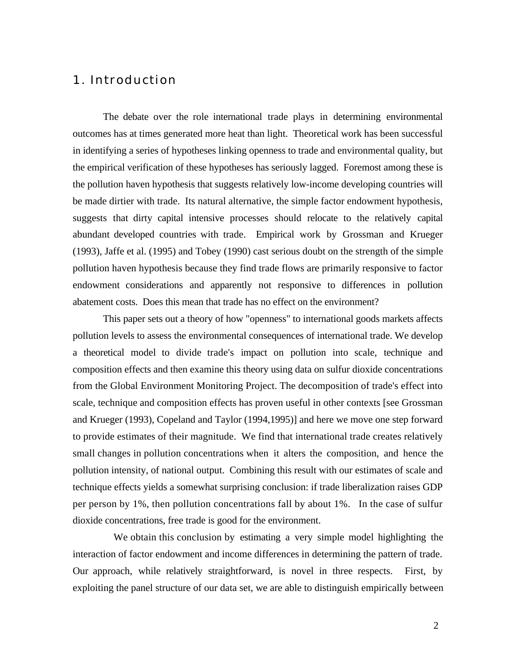# 1. Introduction

The debate over the role international trade plays in determining environmental outcomes has at times generated more heat than light. Theoretical work has been successful in identifying a series of hypotheses linking openness to trade and environmental quality, but the empirical verification of these hypotheses has seriously lagged. Foremost among these is the pollution haven hypothesis that suggests relatively low-income developing countries will be made dirtier with trade. Its natural alternative, the simple factor endowment hypothesis, suggests that dirty capital intensive processes should relocate to the relatively capital abundant developed countries with trade. Empirical work by Grossman and Krueger (1993), Jaffe et al. (1995) and Tobey (1990) cast serious doubt on the strength of the simple pollution haven hypothesis because they find trade flows are primarily responsive to factor endowment considerations and apparently not responsive to differences in pollution abatement costs. Does this mean that trade has no effect on the environment?

This paper sets out a theory of how "openness" to international goods markets affects pollution levels to assess the environmental consequences of international trade. We develop a theoretical model to divide trade's impact on pollution into scale, technique and composition effects and then examine this theory using data on sulfur dioxide concentrations from the Global Environment Monitoring Project. The decomposition of trade's effect into scale, technique and composition effects has proven useful in other contexts [see Grossman and Krueger (1993), Copeland and Taylor (1994,1995)] and here we move one step forward to provide estimates of their magnitude. We find that international trade creates relatively small changes in pollution concentrations when it alters the composition, and hence the pollution intensity, of national output. Combining this result with our estimates of scale and technique effects yields a somewhat surprising conclusion: if trade liberalization raises GDP per person by 1%, then pollution concentrations fall by about 1%. In the case of sulfur dioxide concentrations, free trade is good for the environment.

We obtain this conclusion by estimating a very simple model highlighting the interaction of factor endowment and income differences in determining the pattern of trade. Our approach, while relatively straightforward, is novel in three respects. First, by exploiting the panel structure of our data set, we are able to distinguish empirically between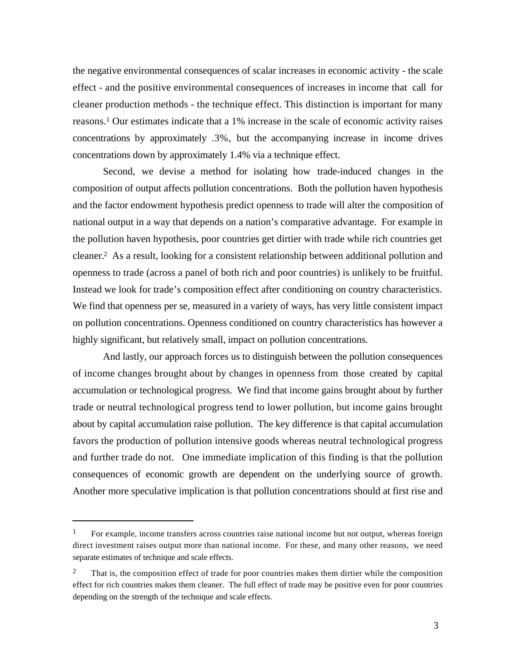the negative environmental consequences of scalar increases in economic activity - the scale effect - and the positive environmental consequences of increases in income that call for cleaner production methods - the technique effect. This distinction is important for many reasons.1 Our estimates indicate that a 1% increase in the scale of economic activity raises concentrations by approximately .3%, but the accompanying increase in income drives concentrations down by approximately 1.4% via a technique effect.

Second, we devise a method for isolating how trade-induced changes in the composition of output affects pollution concentrations. Both the pollution haven hypothesis and the factor endowment hypothesis predict openness to trade will alter the composition of national output in a way that depends on a nation's comparative advantage. For example in the pollution haven hypothesis, poor countries get dirtier with trade while rich countries get cleaner.2 As a result, looking for a consistent relationship between additional pollution and openness to trade (across a panel of both rich and poor countries) is unlikely to be fruitful. Instead we look for trade's composition effect after conditioning on country characteristics. We find that openness per se, measured in a variety of ways, has very little consistent impact on pollution concentrations. Openness conditioned on country characteristics has however a highly significant, but relatively small, impact on pollution concentrations.

And lastly, our approach forces us to distinguish between the pollution consequences of income changes brought about by changes in openness from those created by capital accumulation or technological progress. We find that income gains brought about by further trade or neutral technological progress tend to lower pollution, but income gains brought about by capital accumulation raise pollution. The key difference is that capital accumulation favors the production of pollution intensive goods whereas neutral technological progress and further trade do not. One immediate implication of this finding is that the pollution consequences of economic growth are dependent on the underlying source of growth. Another more speculative implication is that pollution concentrations should at first rise and

<sup>1</sup> For example, income transfers across countries raise national income but not output, whereas foreign direct investment raises output more than national income. For these, and many other reasons, we need separate estimates of technique and scale effects.

<sup>2</sup> That is, the composition effect of trade for poor countries makes them dirtier while the composition effect for rich countries makes them cleaner. The full effect of trade may be positive even for poor countries depending on the strength of the technique and scale effects.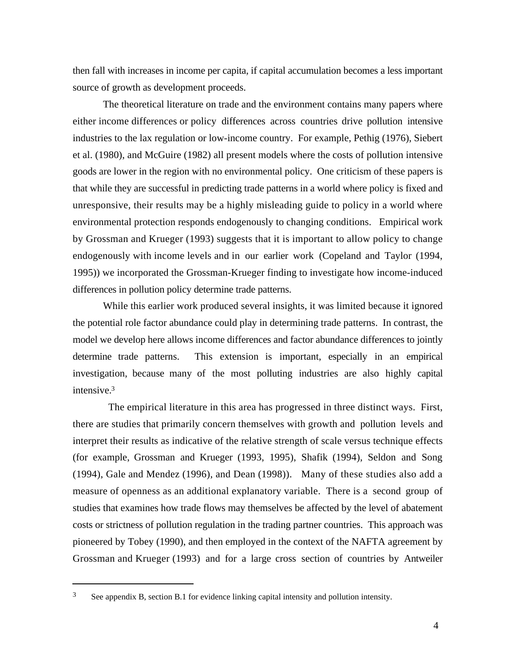then fall with increases in income per capita, if capital accumulation becomes a less important source of growth as development proceeds.

The theoretical literature on trade and the environment contains many papers where either income differences or policy differences across countries drive pollution intensive industries to the lax regulation or low-income country. For example, Pethig (1976), Siebert et al. (1980), and McGuire (1982) all present models where the costs of pollution intensive goods are lower in the region with no environmental policy. One criticism of these papers is that while they are successful in predicting trade patterns in a world where policy is fixed and unresponsive, their results may be a highly misleading guide to policy in a world where environmental protection responds endogenously to changing conditions. Empirical work by Grossman and Krueger (1993) suggests that it is important to allow policy to change endogenously with income levels and in our earlier work (Copeland and Taylor (1994, 1995)) we incorporated the Grossman-Krueger finding to investigate how income-induced differences in pollution policy determine trade patterns.

While this earlier work produced several insights, it was limited because it ignored the potential role factor abundance could play in determining trade patterns. In contrast, the model we develop here allows income differences and factor abundance differences to jointly determine trade patterns. This extension is important, especially in an empirical investigation, because many of the most polluting industries are also highly capital intensive.<sup>3</sup>

 The empirical literature in this area has progressed in three distinct ways. First, there are studies that primarily concern themselves with growth and pollution levels and interpret their results as indicative of the relative strength of scale versus technique effects (for example, Grossman and Krueger (1993, 1995), Shafik (1994), Seldon and Song (1994), Gale and Mendez (1996), and Dean (1998)). Many of these studies also add a measure of openness as an additional explanatory variable. There is a second group of studies that examines how trade flows may themselves be affected by the level of abatement costs or strictness of pollution regulation in the trading partner countries. This approach was pioneered by Tobey (1990), and then employed in the context of the NAFTA agreement by Grossman and Krueger (1993) and for a large cross section of countries by Antweiler

<sup>3</sup> See appendix B, section B.1 for evidence linking capital intensity and pollution intensity.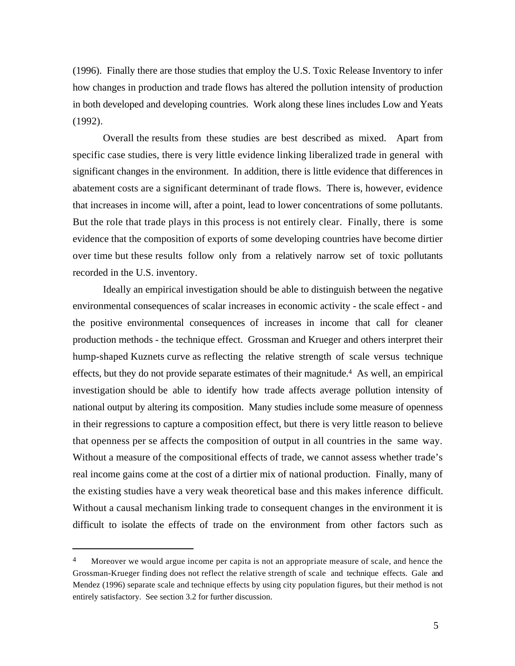(1996). Finally there are those studies that employ the U.S. Toxic Release Inventory to infer how changes in production and trade flows has altered the pollution intensity of production in both developed and developing countries. Work along these lines includes Low and Yeats (1992).

Overall the results from these studies are best described as mixed. Apart from specific case studies, there is very little evidence linking liberalized trade in general with significant changes in the environment. In addition, there is little evidence that differences in abatement costs are a significant determinant of trade flows. There is, however, evidence that increases in income will, after a point, lead to lower concentrations of some pollutants. But the role that trade plays in this process is not entirely clear. Finally, there is some evidence that the composition of exports of some developing countries have become dirtier over time but these results follow only from a relatively narrow set of toxic pollutants recorded in the U.S. inventory.

Ideally an empirical investigation should be able to distinguish between the negative environmental consequences of scalar increases in economic activity - the scale effect - and the positive environmental consequences of increases in income that call for cleaner production methods - the technique effect. Grossman and Krueger and others interpret their hump-shaped Kuznets curve as reflecting the relative strength of scale versus technique effects, but they do not provide separate estimates of their magnitude.4 As well, an empirical investigation should be able to identify how trade affects average pollution intensity of national output by altering its composition. Many studies include some measure of openness in their regressions to capture a composition effect, but there is very little reason to believe that openness per se affects the composition of output in all countries in the same way. Without a measure of the compositional effects of trade, we cannot assess whether trade's real income gains come at the cost of a dirtier mix of national production. Finally, many of the existing studies have a very weak theoretical base and this makes inference difficult. Without a causal mechanism linking trade to consequent changes in the environment it is difficult to isolate the effects of trade on the environment from other factors such as

Moreover we would argue income per capita is not an appropriate measure of scale, and hence the Grossman-Krueger finding does not reflect the relative strength of scale and technique effects. Gale and Mendez (1996) separate scale and technique effects by using city population figures, but their method is not entirely satisfactory. See section 3.2 for further discussion.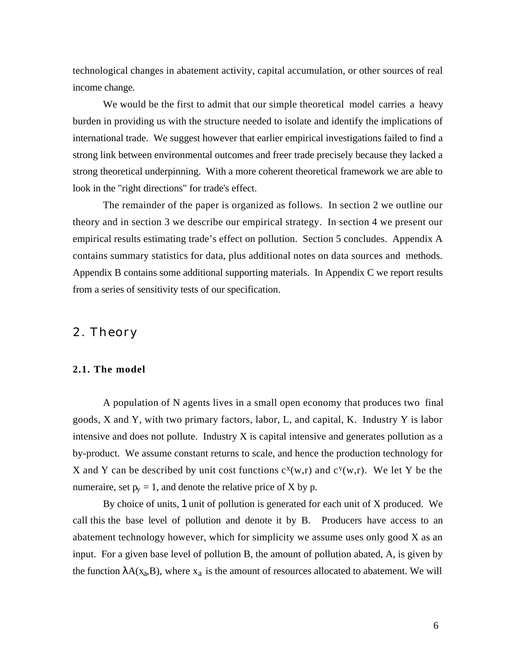technological changes in abatement activity, capital accumulation, or other sources of real income change.

We would be the first to admit that our simple theoretical model carries a heavy burden in providing us with the structure needed to isolate and identify the implications of international trade. We suggest however that earlier empirical investigations failed to find a strong link between environmental outcomes and freer trade precisely because they lacked a strong theoretical underpinning. With a more coherent theoretical framework we are able to look in the "right directions" for trade's effect.

The remainder of the paper is organized as follows. In section 2 we outline our theory and in section 3 we describe our empirical strategy. In section 4 we present our empirical results estimating trade's effect on pollution. Section 5 concludes. Appendix A contains summary statistics for data, plus additional notes on data sources and methods. Appendix B contains some additional supporting materials. In Appendix C we report results from a series of sensitivity tests of our specification.

# 2. Theory

#### **2.1. The model**

A population of N agents lives in a small open economy that produces two final goods, X and Y, with two primary factors, labor, L, and capital, K. Industry Y is labor intensive and does not pollute. Industry X is capital intensive and generates pollution as a by-product. We assume constant returns to scale, and hence the production technology for X and Y can be described by unit cost functions  $c^x(w,r)$  and  $c^y(w,r)$ . We let Y be the numeraire, set  $p_y = 1$ , and denote the relative price of X by p.

By choice of units, 1 unit of pollution is generated for each unit of X produced. We call this the base level of pollution and denote it by B. Producers have access to an abatement technology however, which for simplicity we assume uses only good X as an input. For a given base level of pollution B, the amount of pollution abated, A, is given by the function  $A(x_a, B)$ , where  $x_a$  is the amount of resources allocated to abatement. We will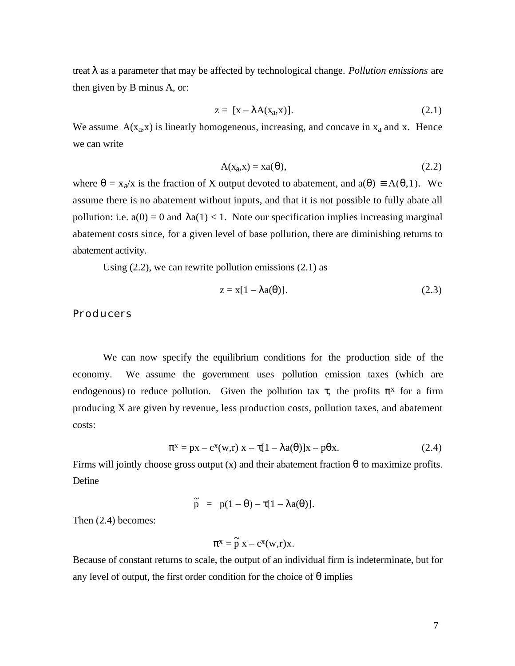treat as a parameter that may be affected by technological change. *Pollution emissions* are then given by B minus A, or:

$$
z = [x - A(x_a, x)].
$$
 (2.1)

We assume  $A(x_a, x)$  is linearly homogeneous, increasing, and concave in  $x_a$  and x. Hence we can write

$$
A(x_a, x) = xa( ), \qquad (2.2)
$$

where =  $x_a/x$  is the fraction of X output devoted to abatement, and a( ) A( ,1). We assume there is no abatement without inputs, and that it is not possible to fully abate all pollution: i.e.  $a(0) = 0$  and  $a(1) < 1$ . Note our specification implies increasing marginal abatement costs since, for a given level of base pollution, there are diminishing returns to abatement activity.

Using  $(2.2)$ , we can rewrite pollution emissions  $(2.1)$  as

$$
z = x[1 - a( )]. \tag{2.3}
$$

#### **Producers**

We can now specify the equilibrium conditions for the production side of the economy. We assume the government uses pollution emission taxes (which are endogenous) to reduce pollution. Given the pollution tax, the profits  $\bar{x}$  for a firm producing X are given by revenue, less production costs, pollution taxes, and abatement costs:

$$
x = px - c^{x}(w,r)
$$
  $x - [1 - a( )]x - p x.$  (2.4)

Firms will jointly choose gross output (x) and their abatement fraction to maximize profits. Define

$$
\tilde{p} = p(1 - ) - [1 - a( )].
$$

Then (2.4) becomes:

$$
x = \widetilde{p} x - c^x(w,r)x.
$$

Because of constant returns to scale, the output of an individual firm is indeterminate, but for any level of output, the first order condition for the choice of implies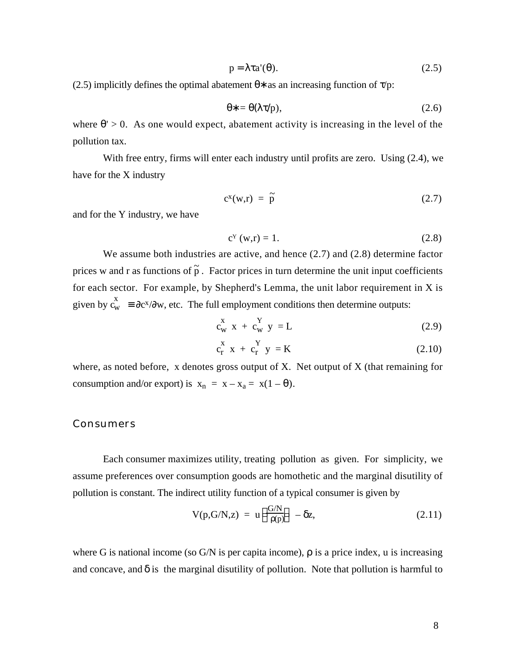$$
p = a'(\ )\tag{2.5}
$$

(2.5) implicitly defines the optimal abatement as an increasing function of  $/p$ :

$$
= \left( \begin{array}{c} \sqrt{p} \end{array} \right), \tag{2.6}
$$

where  $\geq 0$ . As one would expect, abatement activity is increasing in the level of the pollution tax.

With free entry, firms will enter each industry until profits are zero. Using (2.4), we have for the X industry

$$
c^{x}(w,r) = \tilde{p} \qquad (2.7)
$$

and for the Y industry, we have

$$
c^{Y}(w,r) = 1.
$$
 (2.8)

We assume both industries are active, and hence (2.7) and (2.8) determine factor prices w and r as functions of  $\tilde{p}$ . Factor prices in turn determine the unit input coefficients for each sector. For example, by Shepherd's Lemma, the unit labor requirement in X is given by  $c_w^x$  c  $c^{x}/$  w, etc. The full employment conditions then determine outputs:

$$
c_w^x x + c_w^Y y = L \tag{2.9}
$$

$$
c_r^X x + c_r^Y y = K \qquad (2.10)
$$

where, as noted before,  $x$  denotes gross output of  $X$ . Net output of  $X$  (that remaining for consumption and/or export) is  $x_n = x - x_a = x(1 - )$ .

#### **Consumers**

Each consumer maximizes utility, treating pollution as given. For simplicity, we assume preferences over consumption goods are homothetic and the marginal disutility of pollution is constant. The indirect utility function of a typical consumer is given by

$$
V(p, G/N, z) = u \frac{G/N}{(p)} - z,
$$
 (2.11)

where G is national income (so  $G/N$  is per capita income), is a price index, u is increasing and concave, and is the marginal disutility of pollution. Note that pollution is harmful to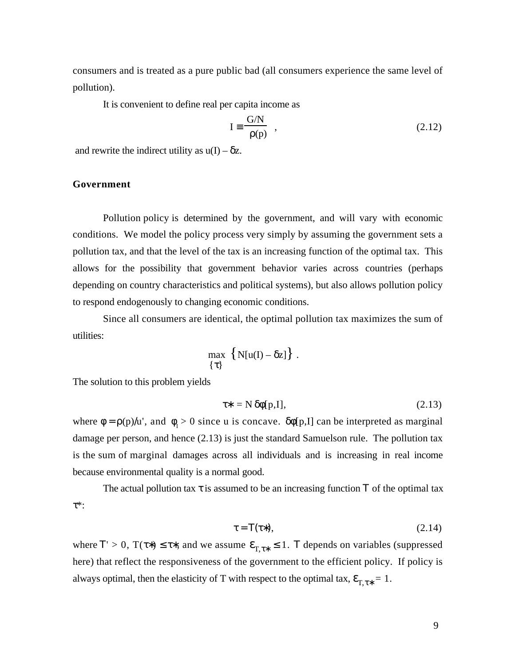consumers and is treated as a pure public bad (all consumers experience the same level of pollution).

It is convenient to define real per capita income as

$$
I \quad \frac{G/N}{(p)} \quad , \tag{2.12}
$$

and rewrite the indirect utility as  $u(I) - z$ .

#### **Government**

 Pollution policy is determined by the government, and will vary with economic conditions. We model the policy process very simply by assuming the government sets a pollution tax, and that the level of the tax is an increasing function of the optimal tax. This allows for the possibility that government behavior varies across countries (perhaps depending on country characteristics and political systems), but also allows pollution policy to respond endogenously to changing economic conditions.

Since all consumers are identical, the optimal pollution tax maximizes the sum of utilities:

$$
\max\limits_{\{\quad\}}\left\{N[u(I)-z]\right\}.
$$

The solution to this problem yields

$$
= N \quad [p,I], \tag{2.13}
$$

where =  $(p)$  /u', and  $\frac{1}{1} > 0$  since u is concave. [p,I] can be interpreted as marginal damage per person, and hence (2.13) is just the standard Samuelson rule. The pollution tax is the sum of marginal damages across all individuals and is increasing in real income because environmental quality is a normal good.

The actual pollution tax is assumed to be an increasing function of the optimal tax  $\ast$ :

$$
= ( )
$$
 (2.14)

where  $\vert > 0$ , T( $\vert$ ), and we assume  $\vert_{T, \vert}$  1. depends on variables (suppressed here) that reflect the responsiveness of the government to the efficient policy. If policy is always optimal, then the elasticity of T with respect to the optimal tax,  $T<sub>1</sub>$  = 1.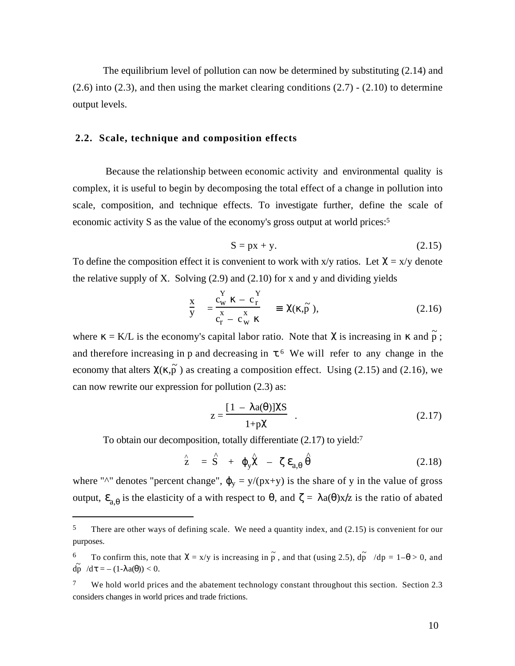The equilibrium level of pollution can now be determined by substituting (2.14) and  $(2.6)$  into  $(2.3)$ , and then using the market clearing conditions  $(2.7)$  -  $(2.10)$  to determine output levels.

#### **2.2. Scale, technique and composition effects**

 Because the relationship between economic activity and environmental quality is complex, it is useful to begin by decomposing the total effect of a change in pollution into scale, composition, and technique effects. To investigate further, define the scale of economic activity S as the value of the economy's gross output at world prices:<sup>5</sup>

$$
S = px + y. \tag{2.15}
$$

To define the composition effect it is convenient to work with  $x/y$  ratios. Let  $= x/y$  denote the relative supply of X. Solving  $(2.9)$  and  $(2.10)$  for x and y and dividing yields

$$
\frac{x}{y} = \frac{c_w^Y - c_r^Y}{c_r - c_w^X} \qquad (\bar{p}), \qquad (2.16)
$$

where = K/L is the economy's capital labor ratio. Note that is increasing in and  $\tilde{p}$ ; and therefore increasing in p and decreasing in . <sup>6</sup> We will refer to any change in the economy that alters  $(\overrightarrow{p})$  as creating a composition effect. Using (2.15) and (2.16), we can now rewrite our expression for pollution (2.3) as:

$$
z = \frac{[1 - a( )]}{1 + p} . \tag{2.17}
$$

To obtain our decomposition, totally differentiate (2.17) to yield:<sup>7</sup>

l

$$
\hat{z} = \hat{S} + \gamma - a,
$$
 (2.18)

where "^" denotes "percent change",  $y = y/(px+y)$  is the share of y in the value of gross output, a is the elasticity of a with respect to , and  $=$  a( $\forall x \neq a$  is the ratio of abated

<sup>&</sup>lt;sup>5</sup> There are other ways of defining scale. We need a quantity index, and (2.15) is convenient for our purposes.

<sup>&</sup>lt;sup>6</sup> To confirm this, note that = x/y is increasing in  $\tilde{p}$ , and that (using 2.5),  $d\tilde{p}$  /dp = 1– > 0, and  $d\tilde{p}$  /d = - (1- a( )) < 0.

<sup>&</sup>lt;sup>7</sup> We hold world prices and the abatement technology constant throughout this section. Section 2.3 considers changes in world prices and trade frictions.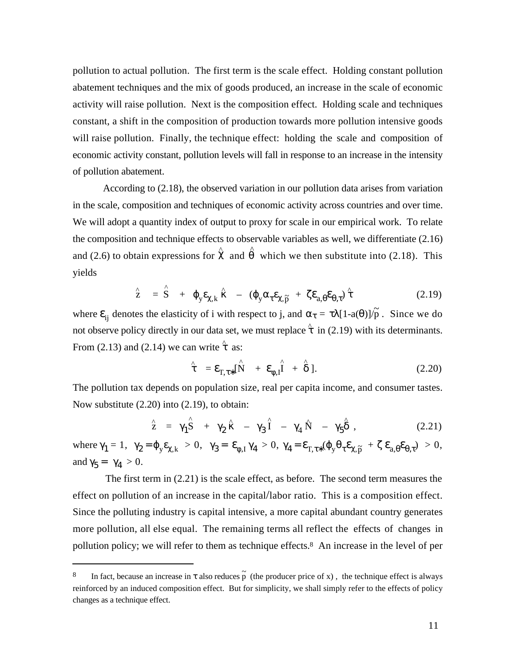pollution to actual pollution. The first term is the scale effect. Holding constant pollution abatement techniques and the mix of goods produced, an increase in the scale of economic activity will raise pollution. Next is the composition effect. Holding scale and techniques constant, a shift in the composition of production towards more pollution intensive goods will raise pollution. Finally, the technique effect: holding the scale and composition of economic activity constant, pollution levels will fall in response to an increase in the intensity of pollution abatement.

According to (2.18), the observed variation in our pollution data arises from variation in the scale, composition and techniques of economic activity across countries and over time. We will adopt a quantity index of output to proxy for scale in our empirical work. To relate the composition and technique effects to observable variables as well, we differentiate (2.16) and (2.6) to obtain expressions for  $\hat{ }$  and  $\hat{ }$  which we then substitute into (2.18). This yields

$$
\hat{z} = \hat{S} + y, k^{\wedge} - (y, \tilde{p} + a, \cdot)^{\wedge}
$$
 (2.19)

where  $\psi_{ij}$  denotes the elasticity of i with respect to j, and  $\psi = [1-a( )]\sqrt{p}$ . Since we do not observe policy directly in our data set, we must replace  $\hat{ }$  in (2.19) with its determinants. From  $(2.13)$  and  $(2.14)$  we can write  $\hat{ }$  as:

$$
= \tau, \quad [\stackrel{\wedge}{N} + \quad \stackrel{\wedge}{I^1} + \stackrel{\wedge}{I}]. \tag{2.20}
$$

The pollution tax depends on population size, real per capita income, and consumer tastes. Now substitute (2.20) into (2.19), to obtain:

^

l

$$
\hat{z} = \hat{1} \hat{S} + \hat{2} - \hat{3} \hat{1} - \hat{4} \hat{N} - \hat{5} , \qquad (2.21)
$$

where  $1 = 1$ ,  $2 = y, k > 0$ ,  $3 = 1, 4 > 0$ ,  $4 = 1, 4 = 0$ ,  $5 = 1, 5 = 0$ , and  $5 = 4 > 0$ .

 The first term in (2.21) is the scale effect, as before. The second term measures the effect on pollution of an increase in the capital/labor ratio. This is a composition effect. Since the polluting industry is capital intensive, a more capital abundant country generates more pollution, all else equal. The remaining terms all reflect the effects of changes in pollution policy; we will refer to them as technique effects.<sup>8</sup> An increase in the level of per

<sup>&</sup>lt;sup>8</sup> In fact, because an increase in also reduces  $\tilde{p}$  (the producer price of x), the technique effect is always reinforced by an induced composition effect. But for simplicity, we shall simply refer to the effects of policy changes as a technique effect.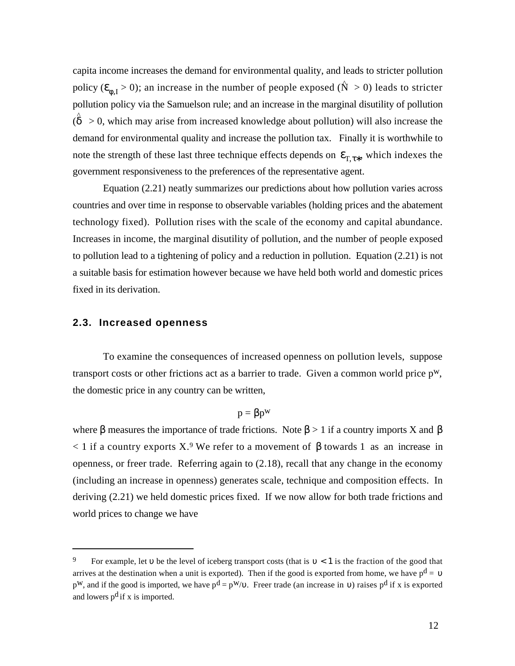capita income increases the demand for environmental quality, and leads to stricter pollution policy ( $I_{\text{I}} > 0$ ); an increase in the number of people exposed ( $\hat{N} > 0$ ) leads to stricter pollution policy via the Samuelson rule; and an increase in the marginal disutility of pollution  $\hat{p}$  > 0, which may arise from increased knowledge about pollution) will also increase the demand for environmental quality and increase the pollution tax. Finally it is worthwhile to note the strength of these last three technique effects depends on  $T<sub>1</sub>$ , which indexes the government responsiveness to the preferences of the representative agent.

Equation (2.21) neatly summarizes our predictions about how pollution varies across countries and over time in response to observable variables (holding prices and the abatement technology fixed). Pollution rises with the scale of the economy and capital abundance. Increases in income, the marginal disutility of pollution, and the number of people exposed to pollution lead to a tightening of policy and a reduction in pollution. Equation (2.21) is not a suitable basis for estimation however because we have held both world and domestic prices fixed in its derivation.

#### **2.3. Increased openness**

l

To examine the consequences of increased openness on pollution levels, suppose transport costs or other frictions act as a barrier to trade. Given a common world price pw, the domestic price in any country can be written,

 $p = p^w$ 

where measures the importance of trade frictions. Note  $> 1$  if a country imports X and  $< 1$  if a country exports X.<sup>9</sup> We refer to a movement of towards 1 as an increase in openness, or freer trade. Referring again to (2.18), recall that any change in the economy (including an increase in openness) generates scale, technique and composition effects. In deriving (2.21) we held domestic prices fixed. If we now allow for both trade frictions and world prices to change we have

<sup>&</sup>lt;sup>9</sup> For example, let be the level of iceberg transport costs (that is  $\leq$  1 is the fraction of the good that arrives at the destination when a unit is exported). Then if the good is exported from home, we have  $p<sup>d</sup> =$  $p^W$ , and if the good is imported, we have  $p^d = p^W/$ . Freer trade (an increase in) raises  $p^d$  if x is exported and lowers  $p^d$  if x is imported.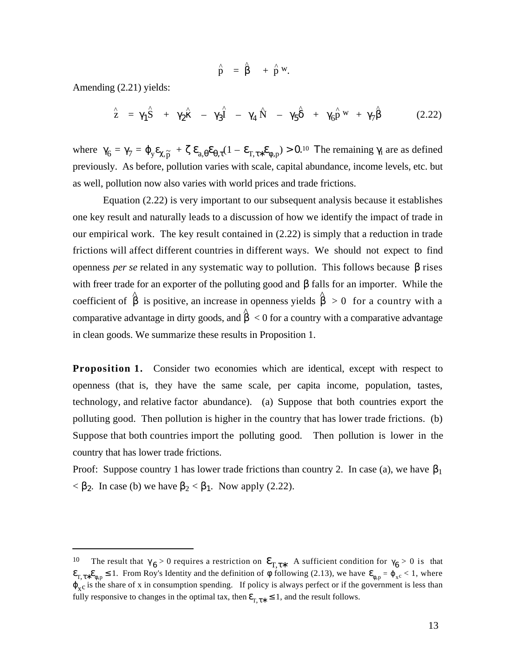$$
\stackrel{\wedge}{p} = \stackrel{\wedge}{\phantom{p}} + \stackrel{\wedge}{p} w.
$$

Amending (2.21) yields:

l

$$
\hat{z} = \hat{1} \hat{S} + \hat{2} - \hat{3} \hat{I} - 4 \hat{N} - \hat{5} + 6 \hat{p}^{w} + \hat{7}
$$
 (2.22)

where  $6 = 7 = y$ ,  $\tilde{p}$  + a,  $(1 - \tau, p) > 0$ . he remaining i are as defined previously. As before, pollution varies with scale, capital abundance, income levels, etc. but as well, pollution now also varies with world prices and trade frictions.

Equation (2.22) is very important to our subsequent analysis because it establishes one key result and naturally leads to a discussion of how we identify the impact of trade in our empirical work. The key result contained in (2.22) is simply that a reduction in trade frictions will affect different countries in different ways. We should not expect to find openness *per se* related in any systematic way to pollution. This follows because rises with freer trade for an exporter of the polluting good and falls for an importer. While the coefficient of  $\hat{\ }$  is positive, an increase in openness yields  $\hat{\ }$  > 0 for a country with a comparative advantage in dirty goods, and  $\hat{ }$  < 0 for a country with a comparative advantage in clean goods. We summarize these results in Proposition 1.

Proposition 1. Consider two economies which are identical, except with respect to openness (that is, they have the same scale, per capita income, population, tastes, technology, and relative factor abundance). (a) Suppose that both countries export the polluting good. Then pollution is higher in the country that has lower trade frictions. (b) Suppose that both countries import the polluting good. Then pollution is lower in the country that has lower trade frictions.

Proof: Suppose country 1 has lower trade frictions than country 2. In case (a), we have  $1$  $\langle$  2. In case (b) we have  $2 \langle 1$ . Now apply (2.22).

<sup>10</sup> The result that  $6 > 0$  requires a restriction on  $T<sub>1</sub>$ . A sufficient condition for  $6 > 0$  is that  $_{T, \text{u}, \text{p}}$  1. From Roy's Identity and the definition of following (2.13), we have  $_{P} = \frac{1}{x^c} < 1$ , where  $x_c$  is the share of x in consumption spending. If policy is always perfect or if the government is less than fully responsive to changes in the optimal tax, then  $\tau$ 1, and the result follows.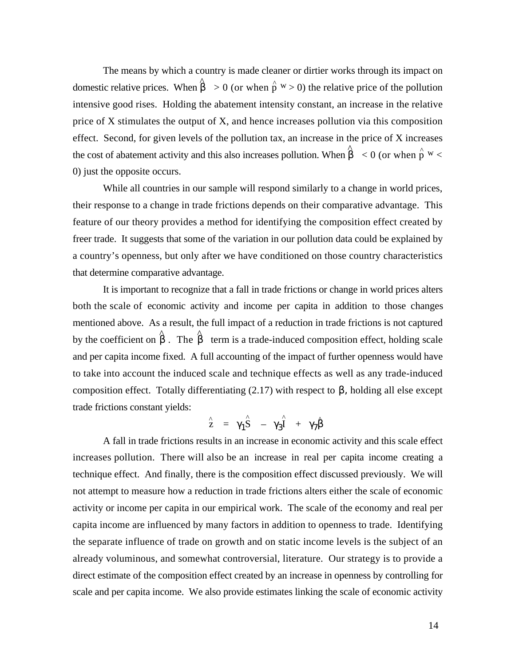The means by which a country is made cleaner or dirtier works through its impact on domestic relative prices. When  $\hat{p}^{\text{w}} > 0$  (or when  $\hat{p}^{\text{w}} > 0$ ) the relative price of the pollution intensive good rises. Holding the abatement intensity constant, an increase in the relative price of X stimulates the output of X, and hence increases pollution via this composition effect. Second, for given levels of the pollution tax, an increase in the price of X increases the cost of abatement activity and this also increases pollution. When  $\hat{p}^{\text{c}}$  < 0 (or when  $\hat{p}^{\text{w}}$  < 0) just the opposite occurs.

While all countries in our sample will respond similarly to a change in world prices, their response to a change in trade frictions depends on their comparative advantage. This feature of our theory provides a method for identifying the composition effect created by freer trade. It suggests that some of the variation in our pollution data could be explained by a country's openness, but only after we have conditioned on those country characteristics that determine comparative advantage.

It is important to recognize that a fall in trade frictions or change in world prices alters both the scale of economic activity and income per capita in addition to those changes mentioned above. As a result, the full impact of a reduction in trade frictions is not captured by the coefficient on  $\hat{ }$ . The  $\hat{ }$  term is a trade-induced composition effect, holding scale and per capita income fixed. A full accounting of the impact of further openness would have to take into account the induced scale and technique effects as well as any trade-induced composition effect. Totally differentiating  $(2.17)$  with respect to  $\theta$ , holding all else except trade frictions constant yields:

$$
\hat{z} = \hat{1} \hat{S} - \hat{3} + \hat{7}
$$

A fall in trade frictions results in an increase in economic activity and this scale effect increases pollution. There will also be an increase in real per capita income creating a technique effect. And finally, there is the composition effect discussed previously. We will not attempt to measure how a reduction in trade frictions alters either the scale of economic activity or income per capita in our empirical work. The scale of the economy and real per capita income are influenced by many factors in addition to openness to trade. Identifying the separate influence of trade on growth and on static income levels is the subject of an already voluminous, and somewhat controversial, literature. Our strategy is to provide a direct estimate of the composition effect created by an increase in openness by controlling for scale and per capita income. We also provide estimates linking the scale of economic activity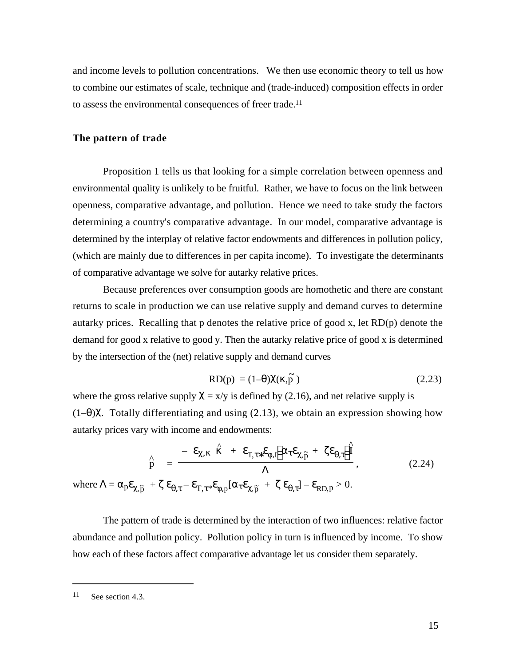and income levels to pollution concentrations. We then use economic theory to tell us how to combine our estimates of scale, technique and (trade-induced) composition effects in order to assess the environmental consequences of freer trade.<sup>11</sup>

#### **The pattern of trade**

Proposition 1 tells us that looking for a simple correlation between openness and environmental quality is unlikely to be fruitful. Rather, we have to focus on the link between openness, comparative advantage, and pollution. Hence we need to take study the factors determining a country's comparative advantage. In our model, comparative advantage is determined by the interplay of relative factor endowments and differences in pollution policy, (which are mainly due to differences in per capita income). To investigate the determinants of comparative advantage we solve for autarky relative prices.

Because preferences over consumption goods are homothetic and there are constant returns to scale in production we can use relative supply and demand curves to determine autarky prices. Recalling that p denotes the relative price of good x, let RD(p) denote the demand for good x relative to good y. Then the autarky relative price of good x is determined by the intersection of the (net) relative supply and demand curves

$$
RD(p) = (1 - \ ) \ (\tilde{p}) \tag{2.23}
$$

where the gross relative supply  $= x/y$  is defined by (2.16), and net relative supply is  $(1-)$ . Totally differentiating and using  $(2.13)$ , we obtain an expression showing how autarky prices vary with income and endowments:

where 
$$
=
$$
  $p$   ${}_{,\tilde{p}} + \cdots T, * \cdot {}_{,p}I \qquad {}_{,\tilde{p}} + \cdots$   $\frac{\hat{n}}{1}$ ,  
\nwhere  $=$   $p$   ${}_{,\tilde{p}} + \cdots T, * \cdot {}_{,p}I \qquad {}_{,\tilde{p}} + \cdots$   $1 RD,p > 0.$  (2.24)

The pattern of trade is determined by the interaction of two influences: relative factor abundance and pollution policy. Pollution policy in turn is influenced by income. To show how each of these factors affect comparative advantage let us consider them separately.

<sup>11</sup> See section 4.3.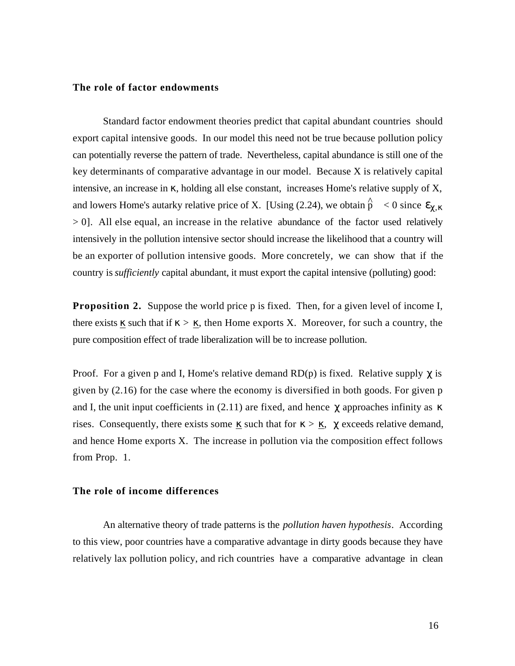#### **The role of factor endowments**

Standard factor endowment theories predict that capital abundant countries should export capital intensive goods. In our model this need not be true because pollution policy can potentially reverse the pattern of trade. Nevertheless, capital abundance is still one of the key determinants of comparative advantage in our model. Because X is relatively capital intensive, an increase in , holding all else constant, increases Home's relative supply of X, and lowers Home's autarky relative price of X. [Using (2.24), we obtain  $\hat{p} \le 0$  since , > 0]. All else equal, an increase in the relative abundance of the factor used relatively intensively in the pollution intensive sector should increase the likelihood that a country will be an exporter of pollution intensive goods. More concretely, we can show that if the country is *sufficiently* capital abundant, it must export the capital intensive (polluting) good:

**Proposition 2.** Suppose the world price p is fixed. Then, for a given level of income I, there exists such that if  $\geq$ , then Home exports X. Moreover, for such a country, the pure composition effect of trade liberalization will be to increase pollution.

Proof. For a given p and I, Home's relative demand  $RD(p)$  is fixed. Relative supply is given by (2.16) for the case where the economy is diversified in both goods. For given p and I, the unit input coefficients in  $(2.11)$  are fixed, and hence approaches infinity as rises. Consequently, there exists some  $\equiv$  such that for  $\geq$   $\equiv$ , exceeds relative demand, and hence Home exports X. The increase in pollution via the composition effect follows from Prop. 1.

#### **The role of income differences**

An alternative theory of trade patterns is the *pollution haven hypothesis*. According to this view, poor countries have a comparative advantage in dirty goods because they have relatively lax pollution policy, and rich countries have a comparative advantage in clean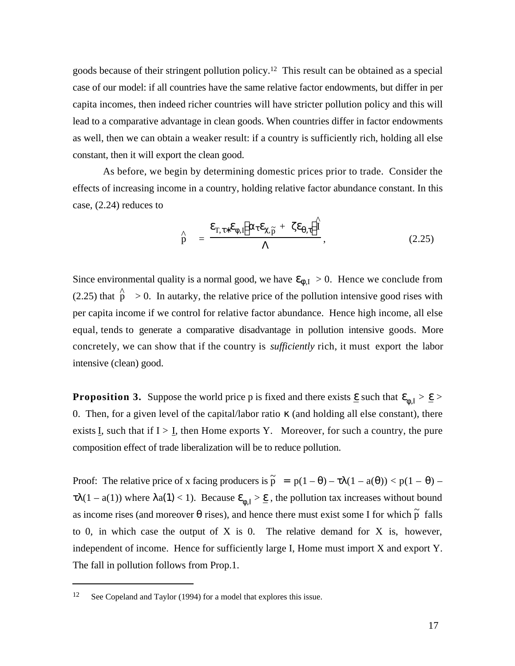goods because of their stringent pollution policy.12 This result can be obtained as a special case of our model: if all countries have the same relative factor endowments, but differ in per capita incomes, then indeed richer countries will have stricter pollution policy and this will lead to a comparative advantage in clean goods. When countries differ in factor endowments as well, then we can obtain a weaker result: if a country is sufficiently rich, holding all else constant, then it will export the clean good.

As before, we begin by determining domestic prices prior to trade. Consider the effects of increasing income in a country, holding relative factor abundance constant. In this case, (2.24) reduces to

$$
\hat{p} = \frac{T, \quad I, \quad \tilde{p}^+ \quad \tilde{I}}{1}, \tag{2.25}
$$

Since environmental quality is a normal good, we have  $I<sub>I</sub> > 0$ . Hence we conclude from (2.25) that  $\hat{p} > 0$ . In autarky, the relative price of the pollution intensive good rises with per capita income if we control for relative factor abundance. Hence high income, all else equal, tends to generate a comparative disadvantage in pollution intensive goods. More concretely, we can show that if the country is *sufficiently* rich, it must export the labor intensive (clean) good.

**Proposition 3.** Suppose the world price p is fixed and there exists  $\_\text{such that} \_\_\text{A} > \_\text{B}$ 0. Then, for a given level of the capital/labor ratio κ (and holding all else constant), there exists I, such that if  $I > I$ , then Home exports Y. Moreover, for such a country, the pure composition effect of trade liberalization will be to reduce pollution.

Proof: The relative price of x facing producers is  $\tilde{p} = p(1 - ) - (1 - a()) < p(1 - ) (1 - a(1))$  where  $a(1) < 1$ ). Because  $\frac{1}{1} > 1$ , the pollution tax increases without bound as income rises (and moreover rises), and hence there must exist some I for which  $\tilde{p}$  falls to 0, in which case the output of  $X$  is 0. The relative demand for  $X$  is, however, independent of income. Hence for sufficiently large I, Home must import X and export Y. The fall in pollution follows from Prop.1.

<sup>12</sup> See Copeland and Taylor (1994) for a model that explores this issue.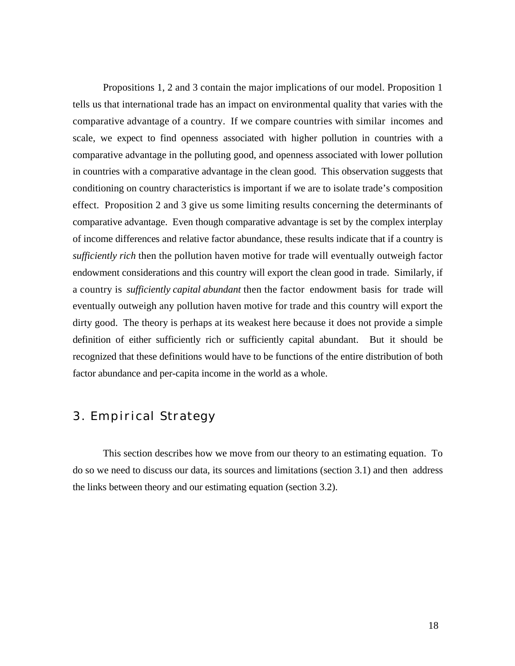Propositions 1, 2 and 3 contain the major implications of our model. Proposition 1 tells us that international trade has an impact on environmental quality that varies with the comparative advantage of a country. If we compare countries with similar incomes and scale, we expect to find openness associated with higher pollution in countries with a comparative advantage in the polluting good, and openness associated with lower pollution in countries with a comparative advantage in the clean good. This observation suggests that conditioning on country characteristics is important if we are to isolate trade's composition effect. Proposition 2 and 3 give us some limiting results concerning the determinants of comparative advantage. Even though comparative advantage is set by the complex interplay of income differences and relative factor abundance, these results indicate that if a country is *sufficiently rich* then the pollution haven motive for trade will eventually outweigh factor endowment considerations and this country will export the clean good in trade. Similarly, if a country is *sufficiently capital abundant* then the factor endowment basis for trade will eventually outweigh any pollution haven motive for trade and this country will export the dirty good. The theory is perhaps at its weakest here because it does not provide a simple definition of either sufficiently rich or sufficiently capital abundant. But it should be recognized that these definitions would have to be functions of the entire distribution of both factor abundance and per-capita income in the world as a whole.

# 3. Empirical Strategy

This section describes how we move from our theory to an estimating equation. To do so we need to discuss our data, its sources and limitations (section 3.1) and then address the links between theory and our estimating equation (section 3.2).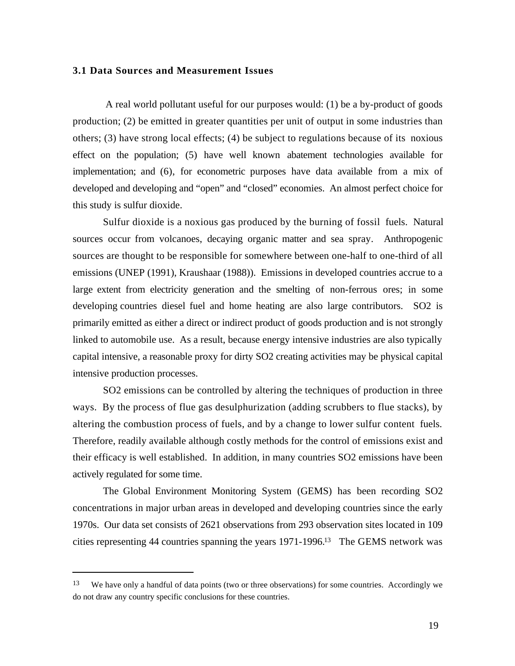#### **3.1 Data Sources and Measurement Issues**

 A real world pollutant useful for our purposes would: (1) be a by-product of goods production; (2) be emitted in greater quantities per unit of output in some industries than others; (3) have strong local effects; (4) be subject to regulations because of its noxious effect on the population; (5) have well known abatement technologies available for implementation; and (6), for econometric purposes have data available from a mix of developed and developing and "open" and "closed" economies. An almost perfect choice for this study is sulfur dioxide.

Sulfur dioxide is a noxious gas produced by the burning of fossil fuels. Natural sources occur from volcanoes, decaying organic matter and sea spray. Anthropogenic sources are thought to be responsible for somewhere between one-half to one-third of all emissions (UNEP (1991), Kraushaar (1988)). Emissions in developed countries accrue to a large extent from electricity generation and the smelting of non-ferrous ores; in some developing countries diesel fuel and home heating are also large contributors. SO2 is primarily emitted as either a direct or indirect product of goods production and is not strongly linked to automobile use. As a result, because energy intensive industries are also typically capital intensive, a reasonable proxy for dirty SO2 creating activities may be physical capital intensive production processes.

SO2 emissions can be controlled by altering the techniques of production in three ways. By the process of flue gas desulphurization (adding scrubbers to flue stacks), by altering the combustion process of fuels, and by a change to lower sulfur content fuels. Therefore, readily available although costly methods for the control of emissions exist and their efficacy is well established. In addition, in many countries SO2 emissions have been actively regulated for some time.

The Global Environment Monitoring System (GEMS) has been recording SO2 concentrations in major urban areas in developed and developing countries since the early 1970s. Our data set consists of 2621 observations from 293 observation sites located in 109 cities representing 44 countries spanning the years 1971-1996.13 The GEMS network was

<sup>&</sup>lt;sup>13</sup> We have only a handful of data points (two or three observations) for some countries. Accordingly we do not draw any country specific conclusions for these countries.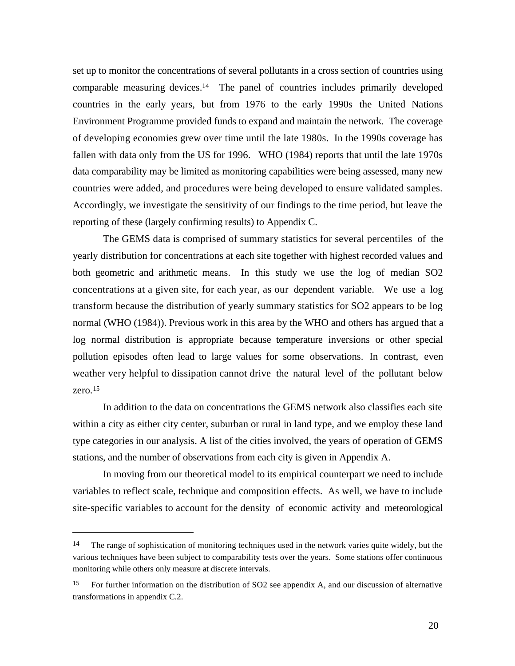set up to monitor the concentrations of several pollutants in a cross section of countries using comparable measuring devices.<sup>14</sup> The panel of countries includes primarily developed countries in the early years, but from 1976 to the early 1990s the United Nations Environment Programme provided funds to expand and maintain the network. The coverage of developing economies grew over time until the late 1980s. In the 1990s coverage has fallen with data only from the US for 1996. WHO (1984) reports that until the late 1970s data comparability may be limited as monitoring capabilities were being assessed, many new countries were added, and procedures were being developed to ensure validated samples. Accordingly, we investigate the sensitivity of our findings to the time period, but leave the reporting of these (largely confirming results) to Appendix C.

The GEMS data is comprised of summary statistics for several percentiles of the yearly distribution for concentrations at each site together with highest recorded values and both geometric and arithmetic means. In this study we use the log of median SO2 concentrations at a given site, for each year, as our dependent variable. We use a log transform because the distribution of yearly summary statistics for SO2 appears to be log normal (WHO (1984)). Previous work in this area by the WHO and others has argued that a log normal distribution is appropriate because temperature inversions or other special pollution episodes often lead to large values for some observations. In contrast, even weather very helpful to dissipation cannot drive the natural level of the pollutant below zero.<sup>15</sup>

In addition to the data on concentrations the GEMS network also classifies each site within a city as either city center, suburban or rural in land type, and we employ these land type categories in our analysis. A list of the cities involved, the years of operation of GEMS stations, and the number of observations from each city is given in Appendix A.

In moving from our theoretical model to its empirical counterpart we need to include variables to reflect scale, technique and composition effects. As well, we have to include site-specific variables to account for the density of economic activity and meteorological

<sup>&</sup>lt;sup>14</sup> The range of sophistication of monitoring techniques used in the network varies quite widely, but the various techniques have been subject to comparability tests over the years. Some stations offer continuous monitoring while others only measure at discrete intervals.

<sup>15</sup> For further information on the distribution of SO2 see appendix A, and our discussion of alternative transformations in appendix C.2.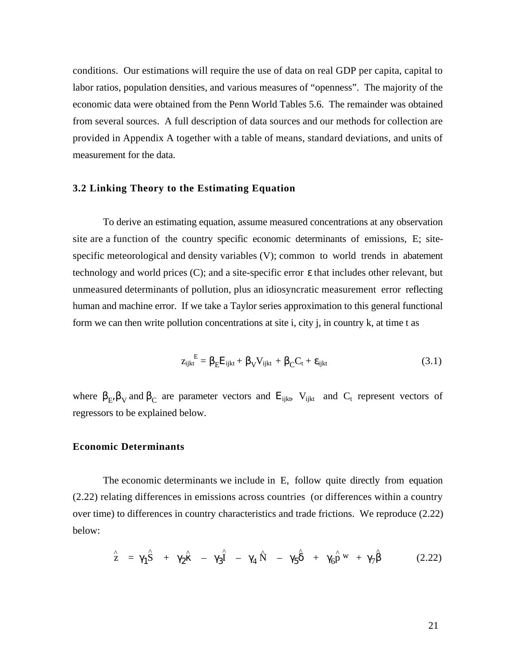conditions. Our estimations will require the use of data on real GDP per capita, capital to labor ratios, population densities, and various measures of "openness". The majority of the economic data were obtained from the Penn World Tables 5.6. The remainder was obtained from several sources. A full description of data sources and our methods for collection are provided in Appendix A together with a table of means, standard deviations, and units of measurement for the data.

#### **3.2 Linking Theory to the Estimating Equation**

To derive an estimating equation, assume measured concentrations at any observation site are a function of the country specific economic determinants of emissions, E; sitespecific meteorological and density variables (V); common to world trends in abatement technology and world prices (C); and a site-specific error that includes other relevant, but unmeasured determinants of pollution, plus an idiosyncratic measurement error reflecting human and machine error. If we take a Taylor series approximation to this general functional form we can then write pollution concentrations at site i, city j, in country k, at time t as

$$
z_{ijkt}^E = E_{ijkt} + \sqrt{V_{ijkt}} + C_{t} + i_{ijkt}
$$
 (3.1)

where  $E_i$  v and  $E_i$  are parameter vectors and  $E_{ijk}$  v  $V_{ijk}$  and  $C_i$  represent vectors of regressors to be explained below.

#### **Economic Determinants**

The economic determinants we include in E, follow quite directly from equation (2.22) relating differences in emissions across countries (or differences within a country over time) to differences in country characteristics and trade frictions. We reproduce (2.22) below:

$$
\hat{z} = \hat{1} \hat{S} + \hat{2} - \hat{3} \hat{4} - \hat{4} \hat{N} - \hat{5} + \hat{6} \hat{p}^{w} + \hat{7}
$$
 (2.22)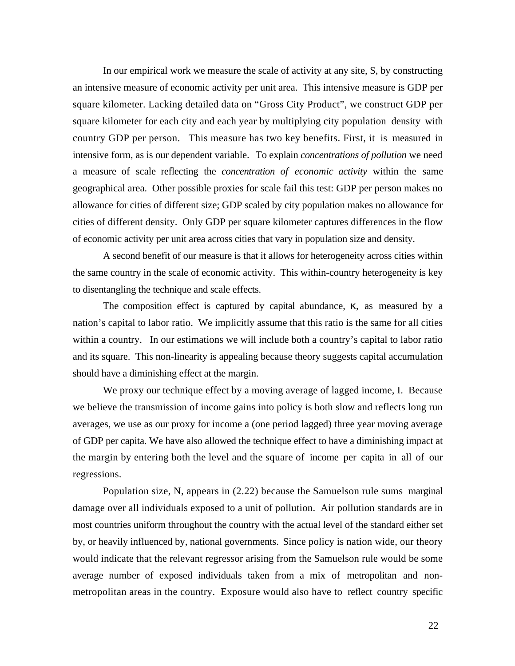In our empirical work we measure the scale of activity at any site, S, by constructing an intensive measure of economic activity per unit area. This intensive measure is GDP per square kilometer. Lacking detailed data on "Gross City Product", we construct GDP per square kilometer for each city and each year by multiplying city population density with country GDP per person. This measure has two key benefits. First, it is measured in intensive form, as is our dependent variable. To explain *concentrations of pollution* we need a measure of scale reflecting the *concentration of economic activity* within the same geographical area. Other possible proxies for scale fail this test: GDP per person makes no allowance for cities of different size; GDP scaled by city population makes no allowance for cities of different density. Only GDP per square kilometer captures differences in the flow of economic activity per unit area across cities that vary in population size and density.

A second benefit of our measure is that it allows for heterogeneity across cities within the same country in the scale of economic activity. This within-country heterogeneity is key to disentangling the technique and scale effects.

The composition effect is captured by capital abundance, , as measured by a nation's capital to labor ratio. We implicitly assume that this ratio is the same for all cities within a country. In our estimations we will include both a country's capital to labor ratio and its square. This non-linearity is appealing because theory suggests capital accumulation should have a diminishing effect at the margin.

We proxy our technique effect by a moving average of lagged income, I. Because we believe the transmission of income gains into policy is both slow and reflects long run averages, we use as our proxy for income a (one period lagged) three year moving average of GDP per capita. We have also allowed the technique effect to have a diminishing impact at the margin by entering both the level and the square of income per capita in all of our regressions.

Population size, N, appears in (2.22) because the Samuelson rule sums marginal damage over all individuals exposed to a unit of pollution. Air pollution standards are in most countries uniform throughout the country with the actual level of the standard either set by, or heavily influenced by, national governments. Since policy is nation wide, our theory would indicate that the relevant regressor arising from the Samuelson rule would be some average number of exposed individuals taken from a mix of metropolitan and nonmetropolitan areas in the country. Exposure would also have to reflect country specific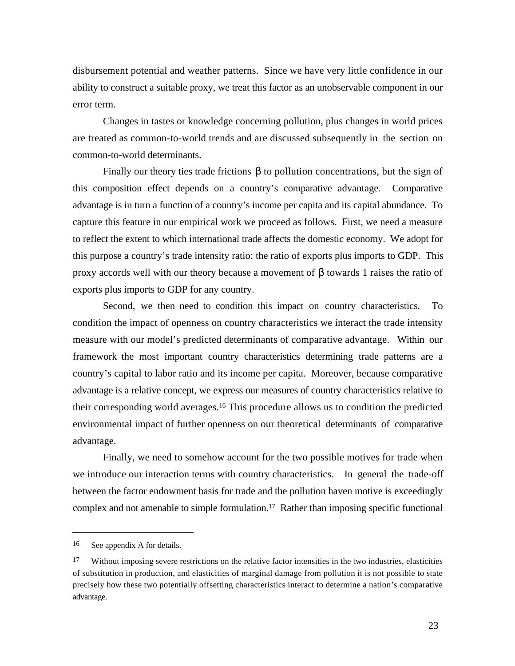disbursement potential and weather patterns. Since we have very little confidence in our ability to construct a suitable proxy, we treat this factor as an unobservable component in our error term.

Changes in tastes or knowledge concerning pollution, plus changes in world prices are treated as common-to-world trends and are discussed subsequently in the section on common-to-world determinants.

Finally our theory ties trade frictions to pollution concentrations, but the sign of this composition effect depends on a country's comparative advantage. Comparative advantage is in turn a function of a country's income per capita and its capital abundance. To capture this feature in our empirical work we proceed as follows. First, we need a measure to reflect the extent to which international trade affects the domestic economy. We adopt for this purpose a country's trade intensity ratio: the ratio of exports plus imports to GDP. This proxy accords well with our theory because a movement of towards 1 raises the ratio of exports plus imports to GDP for any country.

Second, we then need to condition this impact on country characteristics. To condition the impact of openness on country characteristics we interact the trade intensity measure with our model's predicted determinants of comparative advantage. Within our framework the most important country characteristics determining trade patterns are a country's capital to labor ratio and its income per capita. Moreover, because comparative advantage is a relative concept, we express our measures of country characteristics relative to their corresponding world averages.16 This procedure allows us to condition the predicted environmental impact of further openness on our theoretical determinants of comparative advantage.

Finally, we need to somehow account for the two possible motives for trade when we introduce our interaction terms with country characteristics. In general the trade-off between the factor endowment basis for trade and the pollution haven motive is exceedingly complex and not amenable to simple formulation.17 Rather than imposing specific functional

<sup>16</sup> See appendix A for details.

<sup>&</sup>lt;sup>17</sup> Without imposing severe restrictions on the relative factor intensities in the two industries, elasticities of substitution in production, and elasticities of marginal damage from pollution it is not possible to state precisely how these two potentially offsetting characteristics interact to determine a nation's comparative advantage.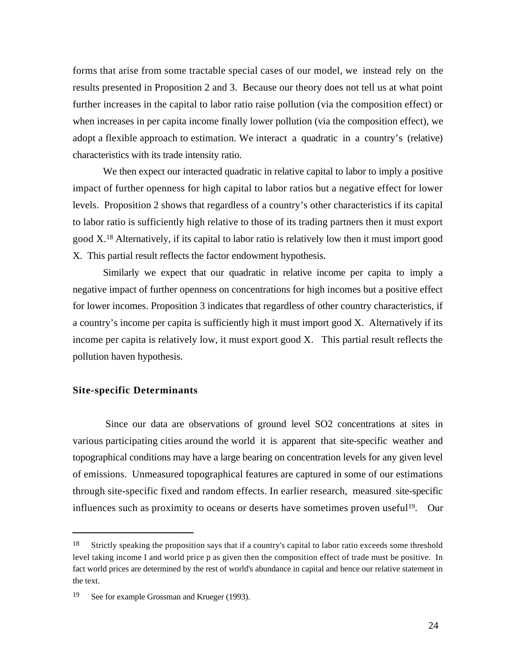forms that arise from some tractable special cases of our model, we instead rely on the results presented in Proposition 2 and 3. Because our theory does not tell us at what point further increases in the capital to labor ratio raise pollution (via the composition effect) or when increases in per capita income finally lower pollution (via the composition effect), we adopt a flexible approach to estimation. We interact a quadratic in a country's (relative) characteristics with its trade intensity ratio.

We then expect our interacted quadratic in relative capital to labor to imply a positive impact of further openness for high capital to labor ratios but a negative effect for lower levels. Proposition 2 shows that regardless of a country's other characteristics if its capital to labor ratio is sufficiently high relative to those of its trading partners then it must export good X.18 Alternatively, if its capital to labor ratio is relatively low then it must import good X. This partial result reflects the factor endowment hypothesis.

Similarly we expect that our quadratic in relative income per capita to imply a negative impact of further openness on concentrations for high incomes but a positive effect for lower incomes. Proposition 3 indicates that regardless of other country characteristics, if a country's income per capita is sufficiently high it must import good X. Alternatively if its income per capita is relatively low, it must export good X. This partial result reflects the pollution haven hypothesis.

#### **Site-specific Determinants**

l

 Since our data are observations of ground level SO2 concentrations at sites in various participating cities around the world it is apparent that site-specific weather and topographical conditions may have a large bearing on concentration levels for any given level of emissions. Unmeasured topographical features are captured in some of our estimations through site-specific fixed and random effects. In earlier research, measured site-specific influences such as proximity to oceans or deserts have sometimes proven useful<sup>19</sup>. Our

<sup>&</sup>lt;sup>18</sup> Strictly speaking the proposition says that if a country's capital to labor ratio exceeds some threshold level taking income I and world price p as given then the composition effect of trade must be positive. In fact world prices are determined by the rest of world's abundance in capital and hence our relative statement in the text.

<sup>19</sup> See for example Grossman and Krueger (1993).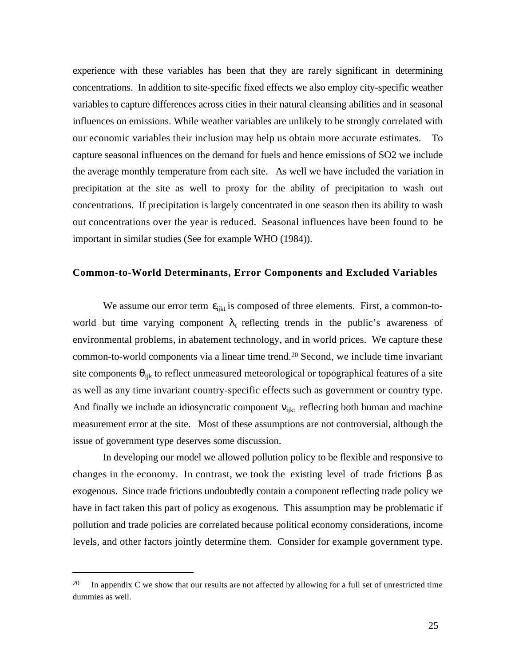experience with these variables has been that they are rarely significant in determining concentrations. In addition to site-specific fixed effects we also employ city-specific weather variables to capture differences across cities in their natural cleansing abilities and in seasonal influences on emissions. While weather variables are unlikely to be strongly correlated with our economic variables their inclusion may help us obtain more accurate estimates. To capture seasonal influences on the demand for fuels and hence emissions of SO2 we include the average monthly temperature from each site. As well we have included the variation in precipitation at the site as well to proxy for the ability of precipitation to wash out concentrations. If precipitation is largely concentrated in one season then its ability to wash out concentrations over the year is reduced. Seasonal influences have been found to be important in similar studies (See for example WHO (1984)).

#### **Common-to-World Determinants, Error Components and Excluded Variables**

We assume our error term  $_{i}$ <sub>ijkt</sub> is composed of three elements. First, a common-toworld but time varying component  $<sub>t</sub>$  reflecting trends in the public's awareness of</sub> environmental problems, in abatement technology, and in world prices. We capture these common-to-world components via a linear time trend.20 Second, we include time invariant site components ijk to reflect unmeasured meteorological or topographical features of a site as well as any time invariant country-specific effects such as government or country type. And finally we include an idiosyncratic component  $\theta$  is reflecting both human and machine measurement error at the site. Most of these assumptions are not controversial, although the issue of government type deserves some discussion.

In developing our model we allowed pollution policy to be flexible and responsive to changes in the economy. In contrast, we took the existing level of trade frictions as exogenous. Since trade frictions undoubtedly contain a component reflecting trade policy we have in fact taken this part of policy as exogenous. This assumption may be problematic if pollution and trade policies are correlated because political economy considerations, income levels, and other factors jointly determine them. Consider for example government type.

<sup>&</sup>lt;sup>20</sup> In appendix C we show that our results are not affected by allowing for a full set of unrestricted time dummies as well.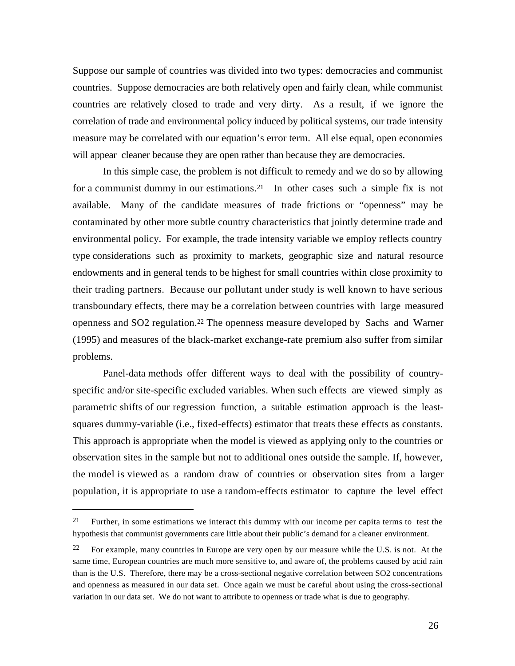Suppose our sample of countries was divided into two types: democracies and communist countries. Suppose democracies are both relatively open and fairly clean, while communist countries are relatively closed to trade and very dirty. As a result, if we ignore the correlation of trade and environmental policy induced by political systems, our trade intensity measure may be correlated with our equation's error term. All else equal, open economies will appear cleaner because they are open rather than because they are democracies.

In this simple case, the problem is not difficult to remedy and we do so by allowing for a communist dummy in our estimations.<sup>21</sup> In other cases such a simple fix is not available. Many of the candidate measures of trade frictions or "openness" may be contaminated by other more subtle country characteristics that jointly determine trade and environmental policy. For example, the trade intensity variable we employ reflects country type considerations such as proximity to markets, geographic size and natural resource endowments and in general tends to be highest for small countries within close proximity to their trading partners. Because our pollutant under study is well known to have serious transboundary effects, there may be a correlation between countries with large measured openness and SO2 regulation.22 The openness measure developed by Sachs and Warner (1995) and measures of the black-market exchange-rate premium also suffer from similar problems.

Panel-data methods offer different ways to deal with the possibility of countryspecific and/or site-specific excluded variables. When such effects are viewed simply as parametric shifts of our regression function, a suitable estimation approach is the leastsquares dummy-variable (i.e., fixed-effects) estimator that treats these effects as constants. This approach is appropriate when the model is viewed as applying only to the countries or observation sites in the sample but not to additional ones outside the sample. If, however, the model is viewed as a random draw of countries or observation sites from a larger population, it is appropriate to use a random-effects estimator to capture the level effect

<sup>&</sup>lt;sup>21</sup> Further, in some estimations we interact this dummy with our income per capita terms to test the hypothesis that communist governments care little about their public's demand for a cleaner environment.

<sup>&</sup>lt;sup>22</sup> For example, many countries in Europe are very open by our measure while the U.S. is not. At the same time, European countries are much more sensitive to, and aware of, the problems caused by acid rain than is the U.S. Therefore, there may be a cross-sectional negative correlation between SO2 concentrations and openness as measured in our data set. Once again we must be careful about using the cross-sectional variation in our data set. We do not want to attribute to openness or trade what is due to geography.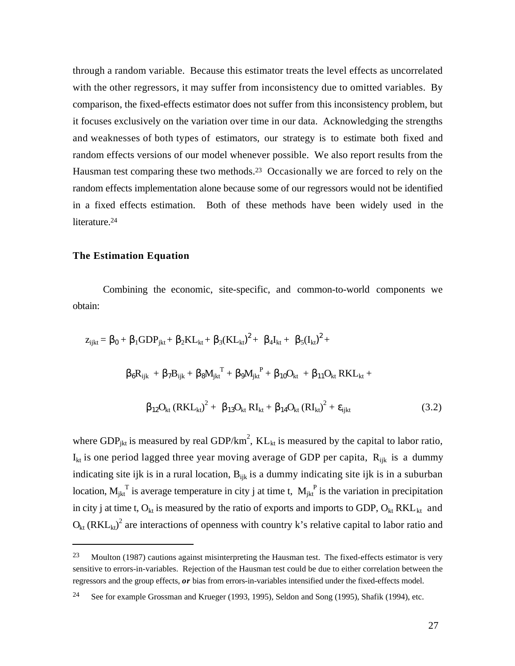through a random variable. Because this estimator treats the level effects as uncorrelated with the other regressors, it may suffer from inconsistency due to omitted variables. By comparison, the fixed-effects estimator does not suffer from this inconsistency problem, but it focuses exclusively on the variation over time in our data. Acknowledging the strengths and weaknesses of both types of estimators, our strategy is to estimate both fixed and random effects versions of our model whenever possible. We also report results from the Hausman test comparing these two methods.23 Occasionally we are forced to rely on the random effects implementation alone because some of our regressors would not be identified in a fixed effects estimation. Both of these methods have been widely used in the literature.<sup>24</sup>

#### **The Estimation Equation**

l

Combining the economic, site-specific, and common-to-world components we obtain:

$$
z_{ijkt} = 0 + 1GDP_{jkt} + 2KL_{kt} + 3(KL_{kt})^{2} + 4I_{kt} + 5(I_{kt})^{2} + 4I_{kt} + 7B_{ijk} + 7B_{ijk} + 8M_{jkt}^{T} + 4I_{jkt}^{P} + 10I_{kt} + 11O_{kt} RKL_{kt} + 12I_{kt} (RKL_{kt})^{2} + 13I_{kt} RKL_{kt} + 14I_{kt} (RKL_{kt})^{2} + 13I_{kt} (RKL_{kt})^{2} + 13I_{kt} (RKL_{kt})^{2} + 14I_{kt} (RKL_{kt})^{2} + 15I_{kt} (RKL_{kt})^{2} + 15I_{kt} (RKL_{kt})^{2} + 15I_{kt} (RKL_{kt})^{2} + 15I_{kt} (RKL_{kt})^{2} + 15I_{kt} (RKL_{kt})^{2} + 15I_{kt} (RKL_{kt})^{2} + 15I_{kt} (RKL_{kt})^{2} + 15I_{kt} (RKL_{kt})^{2} + 15I_{kt} (RKL_{kt})^{2} + 15I_{kt} (RKL_{kt})^{2} + 15I_{kt} (RKL_{kt})^{2} + 15I_{kt} (RKL_{kt})^{2} + 15I_{kt} (RKL_{kt})^{2} + 15I_{kt} (RKL_{kt})^{2} + 15I_{kt} (RKL_{kt})^{2} + 15I_{kt} (RKL_{kt})^{2} + 15I_{kt} (RKL_{kt})^{2} + 15I_{kt} (RKL_{kt})^{2} + 15I_{kt} (RKL_{kt})^{2} + 15I_{kt} (RKL_{kt})^{2} + 15I_{kt} (RKL_{kt})^{2} + 15I_{kt} (RKL_{kt})^{2} + 15I_{kt} (RKL_{kt})^{2} + 15I_{kt} (RKL_{kt})^{2} + 15I_{kt} (RKL_{kt})^{2} + 15I_{kt} (RKL_{kt})^{2} + 15I_{kt} (RKL_{kt})^{2} + 15I_{kt} (RKL_{kt})^{2} + 15I_{kt} (RKL_{kt})^{2} + 15I_{kt} (RKL_{kt})^{2} + 15I_{kt} (RKL_{kt})^{2} + 15I_{kt} (RKL_{kt})^{2} +
$$

where GDP<sub>jkt</sub> is measured by real GDP/km<sup>2</sup>,  $KL_{kt}$  is measured by the capital to labor ratio,  $I_{kt}$  is one period lagged three year moving average of GDP per capita,  $R_{ijk}$  is a dummy indicating site ijk is in a rural location,  $B_{ijk}$  is a dummy indicating site ijk is in a suburban location,  $M_{jkt}^T$  is average temperature in city j at time t,  $M_{jkt}^F$  is the variation in precipitation in city j at time t,  $O_{kt}$  is measured by the ratio of exports and imports to GDP,  $O_{kt} RKL_{kt}$  and  $O_{kt}$  (RKL<sub>kt</sub>)<sup>2</sup> are interactions of openness with country k's relative capital to labor ratio and

<sup>23</sup> Moulton (1987) cautions against misinterpreting the Hausman test. The fixed-effects estimator is very sensitive to errors-in-variables. Rejection of the Hausman test could be due to either correlation between the regressors and the group effects, *or* bias from errors-in-variables intensified under the fixed-effects model.

<sup>24</sup> See for example Grossman and Krueger (1993, 1995), Seldon and Song (1995), Shafik (1994), etc.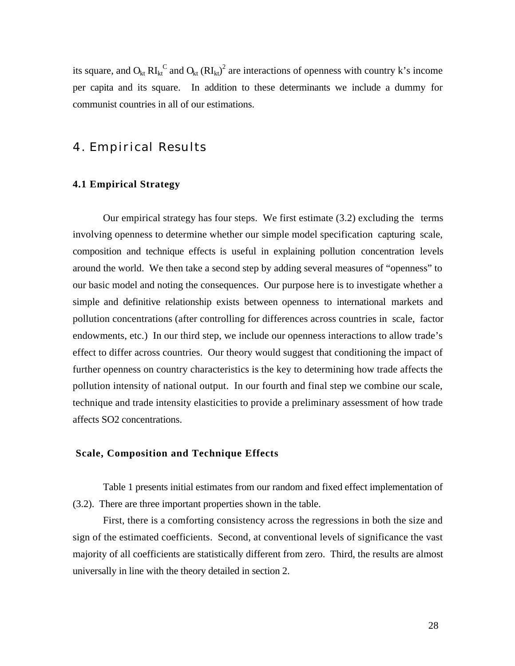its square, and  $O_{kt}$  RI<sub>kt</sub><sup>C</sup> and  $O_{kt}$  (RI<sub>kt</sub>)<sup>2</sup> are interactions of openness with country k's income per capita and its square. In addition to these determinants we include a dummy for communist countries in all of our estimations.

## 4. Empirical Results

#### **4.1 Empirical Strategy**

Our empirical strategy has four steps. We first estimate (3.2) excluding the terms involving openness to determine whether our simple model specification capturing scale, composition and technique effects is useful in explaining pollution concentration levels around the world. We then take a second step by adding several measures of "openness" to our basic model and noting the consequences. Our purpose here is to investigate whether a simple and definitive relationship exists between openness to international markets and pollution concentrations (after controlling for differences across countries in scale, factor endowments, etc.) In our third step, we include our openness interactions to allow trade's effect to differ across countries. Our theory would suggest that conditioning the impact of further openness on country characteristics is the key to determining how trade affects the pollution intensity of national output. In our fourth and final step we combine our scale, technique and trade intensity elasticities to provide a preliminary assessment of how trade affects SO2 concentrations.

#### **Scale, Composition and Technique Effects**

Table 1 presents initial estimates from our random and fixed effect implementation of (3.2). There are three important properties shown in the table.

First, there is a comforting consistency across the regressions in both the size and sign of the estimated coefficients. Second, at conventional levels of significance the vast majority of all coefficients are statistically different from zero. Third, the results are almost universally in line with the theory detailed in section 2.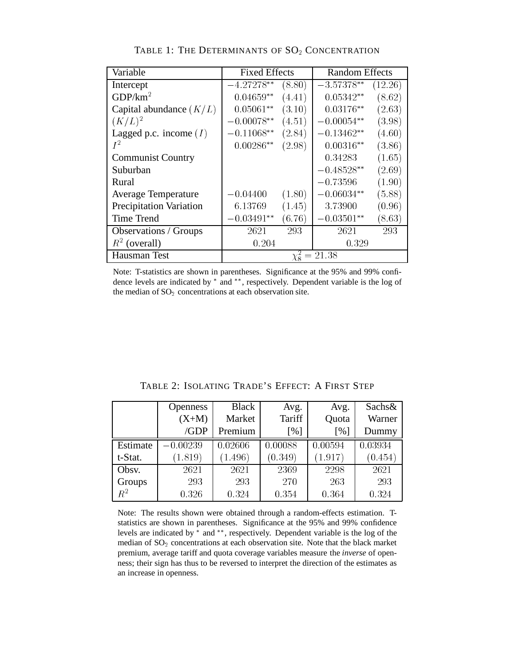| Variable                       | <b>Fixed Effects</b> |        | <b>Random Effects</b> |         |  |
|--------------------------------|----------------------|--------|-----------------------|---------|--|
| Intercept                      | $-4.27278**$         | (8.80) | $-3.57378**$          | (12.26) |  |
| GDP/km <sup>2</sup>            | $0.04659**$          | (4.41) | $0.05342**$           | (8.62)  |  |
| Capital abundance $(K/L)$      | $0.05061**$          | (3.10) | $0.03176**$           | (2.63)  |  |
| $(K/L)^2$                      | $-0.00078**$         | (4.51) | $-0.00054**$          | (3.98)  |  |
| Lagged p.c. income $(I)$       | $-0.11068**$         | (2.84) | $-0.13462**$          | (4.60)  |  |
| $I^2$                          | $0.00286**$          | (2.98) | $0.00316**$           | (3.86)  |  |
| <b>Communist Country</b>       |                      |        | 0.34283               | (1.65)  |  |
| Suburban                       |                      |        | $-0.48528**$          | (2.69)  |  |
| Rural                          |                      |        | $-0.73596$            | (1.90)  |  |
| <b>Average Temperature</b>     | $-0.04400$           | (1.80) | $-0.06034**$          | (5.88)  |  |
| <b>Precipitation Variation</b> | 6.13769              | (1.45) | 3.73900               | (0.96)  |  |
| Time Trend                     | $0.03491**$          | (6.76) | $-0.03501**$          | (8.63)  |  |
| <b>Observations</b> / Groups   | 2621                 | 293    | 2621                  | 293     |  |
| $R^2$ (overall)                | 0.204                |        | 0.329                 |         |  |
| Hausman Test                   |                      |        | $\chi^2_8 = 21.38$    |         |  |

TABLE 1: THE DETERMINANTS OF SO<sub>2</sub> CONCENTRATION

Note: T-statistics are shown in parentheses. Significance at the 95% and 99% confidence levels are indicated by  $*$  and  $**$ , respectively. Dependent variable is the log of the median of  $SO<sub>2</sub>$  concentrations at each observation site.

|             | <b>Openness</b> | <b>Black</b> | Avg.    | Avg.    | Sachs&  |
|-------------|-----------------|--------------|---------|---------|---------|
|             | $(X+M)$         | Market       | Tariff  | Quota   | Warner  |
|             | /GDP            | Premium      | [%]     | [%]     | Dummy   |
| Estimate    | $-0.00239$      | 0.02606      | 0.00088 | 0.00594 | 0.03934 |
| t-Stat.     | (1.819)         | 1.496)       | (0.349) | (1.917) | (0.454) |
| Obsv.       | 2621            | 2621         | 2369    | 2298    | 2621    |
| Groups      | 293             | 293          | 270     | 263     | 293     |
| $\bar{R}^2$ | 0.326           | 0.324        | 0.354   | 0.364   | 0.324   |

TABLE 2: ISOLATING TRADE'S EFFECT: A FIRST STEP

Note: The results shown were obtained through a random-effects estimation. Tstatistics are shown in parentheses. Significance at the 95% and 99% confidence levels are indicated by  $*$  and  $**$ , respectively. Dependent variable is the log of the median of SO<sub>2</sub> concentrations at each observation site. Note that the black market premium, average tariff and quota coverage variables measure the *inverse* of openness; their sign has thus to be reversed to interpret the direction of the estimates as an increase in openness.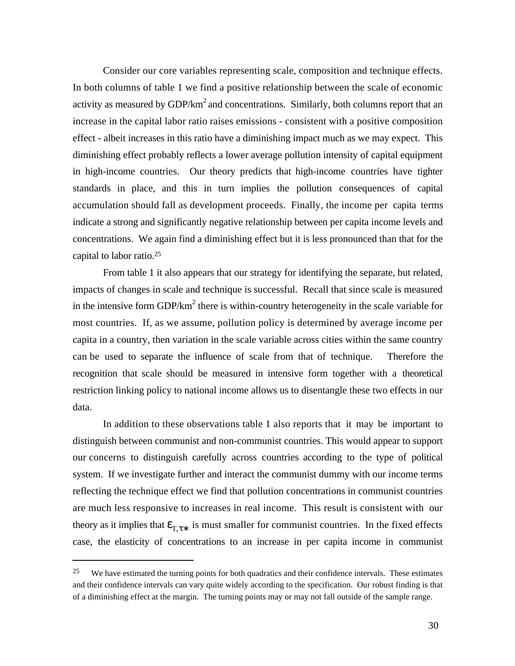Consider our core variables representing scale, composition and technique effects. In both columns of table 1 we find a positive relationship between the scale of economic activity as measured by GDP/km<sup>2</sup> and concentrations. Similarly, both columns report that an increase in the capital labor ratio raises emissions - consistent with a positive composition effect - albeit increases in this ratio have a diminishing impact much as we may expect. This diminishing effect probably reflects a lower average pollution intensity of capital equipment in high-income countries. Our theory predicts that high-income countries have tighter standards in place, and this in turn implies the pollution consequences of capital accumulation should fall as development proceeds. Finally, the income per capita terms indicate a strong and significantly negative relationship between per capita income levels and concentrations. We again find a diminishing effect but it is less pronounced than that for the capital to labor ratio.<sup>25</sup>

From table 1 it also appears that our strategy for identifying the separate, but related, impacts of changes in scale and technique is successful. Recall that since scale is measured in the intensive form GDP/ $km^2$  there is within-country heterogeneity in the scale variable for most countries. If, as we assume, pollution policy is determined by average income per capita in a country, then variation in the scale variable across cities within the same country can be used to separate the influence of scale from that of technique. Therefore the recognition that scale should be measured in intensive form together with a theoretical restriction linking policy to national income allows us to disentangle these two effects in our data.

In addition to these observations table 1 also reports that it may be important to distinguish between communist and non-communist countries. This would appear to support our concerns to distinguish carefully across countries according to the type of political system. If we investigate further and interact the communist dummy with our income terms reflecting the technique effect we find that pollution concentrations in communist countries are much less responsive to increases in real income. This result is consistent with our theory as it implies that  $\tau$  is must smaller for communist countries. In the fixed effects case, the elasticity of concentrations to an increase in per capita income in communist

<sup>&</sup>lt;sup>25</sup> We have estimated the turning points for both quadratics and their confidence intervals. These estimates and their confidence intervals can vary quite widely according to the specification. Our robust finding is that of a diminishing effect at the margin. The turning points may or may not fall outside of the sample range.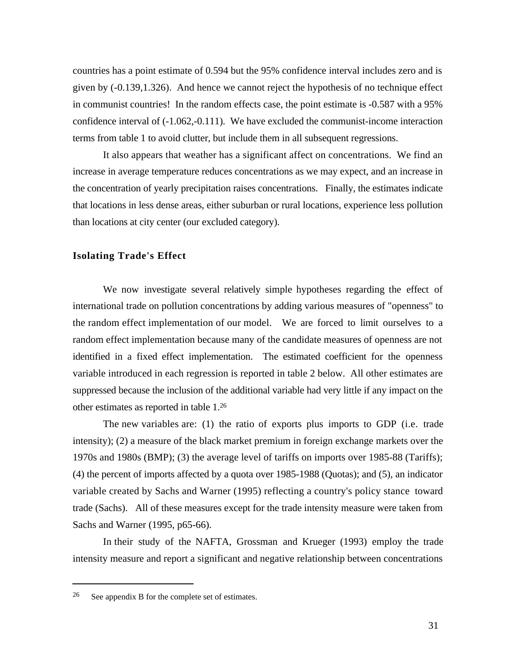countries has a point estimate of 0.594 but the 95% confidence interval includes zero and is given by (-0.139,1.326). And hence we cannot reject the hypothesis of no technique effect in communist countries! In the random effects case, the point estimate is -0.587 with a 95% confidence interval of (-1.062,-0.111). We have excluded the communist-income interaction terms from table 1 to avoid clutter, but include them in all subsequent regressions.

It also appears that weather has a significant affect on concentrations. We find an increase in average temperature reduces concentrations as we may expect, and an increase in the concentration of yearly precipitation raises concentrations. Finally, the estimates indicate that locations in less dense areas, either suburban or rural locations, experience less pollution than locations at city center (our excluded category).

#### **Isolating Trade's Effect**

We now investigate several relatively simple hypotheses regarding the effect of international trade on pollution concentrations by adding various measures of "openness" to the random effect implementation of our model. We are forced to limit ourselves to a random effect implementation because many of the candidate measures of openness are not identified in a fixed effect implementation. The estimated coefficient for the openness variable introduced in each regression is reported in table 2 below. All other estimates are suppressed because the inclusion of the additional variable had very little if any impact on the other estimates as reported in table 1.<sup>26</sup>

The new variables are: (1) the ratio of exports plus imports to GDP (i.e. trade intensity); (2) a measure of the black market premium in foreign exchange markets over the 1970s and 1980s (BMP); (3) the average level of tariffs on imports over 1985-88 (Tariffs); (4) the percent of imports affected by a quota over 1985-1988 (Quotas); and (5), an indicator variable created by Sachs and Warner (1995) reflecting a country's policy stance toward trade (Sachs). All of these measures except for the trade intensity measure were taken from Sachs and Warner (1995, p65-66).

In their study of the NAFTA, Grossman and Krueger (1993) employ the trade intensity measure and report a significant and negative relationship between concentrations

<sup>26</sup> See appendix B for the complete set of estimates.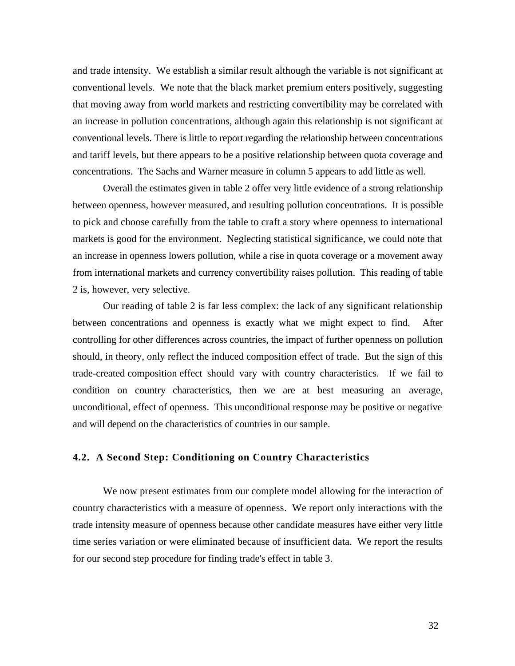and trade intensity. We establish a similar result although the variable is not significant at conventional levels. We note that the black market premium enters positively, suggesting that moving away from world markets and restricting convertibility may be correlated with an increase in pollution concentrations, although again this relationship is not significant at conventional levels. There is little to report regarding the relationship between concentrations and tariff levels, but there appears to be a positive relationship between quota coverage and concentrations. The Sachs and Warner measure in column 5 appears to add little as well.

Overall the estimates given in table 2 offer very little evidence of a strong relationship between openness, however measured, and resulting pollution concentrations. It is possible to pick and choose carefully from the table to craft a story where openness to international markets is good for the environment. Neglecting statistical significance, we could note that an increase in openness lowers pollution, while a rise in quota coverage or a movement away from international markets and currency convertibility raises pollution. This reading of table 2 is, however, very selective.

Our reading of table 2 is far less complex: the lack of any significant relationship between concentrations and openness is exactly what we might expect to find. After controlling for other differences across countries, the impact of further openness on pollution should, in theory, only reflect the induced composition effect of trade. But the sign of this trade-created composition effect should vary with country characteristics. If we fail to condition on country characteristics, then we are at best measuring an average, unconditional, effect of openness. This unconditional response may be positive or negative and will depend on the characteristics of countries in our sample.

#### **4.2. A Second Step: Conditioning on Country Characteristics**

We now present estimates from our complete model allowing for the interaction of country characteristics with a measure of openness. We report only interactions with the trade intensity measure of openness because other candidate measures have either very little time series variation or were eliminated because of insufficient data. We report the results for our second step procedure for finding trade's effect in table 3.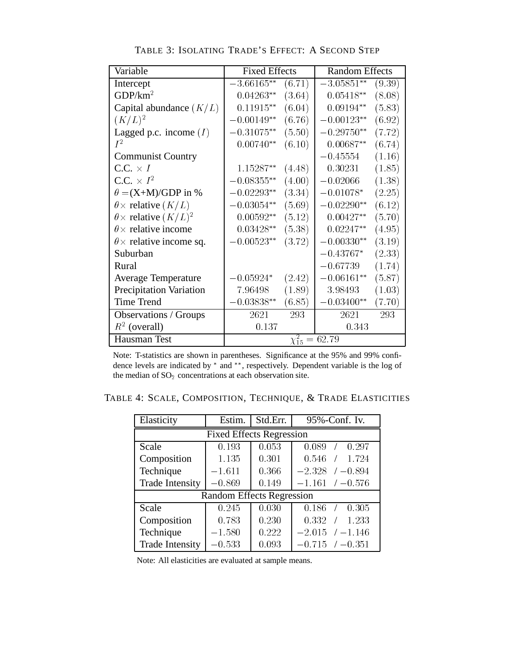| Variable                            | <b>Fixed Effects</b> |                       | <b>Random Effects</b> |        |  |
|-------------------------------------|----------------------|-----------------------|-----------------------|--------|--|
| Intercept                           | $3.66165**$          | (6.71)                | $3.05851**$           | (9.39) |  |
| GDP/km <sup>2</sup>                 | $0.04263**$          | (3.64)                | $0.05418**$           | (8.08) |  |
| Capital abundance $(K/L)$           | $0.11915**$          | (6.04)                | $0.09194**$           | (5.83) |  |
| $(K/L)^2$                           | $-0.00149**$         | (6.76)                | $-0.00123**$          | (6.92) |  |
| Lagged p.c. income $(I)$            | $-0.31075**$         | (5.50)                | $-0.29750**$          | (7.72) |  |
| $I^2$                               | $0.00740**$          | (6.10)                | $0.00687**$           | (6.74) |  |
| <b>Communist Country</b>            |                      |                       | $-0.45554$            | (1.16) |  |
| $C.C. \times I$                     | 1.15287**            | (4.48)                | 0.30231               | (1.85) |  |
| C.C. $\times I^2$                   | $-0.08355***$        | (4.00)                | $-0.02066$            | (1.38) |  |
| $\theta = (X+M)/GDP$ in %           | $-0.02293**$         | (3.34)                | $-0.01078*$           | (2.25) |  |
| $\theta \times$ relative $(K/L)$    | $-0.03054**$         | (5.69)                | $-0.02290**$          | (6.12) |  |
| $\theta \times$ relative $(K/L)^2$  | $0.00592**$          | (5.12)                | $0.00427**$           | (5.70) |  |
| $\theta \times$ relative income     | $0.03428**$          | (5.38)                | $0.02247**$           | (4.95) |  |
| $\theta \times$ relative income sq. | $0.00523**$          | (3.72)                | $-0.00330**$          | (3.19) |  |
| Suburban                            |                      |                       | $-0.43767*$           | (2.33) |  |
| Rural                               |                      |                       | $-0.67739$            | (1.74) |  |
| <b>Average Temperature</b>          | $-0.05924*$          | (2.42)                | $-0.06161**$          | (5.87) |  |
| <b>Precipitation Variation</b>      | 7.96498              | (1.89)                | 3.98493               | (1.03) |  |
| <b>Time Trend</b>                   | $0.03838**$          | (6.85)                | $0.03400**$           | (7.70) |  |
| Observations / Groups               | 2621                 | 293                   | 2621                  | 293    |  |
| $R^2$ (overall)                     | 0.137                |                       | 0.343                 |        |  |
| Hausman Test                        |                      | $\chi_{15}^2 = 62.79$ |                       |        |  |

TABLE 3: ISOLATING TRADE'S EFFECT: A SECOND STEP

Note: T-statistics are shown in parentheses. Significance at the 95% and 99% confidence levels are indicated by  $*$  and  $**$ , respectively. Dependent variable is the log of the median of  $SO<sub>2</sub>$  concentrations at each observation site.

TABLE 4: SCALE, COMPOSITION, TECHNIQUE, & TRADE ELASTICITIES

| Elasticity                      | Estim.                           | Std.Err. | 95%-Conf. Iv.          |  |  |  |  |  |  |  |
|---------------------------------|----------------------------------|----------|------------------------|--|--|--|--|--|--|--|
| <b>Fixed Effects Regression</b> |                                  |          |                        |  |  |  |  |  |  |  |
| Scale                           | 0.193                            | 0.053    | 0.297<br>0.089         |  |  |  |  |  |  |  |
| Composition                     | 1.135                            | 0.301    | 1.724<br>0.546         |  |  |  |  |  |  |  |
| Technique                       | $-1.611$                         | 0.366    | $-2.328$<br>$/ -0.894$ |  |  |  |  |  |  |  |
| <b>Trade Intensity</b>          | $-0.869$                         | 0.149    | $-1.161$ / $-0.576$    |  |  |  |  |  |  |  |
|                                 | <b>Random Effects Regression</b> |          |                        |  |  |  |  |  |  |  |
| Scale                           | 0.245                            | 0.030    | 0.305<br>0.186         |  |  |  |  |  |  |  |
| Composition                     | 0.783                            | 0.230    | 1.233<br>0.332         |  |  |  |  |  |  |  |
| Technique                       | $-1.580$                         | 0.222    | $-2.015$<br>$/ -1.146$ |  |  |  |  |  |  |  |
| <b>Trade Intensity</b>          | $-0.533$                         | 0.093    | $-0.715$ / $-0.351$    |  |  |  |  |  |  |  |

Note: All elasticities are evaluated at sample means.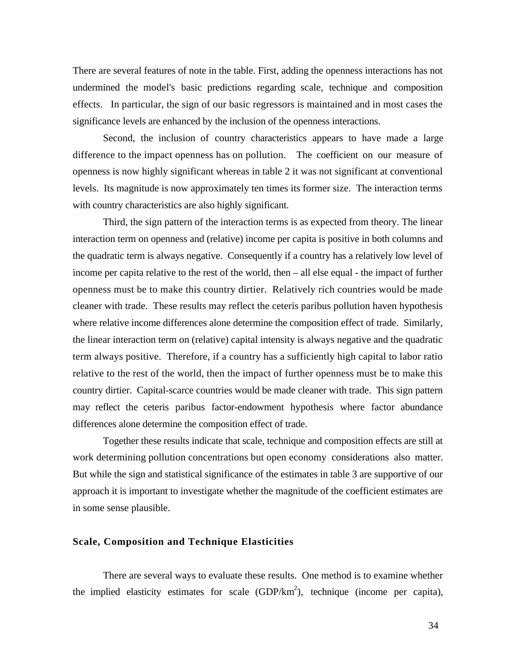There are several features of note in the table. First, adding the openness interactions has not undermined the model's basic predictions regarding scale, technique and composition effects. In particular, the sign of our basic regressors is maintained and in most cases the significance levels are enhanced by the inclusion of the openness interactions.

Second, the inclusion of country characteristics appears to have made a large difference to the impact openness has on pollution. The coefficient on our measure of openness is now highly significant whereas in table 2 it was not significant at conventional levels. Its magnitude is now approximately ten times its former size. The interaction terms with country characteristics are also highly significant.

Third, the sign pattern of the interaction terms is as expected from theory. The linear interaction term on openness and (relative) income per capita is positive in both columns and the quadratic term is always negative. Consequently if a country has a relatively low level of income per capita relative to the rest of the world, then – all else equal - the impact of further openness must be to make this country dirtier. Relatively rich countries would be made cleaner with trade. These results may reflect the ceteris paribus pollution haven hypothesis where relative income differences alone determine the composition effect of trade. Similarly, the linear interaction term on (relative) capital intensity is always negative and the quadratic term always positive. Therefore, if a country has a sufficiently high capital to labor ratio relative to the rest of the world, then the impact of further openness must be to make this country dirtier. Capital-scarce countries would be made cleaner with trade. This sign pattern may reflect the ceteris paribus factor-endowment hypothesis where factor abundance differences alone determine the composition effect of trade.

Together these results indicate that scale, technique and composition effects are still at work determining pollution concentrations but open economy considerations also matter. But while the sign and statistical significance of the estimates in table 3 are supportive of our approach it is important to investigate whether the magnitude of the coefficient estimates are in some sense plausible.

#### **Scale, Composition and Technique Elasticities**

There are several ways to evaluate these results. One method is to examine whether the implied elasticity estimates for scale  $(GDP/km^2)$ , technique (income per capita),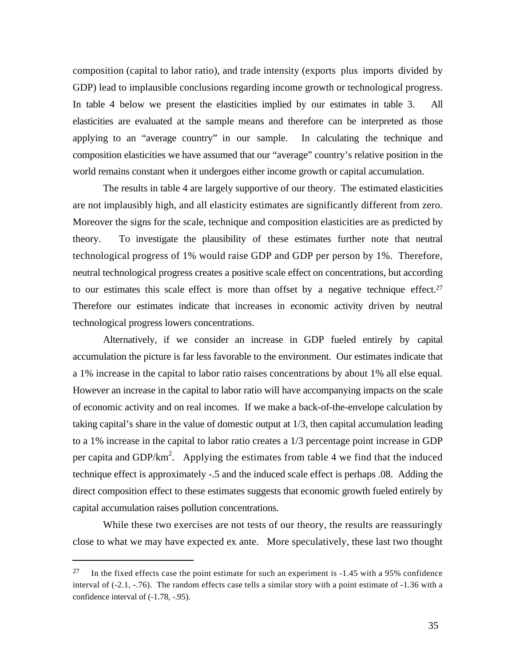composition (capital to labor ratio), and trade intensity (exports plus imports divided by GDP) lead to implausible conclusions regarding income growth or technological progress. In table 4 below we present the elasticities implied by our estimates in table 3. All elasticities are evaluated at the sample means and therefore can be interpreted as those applying to an "average country" in our sample. In calculating the technique and composition elasticities we have assumed that our "average" country's relative position in the world remains constant when it undergoes either income growth or capital accumulation.

The results in table 4 are largely supportive of our theory. The estimated elasticities are not implausibly high, and all elasticity estimates are significantly different from zero. Moreover the signs for the scale, technique and composition elasticities are as predicted by theory. To investigate the plausibility of these estimates further note that neutral technological progress of 1% would raise GDP and GDP per person by 1%. Therefore, neutral technological progress creates a positive scale effect on concentrations, but according to our estimates this scale effect is more than offset by a negative technique effect.<sup>27</sup> Therefore our estimates indicate that increases in economic activity driven by neutral technological progress lowers concentrations.

Alternatively, if we consider an increase in GDP fueled entirely by capital accumulation the picture is far less favorable to the environment. Our estimates indicate that a 1% increase in the capital to labor ratio raises concentrations by about 1% all else equal. However an increase in the capital to labor ratio will have accompanying impacts on the scale of economic activity and on real incomes. If we make a back-of-the-envelope calculation by taking capital's share in the value of domestic output at 1/3, then capital accumulation leading to a 1% increase in the capital to labor ratio creates a 1/3 percentage point increase in GDP per capita and GDP/ $km^2$ . Applying the estimates from table 4 we find that the induced technique effect is approximately -.5 and the induced scale effect is perhaps .08. Adding the direct composition effect to these estimates suggests that economic growth fueled entirely by capital accumulation raises pollution concentrations.

While these two exercises are not tests of our theory, the results are reassuringly close to what we may have expected ex ante. More speculatively, these last two thought

<sup>&</sup>lt;sup>27</sup> In the fixed effects case the point estimate for such an experiment is  $-1.45$  with a 95% confidence interval of (-2.1, -.76). The random effects case tells a similar story with a point estimate of -1.36 with a confidence interval of  $(-1.78, -0.95)$ .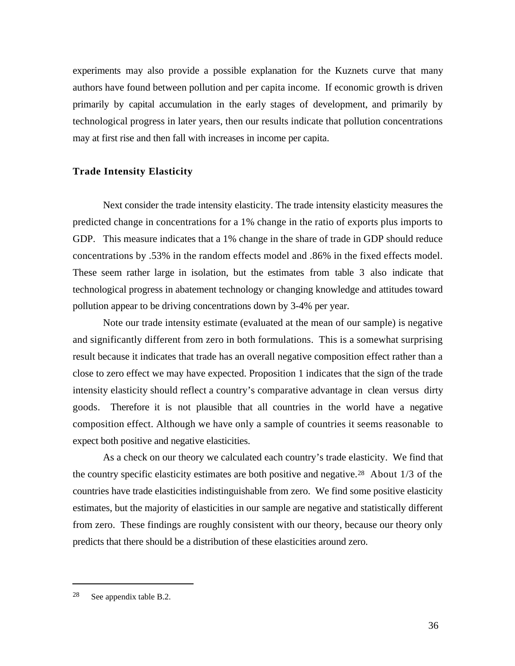experiments may also provide a possible explanation for the Kuznets curve that many authors have found between pollution and per capita income. If economic growth is driven primarily by capital accumulation in the early stages of development, and primarily by technological progress in later years, then our results indicate that pollution concentrations may at first rise and then fall with increases in income per capita.

#### **Trade Intensity Elasticity**

Next consider the trade intensity elasticity. The trade intensity elasticity measures the predicted change in concentrations for a 1% change in the ratio of exports plus imports to GDP. This measure indicates that a 1% change in the share of trade in GDP should reduce concentrations by .53% in the random effects model and .86% in the fixed effects model. These seem rather large in isolation, but the estimates from table 3 also indicate that technological progress in abatement technology or changing knowledge and attitudes toward pollution appear to be driving concentrations down by 3-4% per year.

Note our trade intensity estimate (evaluated at the mean of our sample) is negative and significantly different from zero in both formulations. This is a somewhat surprising result because it indicates that trade has an overall negative composition effect rather than a close to zero effect we may have expected. Proposition 1 indicates that the sign of the trade intensity elasticity should reflect a country's comparative advantage in clean versus dirty goods. Therefore it is not plausible that all countries in the world have a negative composition effect. Although we have only a sample of countries it seems reasonable to expect both positive and negative elasticities.

As a check on our theory we calculated each country's trade elasticity. We find that the country specific elasticity estimates are both positive and negative.28 About 1/3 of the countries have trade elasticities indistinguishable from zero. We find some positive elasticity estimates, but the majority of elasticities in our sample are negative and statistically different from zero. These findings are roughly consistent with our theory, because our theory only predicts that there should be a distribution of these elasticities around zero.

<sup>28</sup> See appendix table B.2.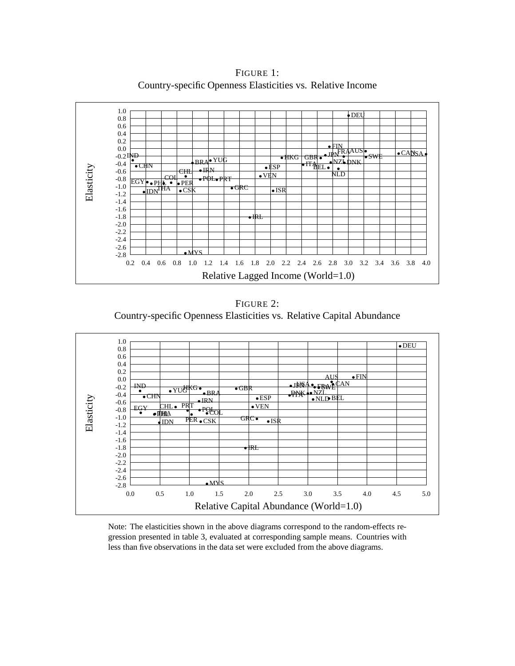Relative Lagged Income (World=1.0) Elasticity 0.2 0.4 0.6 0.8 1.0 1.2 1.4 1.6 1.8 2.0 2.2 2.4 2.6 2.8 3.0 3.2 3.4 3.6 3.8 4.0 -2.8 -2.6 -2.4 -2.2 -2.0 -1.8 -1.6 -1.4 -1.2 -1.0 -0.8 -0.6 -0.4  $-0.2$ II 0.0 0.2 0.4 0.6 0.8 1.0 MYS IRL **IDN<sup>I</sup>HA** •CSK •GRC •ISR  $\overline{\text{EGY}}\bullet\text{ }_{\text{P}}\text{ }_{\text{P}}\text{ }_{\text{P}}\bullet\text{ }_{\text{P}}\text{ }_{\text{P}}\text{ }_{\text{P}}\text{ }_{\text{P}}\text{ }_{\text{P}}\text{ }_{\text{P}}\text{ }_{\text{P}}\text{ }_{\text{P}}\text{ }_{\text{P}}\text{ }_{\text{P}}\text{ }_{\text{P}}$ CHL - IRN - ESP IRN PESP BELO .<br>Politics were very very number of the NLD  $\Gamma$ <sub>CHN</sub>  $\Gamma$ <sub>CHN</sub>  $\Gamma$  **ESP**  $\Gamma$ <sup>TT</sup> BEL BRA YUG THEO TABLE ON TABLE ON TABLE ON TABLE ON TABLE ON TABLE ON TABLE ON TABLE ON TABLE ON TABLE ON TABLE O<br>THE ONLY TABLE ON TABLE ON TABLE ON TABLE ON TABLE ON TABLE ON TABLE ON TABLE ON TABLE ON TABLE ON TABLE ON TA  $I_{\bullet}$  HKG  $GBR_{\bullet} \cdot I_{\bullet}$  SWE FIN<br>JPN CANUS SWE CANSA DEU

FIGURE 1: Country-specific Openness Elasticities vs. Relative Income

FIGURE 2: Country-specific Openness Elasticities vs. Relative Capital Abundance



Note: The elasticities shown in the above diagrams correspond to the random-effects regression presented in table 3, evaluated at corresponding sample means. Countries with less than five observations in the data set were excluded from the above diagrams.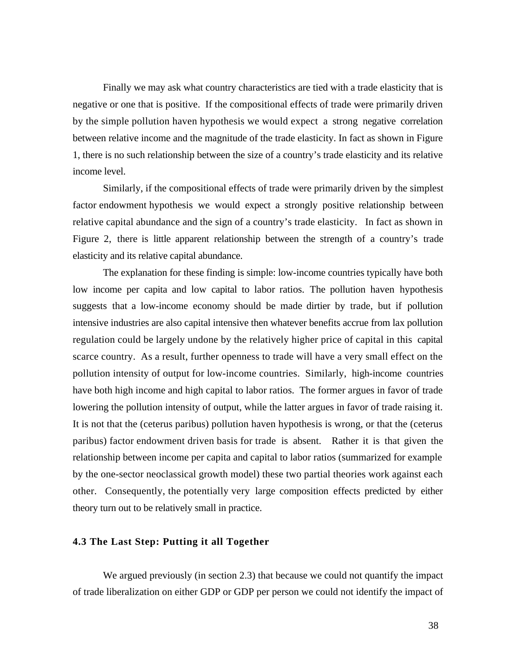Finally we may ask what country characteristics are tied with a trade elasticity that is negative or one that is positive. If the compositional effects of trade were primarily driven by the simple pollution haven hypothesis we would expect a strong negative correlation between relative income and the magnitude of the trade elasticity. In fact as shown in Figure 1, there is no such relationship between the size of a country's trade elasticity and its relative income level.

Similarly, if the compositional effects of trade were primarily driven by the simplest factor endowment hypothesis we would expect a strongly positive relationship between relative capital abundance and the sign of a country's trade elasticity. In fact as shown in Figure 2, there is little apparent relationship between the strength of a country's trade elasticity and its relative capital abundance.

The explanation for these finding is simple: low-income countries typically have both low income per capita and low capital to labor ratios. The pollution haven hypothesis suggests that a low-income economy should be made dirtier by trade, but if pollution intensive industries are also capital intensive then whatever benefits accrue from lax pollution regulation could be largely undone by the relatively higher price of capital in this capital scarce country. As a result, further openness to trade will have a very small effect on the pollution intensity of output for low-income countries. Similarly, high-income countries have both high income and high capital to labor ratios. The former argues in favor of trade lowering the pollution intensity of output, while the latter argues in favor of trade raising it. It is not that the (ceterus paribus) pollution haven hypothesis is wrong, or that the (ceterus paribus) factor endowment driven basis for trade is absent. Rather it is that given the relationship between income per capita and capital to labor ratios (summarized for example by the one-sector neoclassical growth model) these two partial theories work against each other. Consequently, the potentially very large composition effects predicted by either theory turn out to be relatively small in practice.

#### **4.3 The Last Step: Putting it all Together**

We argued previously (in section 2.3) that because we could not quantify the impact of trade liberalization on either GDP or GDP per person we could not identify the impact of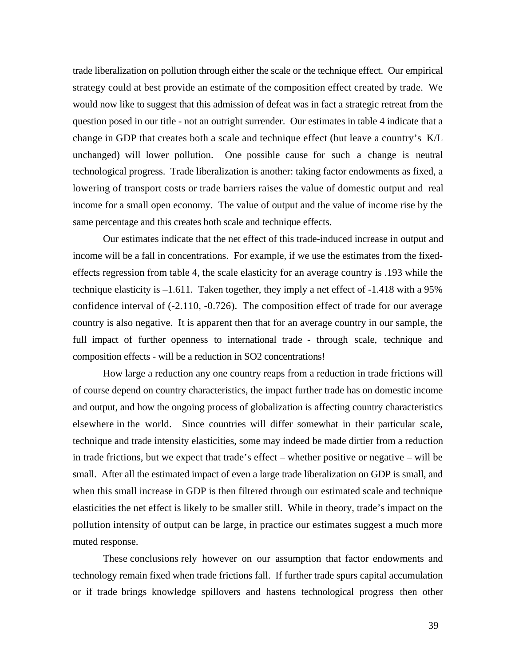trade liberalization on pollution through either the scale or the technique effect. Our empirical strategy could at best provide an estimate of the composition effect created by trade. We would now like to suggest that this admission of defeat was in fact a strategic retreat from the question posed in our title - not an outright surrender. Our estimates in table 4 indicate that a change in GDP that creates both a scale and technique effect (but leave a country's K/L unchanged) will lower pollution. One possible cause for such a change is neutral technological progress. Trade liberalization is another: taking factor endowments as fixed, a lowering of transport costs or trade barriers raises the value of domestic output and real income for a small open economy. The value of output and the value of income rise by the same percentage and this creates both scale and technique effects.

Our estimates indicate that the net effect of this trade-induced increase in output and income will be a fall in concentrations. For example, if we use the estimates from the fixedeffects regression from table 4, the scale elasticity for an average country is .193 while the technique elasticity is –1.611. Taken together, they imply a net effect of -1.418 with a 95% confidence interval of (-2.110, -0.726). The composition effect of trade for our average country is also negative. It is apparent then that for an average country in our sample, the full impact of further openness to international trade - through scale, technique and composition effects - will be a reduction in SO2 concentrations!

How large a reduction any one country reaps from a reduction in trade frictions will of course depend on country characteristics, the impact further trade has on domestic income and output, and how the ongoing process of globalization is affecting country characteristics elsewhere in the world. Since countries will differ somewhat in their particular scale, technique and trade intensity elasticities, some may indeed be made dirtier from a reduction in trade frictions, but we expect that trade's effect – whether positive or negative – will be small. After all the estimated impact of even a large trade liberalization on GDP is small, and when this small increase in GDP is then filtered through our estimated scale and technique elasticities the net effect is likely to be smaller still. While in theory, trade's impact on the pollution intensity of output can be large, in practice our estimates suggest a much more muted response.

These conclusions rely however on our assumption that factor endowments and technology remain fixed when trade frictions fall. If further trade spurs capital accumulation or if trade brings knowledge spillovers and hastens technological progress then other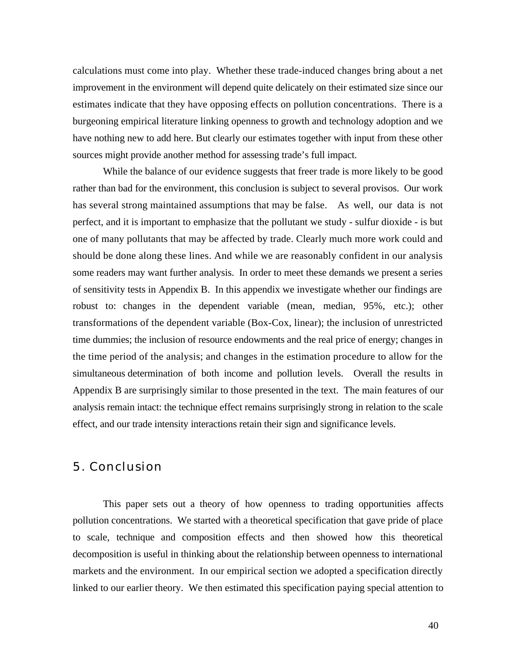calculations must come into play. Whether these trade-induced changes bring about a net improvement in the environment will depend quite delicately on their estimated size since our estimates indicate that they have opposing effects on pollution concentrations. There is a burgeoning empirical literature linking openness to growth and technology adoption and we have nothing new to add here. But clearly our estimates together with input from these other sources might provide another method for assessing trade's full impact.

While the balance of our evidence suggests that freer trade is more likely to be good rather than bad for the environment, this conclusion is subject to several provisos. Our work has several strong maintained assumptions that may be false. As well, our data is not perfect, and it is important to emphasize that the pollutant we study - sulfur dioxide - is but one of many pollutants that may be affected by trade. Clearly much more work could and should be done along these lines. And while we are reasonably confident in our analysis some readers may want further analysis. In order to meet these demands we present a series of sensitivity tests in Appendix B. In this appendix we investigate whether our findings are robust to: changes in the dependent variable (mean, median, 95%, etc.); other transformations of the dependent variable (Box-Cox, linear); the inclusion of unrestricted time dummies; the inclusion of resource endowments and the real price of energy; changes in the time period of the analysis; and changes in the estimation procedure to allow for the simultaneous determination of both income and pollution levels. Overall the results in Appendix B are surprisingly similar to those presented in the text. The main features of our analysis remain intact: the technique effect remains surprisingly strong in relation to the scale effect, and our trade intensity interactions retain their sign and significance levels.

## 5. Conclusion

This paper sets out a theory of how openness to trading opportunities affects pollution concentrations. We started with a theoretical specification that gave pride of place to scale, technique and composition effects and then showed how this theoretical decomposition is useful in thinking about the relationship between openness to international markets and the environment. In our empirical section we adopted a specification directly linked to our earlier theory. We then estimated this specification paying special attention to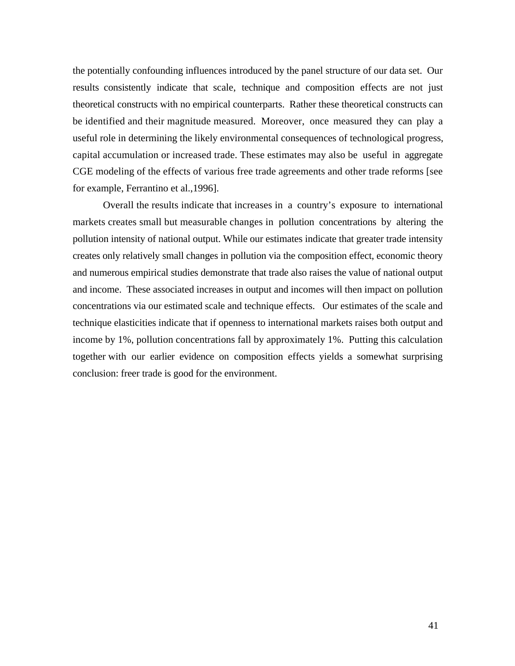the potentially confounding influences introduced by the panel structure of our data set. Our results consistently indicate that scale, technique and composition effects are not just theoretical constructs with no empirical counterparts. Rather these theoretical constructs can be identified and their magnitude measured. Moreover, once measured they can play a useful role in determining the likely environmental consequences of technological progress, capital accumulation or increased trade. These estimates may also be useful in aggregate CGE modeling of the effects of various free trade agreements and other trade reforms [see for example, Ferrantino et al.,1996].

Overall the results indicate that increases in a country's exposure to international markets creates small but measurable changes in pollution concentrations by altering the pollution intensity of national output. While our estimates indicate that greater trade intensity creates only relatively small changes in pollution via the composition effect, economic theory and numerous empirical studies demonstrate that trade also raises the value of national output and income. These associated increases in output and incomes will then impact on pollution concentrations via our estimated scale and technique effects. Our estimates of the scale and technique elasticities indicate that if openness to international markets raises both output and income by 1%, pollution concentrations fall by approximately 1%. Putting this calculation together with our earlier evidence on composition effects yields a somewhat surprising conclusion: freer trade is good for the environment.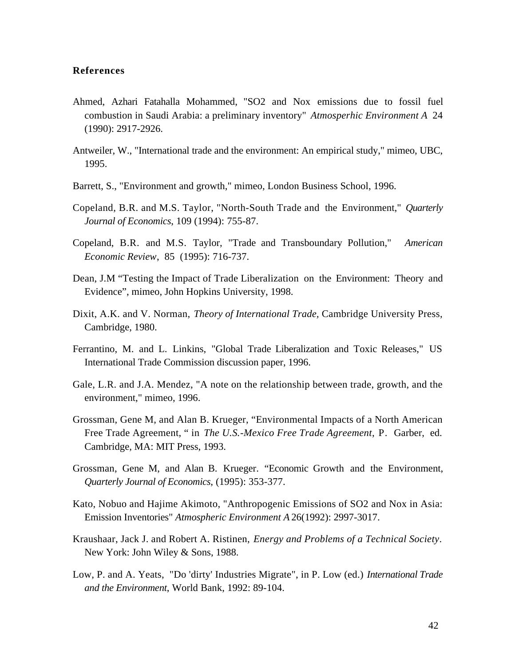#### **References**

- Ahmed, Azhari Fatahalla Mohammed, "SO2 and Nox emissions due to fossil fuel combustion in Saudi Arabia: a preliminary inventory" *Atmosperhic Environment A* 24 (1990): 2917-2926.
- Antweiler, W., "International trade and the environment: An empirical study," mimeo, UBC, 1995.
- Barrett, S., "Environment and growth," mimeo, London Business School, 1996.
- Copeland, B.R. and M.S. Taylor, "North-South Trade and the Environment," *Quarterly Journal of Economics*, 109 (1994): 755-87.
- Copeland, B.R. and M.S. Taylor, "Trade and Transboundary Pollution," *American Economic Review*, 85 (1995): 716-737.
- Dean, J.M "Testing the Impact of Trade Liberalization on the Environment: Theory and Evidence", mimeo, John Hopkins University, 1998.
- Dixit, A.K. and V. Norman, *Theory of International Trade,* Cambridge University Press, Cambridge, 1980.
- Ferrantino, M. and L. Linkins, "Global Trade Liberalization and Toxic Releases," US International Trade Commission discussion paper, 1996.
- Gale, L.R. and J.A. Mendez, "A note on the relationship between trade, growth, and the environment," mimeo, 1996.
- Grossman, Gene M, and Alan B. Krueger, "Environmental Impacts of a North American Free Trade Agreement, " in *The U.S.-Mexico Free Trade Agreement*, P. Garber, ed. Cambridge, MA: MIT Press, 1993.
- Grossman, Gene M, and Alan B. Krueger. "Economic Growth and the Environment, *Quarterly Journal of Economics*, (1995): 353-377.
- Kato, Nobuo and Hajime Akimoto, "Anthropogenic Emissions of SO2 and Nox in Asia: Emission Inventories" *Atmospheric Environment A* 26(1992): 2997-3017.
- Kraushaar, Jack J. and Robert A. Ristinen, *Energy and Problems of a Technical Society*. New York: John Wiley & Sons, 1988.
- Low, P. and A. Yeats, "Do 'dirty' Industries Migrate", in P. Low (ed.) *International Trade and the Environment*, World Bank, 1992: 89-104.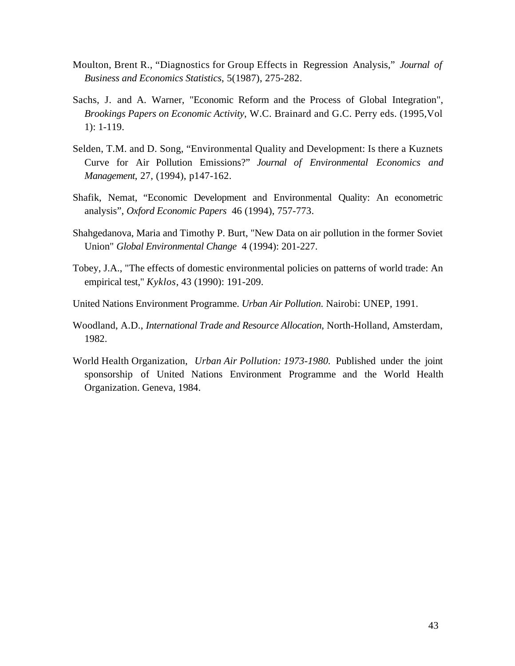- Moulton, Brent R., "Diagnostics for Group Effects in Regression Analysis," *Journal of Business and Economics Statistics*, 5(1987), 275-282.
- Sachs, J. and A. Warner, "Economic Reform and the Process of Global Integration", *Brookings Papers on Economic Activity*, W.C. Brainard and G.C. Perry eds. (1995,Vol 1): 1-119.
- Selden, T.M. and D. Song, "Environmental Quality and Development: Is there a Kuznets Curve for Air Pollution Emissions?" *Journal of Environmental Economics and Management*, 27, (1994), p147-162.
- Shafik, Nemat, "Economic Development and Environmental Quality: An econometric analysis", *Oxford Economic Papers* 46 (1994), 757-773.
- Shahgedanova, Maria and Timothy P. Burt, "New Data on air pollution in the former Soviet Union" *Global Environmental Change* 4 (1994): 201-227.
- Tobey, J.A., "The effects of domestic environmental policies on patterns of world trade: An empirical test," *Kyklos*, 43 (1990): 191-209.
- United Nations Environment Programme. *Urban Air Pollution*. Nairobi: UNEP, 1991.
- Woodland, A.D., *International Trade and Resource Allocation*, North-Holland, Amsterdam, 1982.
- World Health Organization, *Urban Air Pollution: 1973-1980.* Published under the joint sponsorship of United Nations Environment Programme and the World Health Organization. Geneva, 1984.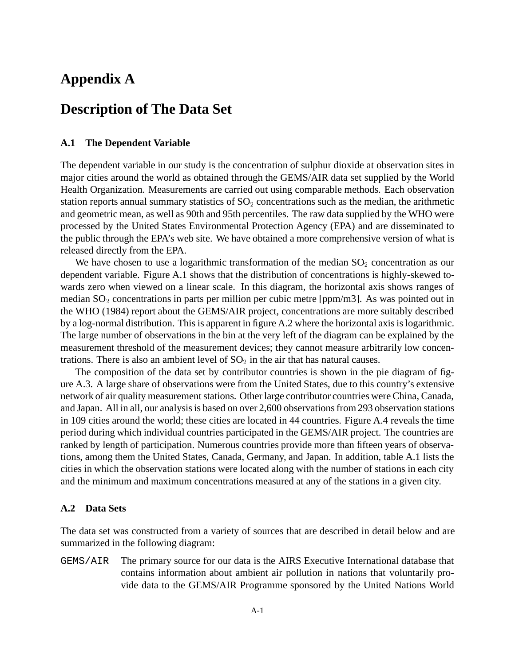# **Appendix A**

# **Description of The Data Set**

#### **A.1 The Dependent Variable**

The dependent variable in our study is the concentration of sulphur dioxide at observation sites in major cities around the world as obtained through the GEMS/AIR data set supplied by the World Health Organization. Measurements are carried out using comparable methods. Each observation station reports annual summary statistics of  $SO_2$  concentrations such as the median, the arithmetic and geometric mean, as well as 90th and 95th percentiles. The raw data supplied by the WHO were processed by the United States Environmental Protection Agency (EPA) and are disseminated to the public through the EPA's web site. We have obtained a more comprehensive version of what is released directly from the EPA.

We have chosen to use a logarithmic transformation of the median  $SO_2$  concentration as our dependent variable. Figure A.1 shows that the distribution of concentrations is highly-skewed towards zero when viewed on a linear scale. In this diagram, the horizontal axis shows ranges of median  $SO_2$  concentrations in parts per million per cubic metre [ppm/m3]. As was pointed out in the WHO (1984) report about the GEMS/AIR project, concentrations are more suitably described by a log-normal distribution. This is apparent in figure A.2 where the horizontal axis is logarithmic. The large number of observations in the bin at the very left of the diagram can be explained by the measurement threshold of the measurement devices; they cannot measure arbitrarily low concentrations. There is also an ambient level of  $SO<sub>2</sub>$  in the air that has natural causes.

The composition of the data set by contributor countries is shown in the pie diagram of figure A.3. A large share of observations were from the United States, due to this country's extensive network of air quality measurement stations. Other large contributor countries were China, Canada, and Japan. All in all, our analysis is based on over 2,600 observations from 293 observation stations in 109 cities around the world; these cities are located in 44 countries. Figure A.4 reveals the time period during which individual countries participated in the GEMS/AIR project. The countries are ranked by length of participation. Numerous countries provide more than fifteen years of observations, among them the United States, Canada, Germany, and Japan. In addition, table A.1 lists the cities in which the observation stations were located along with the number of stations in each city and the minimum and maximum concentrations measured at any of the stations in a given city.

#### **A.2 Data Sets**

The data set was constructed from a variety of sources that are described in detail below and are summarized in the following diagram:

GEMS/AIR The primary source for our data is the AIRS Executive International database that contains information about ambient air pollution in nations that voluntarily provide data to the GEMS/AIR Programme sponsored by the United Nations World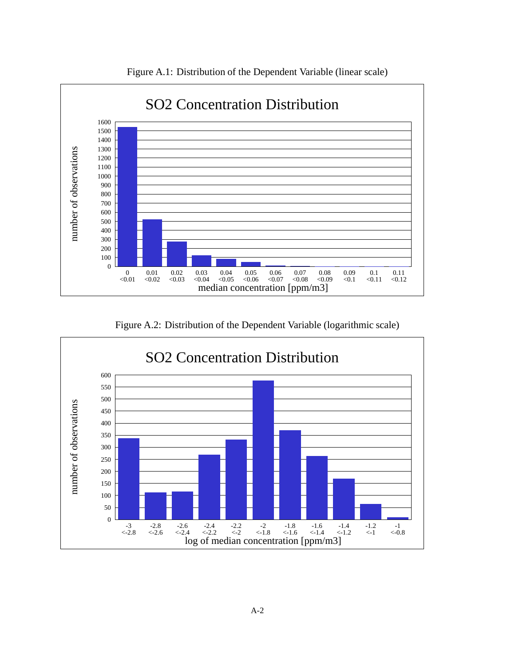

Figure A.1: Distribution of the Dependent Variable (linear scale)

Figure A.2: Distribution of the Dependent Variable (logarithmic scale)

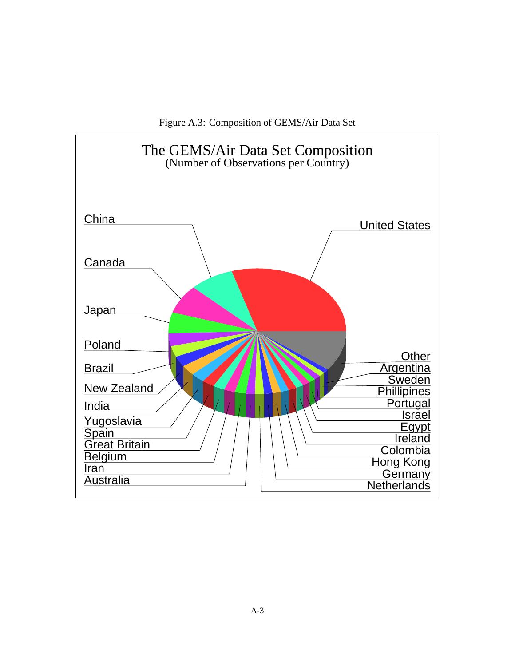Figure A.3: Composition of GEMS/Air Data Set

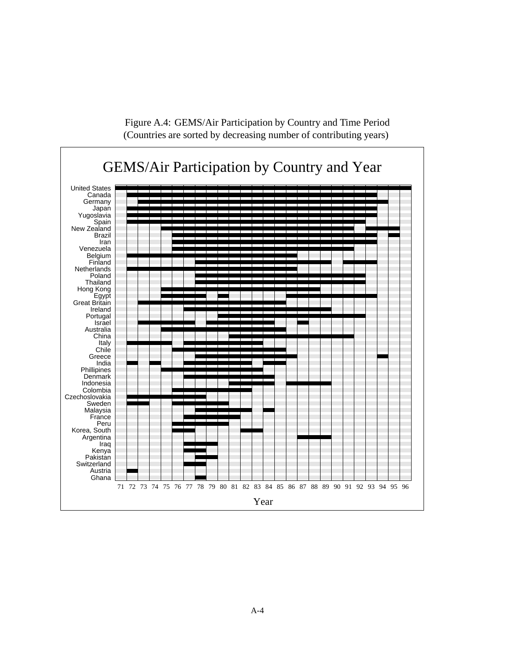

Figure A.4: GEMS/Air Participation by Country and Time Period (Countries are sorted by decreasing number of contributing years)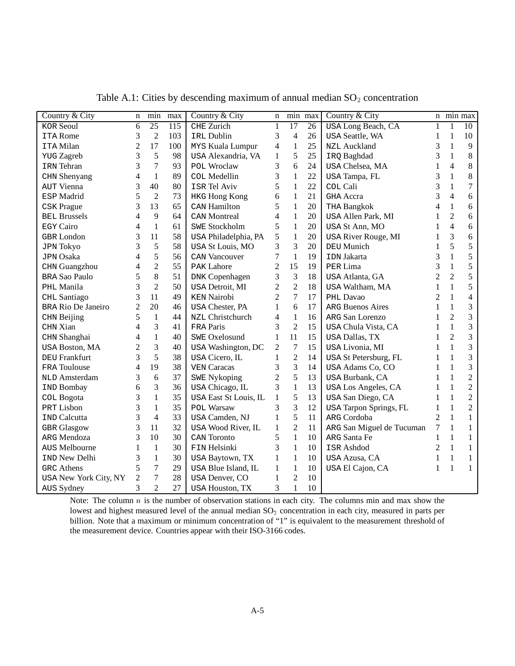| Country & City            | n              | min             | max | Country & City         | n              |                | min max | Country & City                |                | n min max      |                          |
|---------------------------|----------------|-----------------|-----|------------------------|----------------|----------------|---------|-------------------------------|----------------|----------------|--------------------------|
| <b>KOR Seoul</b>          | 6              | $\overline{25}$ | 115 | <b>CHE</b> Zurich      | $\mathbf{1}$   | 17             | 26      | USA Long Beach, CA            |                | 1              | 10                       |
| <b>ITA Rome</b>           | 3              | $\overline{2}$  | 103 | IRL Dublin             | 3              | $\overline{4}$ | 26      | <b>USA Seattle, WA</b>        | 1              | 1              | 10                       |
| <b>ITA Milan</b>          | $\overline{2}$ | 17              | 100 | MYS Kuala Lumpur       | 4              | 1              | 25      | <b>NZL Auckland</b>           | 3              | 1              | 9                        |
| <b>YUG</b> Zagreb         | 3              | 5               | 98  | USA Alexandria, VA     | $\mathbf{1}$   | 5              | 25      | IRQ Baghdad                   | 3              | 1              | 8                        |
| <b>IRN</b> Tehran         | 3              | 7               | 93  | POL Wroclaw            | 3              | 6              | 24      | USA Chelsea, MA               | 1              | 4              | $\,8$                    |
| CHN Shenyang              | 4              | $\mathbf{1}$    | 89  | <b>COL Medellin</b>    | 3              | 1              | 22      | USA Tampa, FL                 | 3              | 1              | $8\,$                    |
| <b>AUT Vienna</b>         | 3              | 40              | 80  | <b>ISR Tel Aviv</b>    | 5              | 1              | 22      | COL Cali                      | 3              | 1              | $\overline{7}$           |
| ESP Madrid                | 5              | $\overline{2}$  | 73  | <b>HKG Hong Kong</b>   | 6              | 1              | 21      | <b>GHA</b> Accra              | 3              | $\overline{4}$ | 6                        |
| <b>CSK</b> Prague         | 3              | 13              | 65  | CAN Hamilton           | 5              | 1              | 20      | THA Bangkok                   | 4              | $\mathbf{1}$   | 6                        |
| <b>BEL Brussels</b>       | 4              | 9               | 64  | <b>CAN Montreal</b>    | 4              | 1              | 20      | USA Allen Park, MI            | 1              | $\overline{c}$ | 6                        |
| <b>EGY Cairo</b>          | 4              | $\mathbf{1}$    | 61  | <b>SWE Stockholm</b>   | 5              | 1              | 20      | USA St Ann, MO                |                | $\overline{4}$ | $\epsilon$               |
| <b>GBR</b> London         | 3              | 11              | 58  | USA Philadelphia, PA   | 5              | 1              | 20      | USA River Rouge, MI           |                | 3              | 6                        |
| <b>JPN Tokyo</b>          | 3              | 5               | 58  | USA St Louis, MO       | 3              | 3              | 20      | DEU Munich                    | 1              | 5              | 5                        |
| <b>JPN</b> Osaka          | $\overline{4}$ | 5               | 56  | <b>CAN Vancouver</b>   | 7              | $\mathbf{1}$   | 19      | <b>IDN Jakarta</b>            | 3              | 1              | 5                        |
| CHN Guangzhou             | $\overline{4}$ | $\overline{2}$  | 55  | <b>PAK Lahore</b>      | $\overline{2}$ | 15             | 19      | PER Lima                      | 3              | $\mathbf{1}$   | 5                        |
| <b>BRA Sao Paulo</b>      | 5              | 8               | 51  | <b>DNK Copenhagen</b>  | 3              | 3              | 18      | USA Atlanta, GA               | $\overline{2}$ | $\overline{2}$ | 5                        |
| PHL Manila                | 3              | $\overline{2}$  | 50  | USA Detroit, MI        | $\overline{c}$ | $\overline{2}$ | 18      | USA Waltham, MA               | 1              | 1              | 5                        |
| CHL Santiago              | 3              | 11              | 49  | <b>KEN</b> Nairobi     | $\overline{2}$ | $\overline{7}$ | 17      | PHL Davao                     | $\overline{2}$ | $\mathbf{1}$   | $\overline{\mathcal{L}}$ |
| <b>BRA Rio De Janeiro</b> | $\overline{2}$ | 20              | 46  | <b>USA Chester, PA</b> | 1              | 6              | 17      | <b>ARG Buenos Aires</b>       | 1              | $\mathbf{1}$   | 3                        |
| CHN Beijing               | 5              | $\mathbf{1}$    | 44  | NZL Christchurch       | 4              | $\mathbf{1}$   | 16      | ARG San Lorenzo               | 1              | $\overline{2}$ | 3                        |
| CHN Xian                  | 4              | 3               | 41  | FRA Paris              | 3              | $\overline{2}$ | 15      | USA Chula Vista, CA           | 1              | $\mathbf{1}$   | 3                        |
| CHN Shanghai              | 4              | $\mathbf{1}$    | 40  | <b>SWE Oxelosund</b>   | $\mathbf{1}$   | 11             | 15      | USA Dallas, TX                |                | $\overline{2}$ | 3                        |
| <b>USA Boston, MA</b>     | $\overline{2}$ | $\overline{3}$  | 40  | USA Washington, DC     | $\overline{2}$ | 7              | 15      | USA Livonia, MI               |                | 1              | 3                        |
| <b>DEU Frankfurt</b>      | 3              | 5               | 38  | USA Cicero, IL         | 1              | $\overline{2}$ | 14      | USA St Petersburg, FL         | 1              | 1              | 3                        |
| <b>FRA</b> Toulouse       | $\overline{4}$ | 19              | 38  | <b>VEN Caracas</b>     | 3              | 3              | 14      | USA Adams Co, CO              |                | 1              | 3                        |
| NLD Amsterdam             | 3              | 6               | 37  | <b>SWE Nykoping</b>    | $\overline{2}$ | 5              | 13      | USA Burbank, CA               | 1              | 1              | $\overline{2}$           |
| <b>IND Bombay</b>         | 6              | 3               | 36  | USA Chicago, IL        | 3              | 1              | 13      | USA Los Angeles, CA           | 1              | $\mathbf{1}$   | $\overline{2}$           |
| <b>COL Bogota</b>         | 3              | $\mathbf{1}$    | 35  | USA East St Louis, IL  | 1              | 5              | 13      | USA San Diego, CA             | 1              | 1              | $\overline{2}$           |
| PRT Lisbon                | 3              | $\mathbf{1}$    | 35  | <b>POL Warsaw</b>      | 3              | 3              | 12      | <b>USA Tarpon Springs, FL</b> | 1              | 1              | $\overline{2}$           |
| <b>IND Calcutta</b>       | 3              | $\overline{4}$  | 33  | USA Camden, NJ         | 1              | 5              | 11      | ARG Cordoba                   | $\overline{2}$ | $\mathbf{1}$   | $\mathbf{1}$             |
| <b>GBR</b> Glasgow        | 3              | 11              | 32  | USA Wood River, IL     | 1              | $\overline{2}$ | 11      | ARG San Miguel de Tucuman     | 7              | 1              | $\mathbf{1}$             |
| ARG Mendoza               | 3              | 10              | 30  | CAN Toronto            | 5              | 1              | 10      | ARG Santa Fe                  | 1              | 1              | $\mathbf{1}$             |
| AUS Melbourne             | $\mathbf{1}$   | $\mathbf{1}$    | 30  | FIN Helsinki           | 3              | 1              | 10      | <b>ISR Ashdod</b>             | 2              | 1              | $\mathbf{1}$             |
| <b>IND New Delhi</b>      | 3              | $\mathbf{1}$    | 30  | USA Baytown, TX        | $\mathbf{1}$   | 1              | 10      | USA Azusa, CA                 | 1              | 1              | $\mathbf{1}$             |
| <b>GRC</b> Athens         | 5              | 7               | 29  | USA Blue Island, IL    | $\mathbf{1}$   | 1              | 10      | USA El Cajon, CA              | 1              | $\mathbf{1}$   | $\mathbf{1}$             |
| USA New York City, NY     | $\overline{2}$ | $\overline{7}$  | 28  | USA Denver, CO         | 1              | $\overline{c}$ | 10      |                               |                |                |                          |
| AUS Sydney                | 3              | $\overline{2}$  | 27  | <b>USA Houston, TX</b> | 3              | 1              | 10      |                               |                |                |                          |

Table A.1: Cities by descending maximum of annual median  $SO_2$  concentration

Note: The column  $n$  is the number of observation stations in each city. The columns min and max show the lowest and highest measured level of the annual median SO<sub>2</sub> concentration in each city, measured in parts per billion. Note that a maximum or minimum concentration of "1" is equivalent to the measurement threshold of the measurement device. Countries appear with their ISO-3166 codes.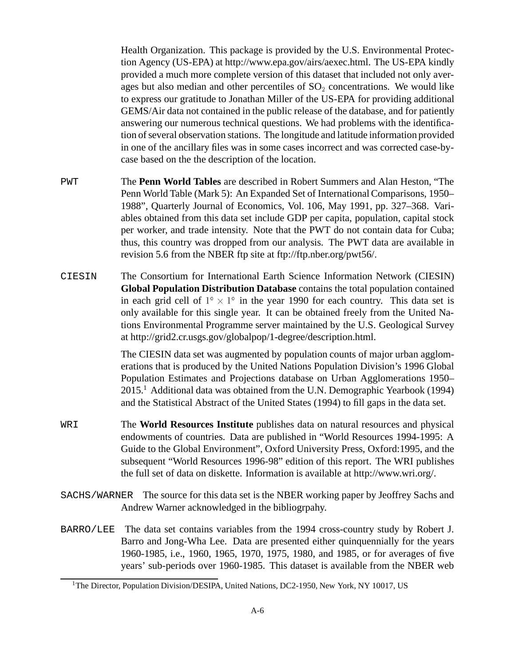Health Organization. This package is provided by the U.S. Environmental Protection Agency (US-EPA) at http://www.epa.gov/airs/aexec.html. The US-EPA kindly provided a much more complete version of this dataset that included not only averages but also median and other percentiles of  $SO<sub>2</sub>$  concentrations. We would like to express our gratitude to Jonathan Miller of the US-EPA for providing additional GEMS/Air data not contained in the public release of the database, and for patiently answering our numerous technical questions. We had problems with the identification of several observation stations. The longitude and latitude information provided in one of the ancillary files was in some cases incorrect and was corrected case-bycase based on the the description of the location.

- PWT The **Penn World Tables** are described in Robert Summers and Alan Heston, "The Penn World Table (Mark 5): An Expanded Set of International Comparisons, 1950– 1988", Quarterly Journal of Economics, Vol. 106, May 1991, pp. 327–368. Variables obtained from this data set include GDP per capita, population, capital stock per worker, and trade intensity. Note that the PWT do not contain data for Cuba; thus, this country was dropped from our analysis. The PWT data are available in revision 5.6 from the NBER ftp site at ftp://ftp.nber.org/pwt56/.
- CIESIN The Consortium for International Earth Science Information Network (CIESIN) **Global Population Distribution Database** contains the total population contained in each grid cell of  $1^{\circ} \times 1^{\circ}$  in the year 1990 for each country. This data set is only available for this single year. It can be obtained freely from the United Nations Environmental Programme server maintained by the U.S. Geological Survey at http://grid2.cr.usgs.gov/globalpop/1-degree/description.html.

The CIESIN data set was augmented by population counts of major urban agglomerations that is produced by the United Nations Population Division's 1996 Global Population Estimates and Projections database on Urban Agglomerations 1950– 2015.1 Additional data was obtained from the U.N. Demographic Yearbook (1994) and the Statistical Abstract of the United States (1994) to fill gaps in the data set.

- WRI The **World Resources Institute** publishes data on natural resources and physical endowments of countries. Data are published in "World Resources 1994-1995: A Guide to the Global Environment", Oxford University Press, Oxford:1995, and the subsequent "World Resources 1996-98" edition of this report. The WRI publishes the full set of data on diskette. Information is available at http://www.wri.org/.
- SACHS/WARNER The source for this data set is the NBER working paper by Jeoffrey Sachs and Andrew Warner acknowledged in the bibliogrpahy.
- BARRO/LEE The data set contains variables from the 1994 cross-country study by Robert J. Barro and Jong-Wha Lee. Data are presented either quinquennially for the years 1960-1985, i.e., 1960, 1965, 1970, 1975, 1980, and 1985, or for averages of five years' sub-periods over 1960-1985. This dataset is available from the NBER web

<sup>&</sup>lt;sup>1</sup>The Director, Population Division/DESIPA, United Nations, DC2-1950, New York, NY 10017, US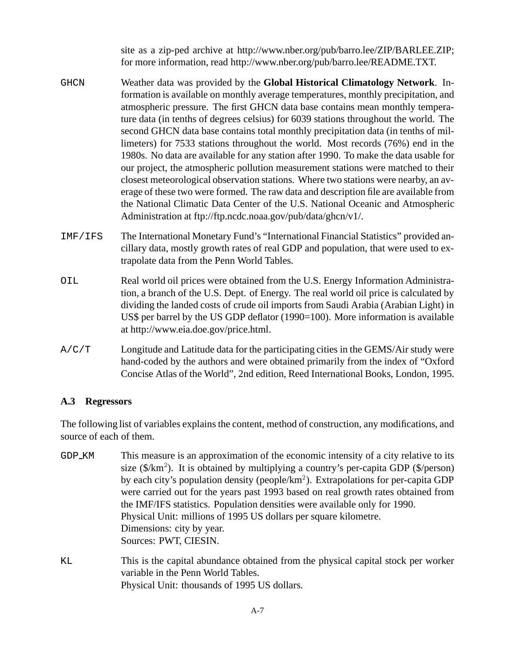site as a zip-ped archive at http://www.nber.org/pub/barro.lee/ZIP/BARLEE.ZIP; for more information, read http://www.nber.org/pub/barro.lee/README.TXT.

- GHCN Weather data was provided by the **Global Historical Climatology Network**. Information is available on monthly average temperatures, monthly precipitation, and atmospheric pressure. The first GHCN data base contains mean monthly temperature data (in tenths of degrees celsius) for 6039 stations throughout the world. The second GHCN data base contains total monthly precipitation data (in tenths of millimeters) for 7533 stations throughout the world. Most records (76%) end in the 1980s. No data are available for any station after 1990. To make the data usable for our project, the atmospheric pollution measurement stations were matched to their closest meteorological observation stations. Where two stations were nearby, an average of these two were formed. The raw data and description file are available from the National Climatic Data Center of the U.S. National Oceanic and Atmospheric Administration at ftp://ftp.ncdc.noaa.gov/pub/data/ghcn/v1/.
- IMF/IFS The International Monetary Fund's "International Financial Statistics" provided ancillary data, mostly growth rates of real GDP and population, that were used to extrapolate data from the Penn World Tables.
- OIL Real world oil prices were obtained from the U.S. Energy Information Administration, a branch of the U.S. Dept. of Energy. The real world oil price is calculated by dividing the landed costs of crude oil imports from Saudi Arabia (Arabian Light) in US\$ per barrel by the US GDP deflator (1990=100). More information is available at http://www.eia.doe.gov/price.html.
- A/C/T Longitude and Latitude data for the participating cities in the GEMS/Air study were hand-coded by the authors and were obtained primarily from the index of "Oxford Concise Atlas of the World", 2nd edition, Reed International Books, London, 1995.

#### **A.3 Regressors**

The following list of variables explains the content, method of construction, any modifications, and source of each of them.

- GDP KM This measure is an approximation of the economic intensity of a city relative to its size  $(\frac{1}{2}km^2)$ . It is obtained by multiplying a country's per-capita GDP ( $\frac{1}{2}km^2$ ). by each city's population density (people/km<sup>2</sup>). Extrapolations for per-capita GDP were carried out for the years past 1993 based on real growth rates obtained from the IMF/IFS statistics. Population densities were available only for 1990. Physical Unit: millions of 1995 US dollars per square kilometre. Dimensions: city by year. Sources: PWT, CIESIN.
- KL This is the capital abundance obtained from the physical capital stock per worker variable in the Penn World Tables. Physical Unit: thousands of 1995 US dollars.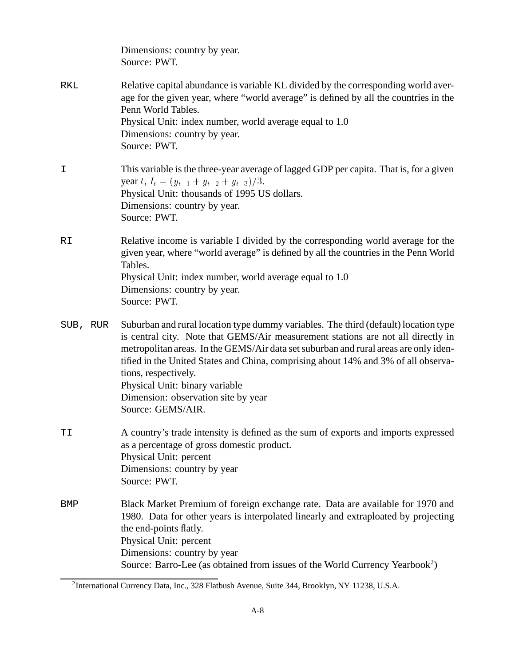|          | Dimensions: country by year.<br>Source: PWT.                                                                                                                                                                                                                                                                                                                                                                                                                                |
|----------|-----------------------------------------------------------------------------------------------------------------------------------------------------------------------------------------------------------------------------------------------------------------------------------------------------------------------------------------------------------------------------------------------------------------------------------------------------------------------------|
| RKL      | Relative capital abundance is variable KL divided by the corresponding world aver-<br>age for the given year, where "world average" is defined by all the countries in the<br>Penn World Tables.<br>Physical Unit: index number, world average equal to 1.0<br>Dimensions: country by year.<br>Source: PWT.                                                                                                                                                                 |
| I        | This variable is the three-year average of lagged GDP per capita. That is, for a given<br>year t, $I_t = (y_{t-1} + y_{t-2} + y_{t-3})/3$ .<br>Physical Unit: thousands of 1995 US dollars.<br>Dimensions: country by year.<br>Source: PWT.                                                                                                                                                                                                                                 |
| RI       | Relative income is variable I divided by the corresponding world average for the<br>given year, where "world average" is defined by all the countries in the Penn World<br>Tables.<br>Physical Unit: index number, world average equal to 1.0<br>Dimensions: country by year.<br>Source: PWT.                                                                                                                                                                               |
| SUB, RUR | Suburban and rural location type dummy variables. The third (default) location type<br>is central city. Note that GEMS/Air measurement stations are not all directly in<br>metropolitan areas. In the GEMS/Air data set suburban and rural areas are only iden-<br>tified in the United States and China, comprising about 14% and 3% of all observa-<br>tions, respectively.<br>Physical Unit: binary variable<br>Dimension: observation site by year<br>Source: GEMS/AIR. |
| ΤI       | A country's trade intensity is defined as the sum of exports and imports expressed<br>as a percentage of gross domestic product.<br>Physical Unit: percent<br>Dimensions: country by year<br>Source: PWT.                                                                                                                                                                                                                                                                   |
| BMP      | Black Market Premium of foreign exchange rate. Data are available for 1970 and<br>1980. Data for other years is interpolated linearly and extraploated by projecting<br>the end-points flatly.<br>Physical Unit: percent<br>Dimensions: country by year<br>Source: Barro-Lee (as obtained from issues of the World Currency Yearbook <sup>2</sup> )                                                                                                                         |

<sup>2</sup>International Currency Data, Inc., 328 Flatbush Avenue, Suite 344, Brooklyn, NY 11238, U.S.A.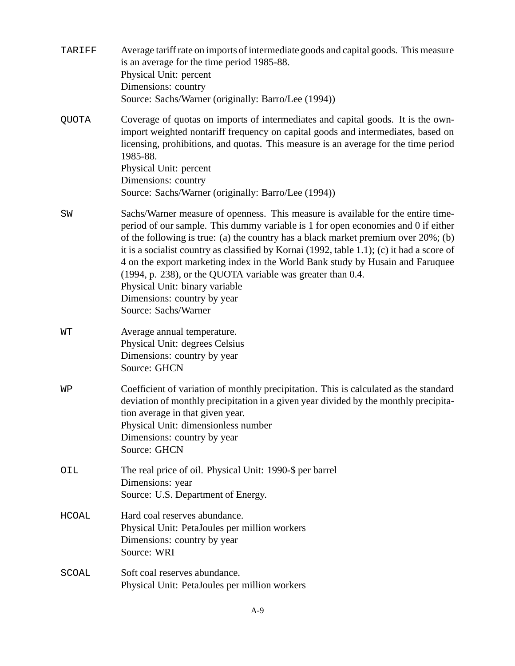| TARIFF       | Average tariff rate on imports of intermediate goods and capital goods. This measure<br>is an average for the time period 1985-88.<br>Physical Unit: percent<br>Dimensions: country<br>Source: Sachs/Warner (originally: Barro/Lee (1994))                                                                                                                                                                                                                                                                                                                                                              |
|--------------|---------------------------------------------------------------------------------------------------------------------------------------------------------------------------------------------------------------------------------------------------------------------------------------------------------------------------------------------------------------------------------------------------------------------------------------------------------------------------------------------------------------------------------------------------------------------------------------------------------|
| <b>QUOTA</b> | Coverage of quotas on imports of intermediates and capital goods. It is the own-<br>import weighted nontariff frequency on capital goods and intermediates, based on<br>licensing, prohibitions, and quotas. This measure is an average for the time period<br>1985-88.<br>Physical Unit: percent<br>Dimensions: country                                                                                                                                                                                                                                                                                |
|              | Source: Sachs/Warner (originally: Barro/Lee (1994))                                                                                                                                                                                                                                                                                                                                                                                                                                                                                                                                                     |
| SW           | Sachs/Warner measure of openness. This measure is available for the entire time-<br>period of our sample. This dummy variable is 1 for open economies and 0 if either<br>of the following is true: (a) the country has a black market premium over $20\%$ ; (b)<br>it is a socialist country as classified by Kornai (1992, table 1.1); (c) it had a score of<br>4 on the export marketing index in the World Bank study by Husain and Faruquee<br>(1994, p. 238), or the QUOTA variable was greater than 0.4.<br>Physical Unit: binary variable<br>Dimensions: country by year<br>Source: Sachs/Warner |
| WТ           | Average annual temperature.<br>Physical Unit: degrees Celsius<br>Dimensions: country by year<br>Source: GHCN                                                                                                                                                                                                                                                                                                                                                                                                                                                                                            |
| WΡ           | Coefficient of variation of monthly precipitation. This is calculated as the standard<br>deviation of monthly precipitation in a given year divided by the monthly precipita-<br>tion average in that given year.<br>Physical Unit: dimensionless number<br>Dimensions: country by year<br>Source: GHCN                                                                                                                                                                                                                                                                                                 |
| OIL          | The real price of oil. Physical Unit: 1990-\$ per barrel<br>Dimensions: year<br>Source: U.S. Department of Energy.                                                                                                                                                                                                                                                                                                                                                                                                                                                                                      |
| <b>HCOAL</b> | Hard coal reserves abundance.<br>Physical Unit: PetaJoules per million workers<br>Dimensions: country by year<br>Source: WRI                                                                                                                                                                                                                                                                                                                                                                                                                                                                            |
| SCOAL        | Soft coal reserves abundance.<br>Physical Unit: PetaJoules per million workers                                                                                                                                                                                                                                                                                                                                                                                                                                                                                                                          |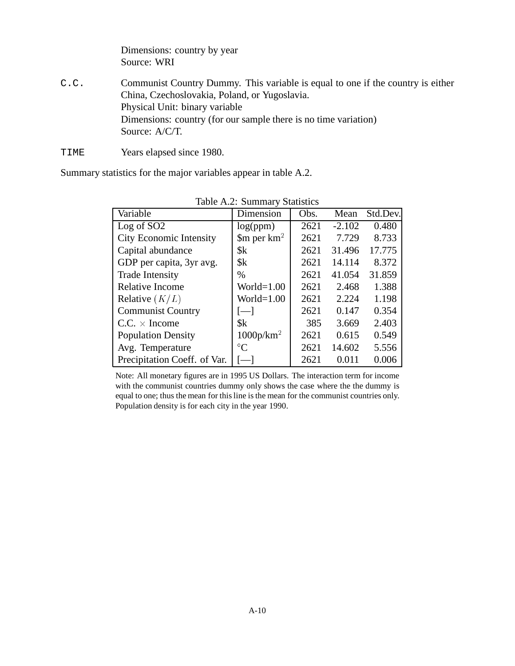Dimensions: country by year Source: WRI

- C.C. Communist Country Dummy. This variable is equal to one if the country is either China, Czechoslovakia, Poland, or Yugoslavia. Physical Unit: binary variable Dimensions: country (for our sample there is no time variation) Source: A/C/T.
- TIME Years elapsed since 1980.

Summary statistics for the major variables appear in table A.2.

| Table A.2. Building Statistics |                                                     |      |          |          |  |  |  |  |  |
|--------------------------------|-----------------------------------------------------|------|----------|----------|--|--|--|--|--|
| Variable                       | Dimension                                           | Obs. | Mean     | Std.Dev. |  |  |  |  |  |
| Log of SO <sub>2</sub>         | log(ppm)                                            | 2621 | $-2.102$ | 0.480    |  |  |  |  |  |
| <b>City Economic Intensity</b> | $\mathop{\mathrm{Sm}}\nolimits$ per km <sup>2</sup> | 2621 | 7.729    | 8.733    |  |  |  |  |  |
| Capital abundance              | \$k\$                                               | 2621 | 31.496   | 17.775   |  |  |  |  |  |
| GDP per capita, 3yr avg.       | $s_{k}$                                             | 2621 | 14.114   | 8.372    |  |  |  |  |  |
| <b>Trade Intensity</b>         | $\%$                                                | 2621 | 41.054   | 31.859   |  |  |  |  |  |
| <b>Relative Income</b>         | World= $1.00$                                       | 2621 | 2.468    | 1.388    |  |  |  |  |  |
| Relative $(K/L)$               | World= $1.00$                                       | 2621 | 2.224    | 1.198    |  |  |  |  |  |
| <b>Communist Country</b>       | $[-]$                                               | 2621 | 0.147    | 0.354    |  |  |  |  |  |
| $C.C. \times Income$           | $s_{k}$                                             | 385  | 3.669    | 2.403    |  |  |  |  |  |
| <b>Population Density</b>      | 1000p/km <sup>2</sup>                               | 2621 | 0.615    | 0.549    |  |  |  |  |  |
| Avg. Temperature               | $\rm ^{\circ}C$                                     | 2621 | 14.602   | 5.556    |  |  |  |  |  |
| Precipitation Coeff. of Var.   |                                                     | 2621 | 0.011    | 0.006    |  |  |  |  |  |

Table A.2: Summary Statistics

Note: All monetary figures are in 1995 US Dollars. The interaction term for income with the communist countries dummy only shows the case where the the dummy is equal to one; thus the mean for this line is the mean for the communist countries only. Population density is for each city in the year 1990.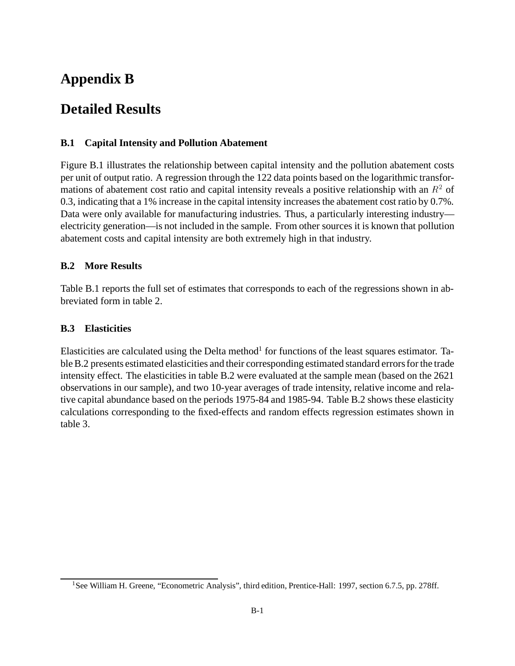# **Appendix B**

# **Detailed Results**

## **B.1 Capital Intensity and Pollution Abatement**

Figure B.1 illustrates the relationship between capital intensity and the pollution abatement costs per unit of output ratio. A regression through the 122 data points based on the logarithmic transformations of abatement cost ratio and capital intensity reveals a positive relationship with an  $R^2$  of 0.3, indicating that a 1% increase in the capital intensity increases the abatement cost ratio by 0.7%. Data were only available for manufacturing industries. Thus, a particularly interesting industry electricity generation—is not included in the sample. From other sources it is known that pollution abatement costs and capital intensity are both extremely high in that industry.

## **B.2 More Results**

Table B.1 reports the full set of estimates that corresponds to each of the regressions shown in abbreviated form in table 2.

### **B.3 Elasticities**

Elasticities are calculated using the Delta method<sup>1</sup> for functions of the least squares estimator. Table B.2 presents estimated elasticities and their corresponding estimated standard errors for the trade intensity effect. The elasticities in table B.2 were evaluated at the sample mean (based on the 2621 observations in our sample), and two 10-year averages of trade intensity, relative income and relative capital abundance based on the periods 1975-84 and 1985-94. Table B.2 shows these elasticity calculations corresponding to the fixed-effects and random effects regression estimates shown in table 3.

<sup>&</sup>lt;sup>1</sup>See William H. Greene, "Econometric Analysis", third edition, Prentice-Hall: 1997, section 6.7.5, pp. 278ff.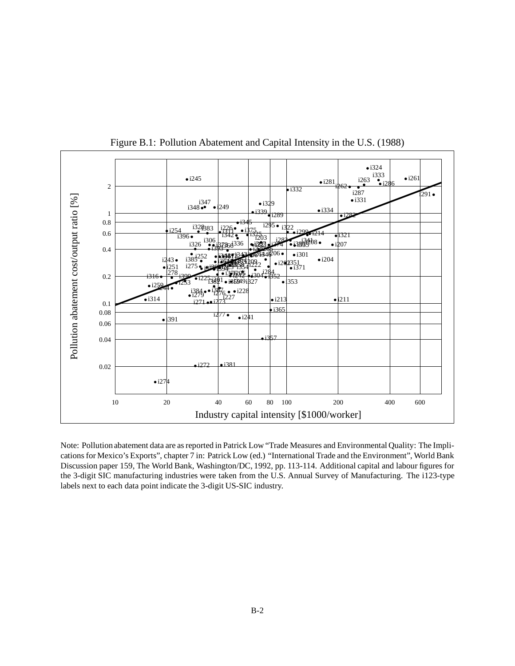

Figure B.1: Pollution Abatement and Capital Intensity in the U.S. (1988)

Note: Pollutionabatement data are as reported in Patrick Low "Trade Measures and Environmental Quality: The Implications for Mexico's Exports", chapter 7 in: Patrick Low (ed.) "International Trade and the Environment", World Bank Discussion paper 159, The World Bank, Washington/DC, 1992, pp. 113-114. Additional capital and labour figures for the 3-digit SIC manufacturing industries were taken from the U.S. Annual Survey of Manufacturing. The i123-type labels next to each data point indicate the 3-digit US-SIC industry.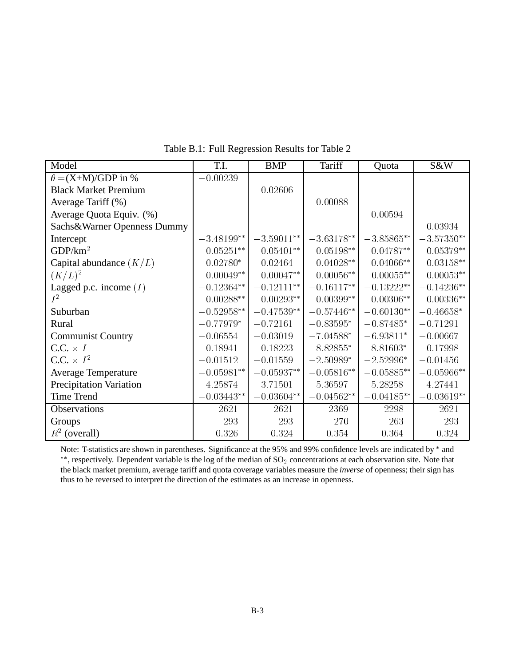| Model                          | T.I.         | <b>BMP</b>    | Tariff       | Quota         | S&W          |
|--------------------------------|--------------|---------------|--------------|---------------|--------------|
| $\theta = (X + M)/GDP$ in %    | $-0.00239$   |               |              |               |              |
| <b>Black Market Premium</b>    |              | 0.02606       |              |               |              |
| Average Tariff (%)             |              |               | 0.00088      |               |              |
| Average Quota Equiv. (%)       |              |               |              | 0.00594       |              |
| Sachs&Warner Openness Dummy    |              |               |              |               | 0.03934      |
| Intercept                      | $-3.48199**$ | $-3.59011***$ | $-3.63178**$ | $-3.85865***$ | $-3.57350**$ |
| GDP/km <sup>2</sup>            | $0.05251**$  | $0.05401**$   | $0.05198**$  | $0.04787**$   | $0.05379**$  |
| Capital abundance $(K/L)$      | $0.02780*$   | 0.02464       | $0.04028**$  | $0.04066**$   | $0.03158**$  |
| $(K/L)^2$                      | $-0.00049**$ | $-0.00047**$  | $-0.00056**$ | $-0.00055**$  | $-0.00053**$ |
| Lagged p.c. income $(I)$       | $-0.12364**$ | $-0.12111**$  | $-0.16117**$ | $-0.13222**$  | $-0.14236**$ |
| $I^2$                          | $0.00288**$  | $0.00293**$   | $0.00399**$  | $0.00306**$   | $0.00336**$  |
| Suburban                       | $-0.52958**$ | $-0.47539**$  | $-0.57446**$ | $-0.60130**$  | $-0.46658*$  |
| Rural                          | $-0.77979*$  | $-0.72161$    | $-0.83595*$  | $-0.87485*$   | $-0.71291$   |
| <b>Communist Country</b>       | $-0.06554$   | $-0.03019$    | $-7.04588*$  | $-6.93811*$   | $-0.00667$   |
| $C.C. \times I$                | 0.18941      | 0.18223       | 8.82855*     | 8.81603*      | 0.17998      |
| C.C. $\times$ $I^2$            | $-0.01512$   | $-0.01559$    | $-2.50989*$  | $-2.52996*$   | $-0.01456$   |
| <b>Average Temperature</b>     | $-0.05981**$ | $-0.05937**$  | $-0.05816**$ | $-0.05885**$  | $-0.05966**$ |
| <b>Precipitation Variation</b> | 4.25874      | 3.71501       | 5.36597      | 5.28258       | 4.27441      |
| <b>Time Trend</b>              | $-0.03443**$ | $-0.03604**$  | $-0.04562**$ | $-0.04185**$  | $-0.03619**$ |
| Observations                   | 2621         | 2621          | 2369         | 2298          | 2621         |
| Groups                         | 293          | 293           | 270          | 263           | 293          |
| $R^2$ (overall)                | 0.326        | 0.324         | 0.354        | 0.364         | 0.324        |

Table B.1: Full Regression Results for Table 2

Note: T-statistics are shown in parentheses. Significance at the 95% and 99% confidence levels are indicated by  $*$  and \*\*, respectively. Dependent variable is the log of the median of  $SO_2$  concentrations at each observation site. Note that the black market premium, average tariff and quota coverage variables measure the *inverse* of openness; their sign has thus to be reversed to interpret the direction of the estimates as an increase in openness.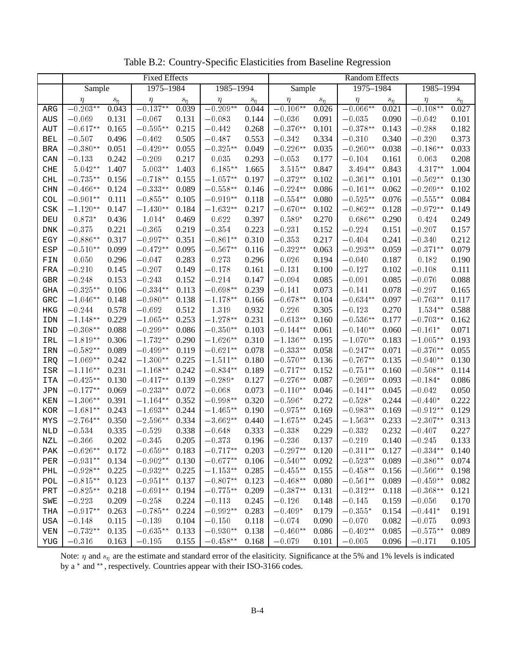|            | <b>Fixed Effects</b> |          |                     |          |            | Random Effects |             |           |               |          |             |          |
|------------|----------------------|----------|---------------------|----------|------------|----------------|-------------|-----------|---------------|----------|-------------|----------|
|            | Sample               |          | 1975-1984           |          | 1985-1994  |                | Sample      |           | $1975 - 1984$ |          | 1985-1994   |          |
|            | η                    | $s_\eta$ | $\eta$              | $s_\eta$ | η          | $s_\eta$       | $\eta$      | $s_\eta$  | η             | $s_\eta$ | η           | $s_\eta$ |
| ARG        | $-0.203**$           | 0.043    | $-0.137***$         | 0.039    | $-0.209**$ | 0.044          | $-0.106**$  | 0.026     | $-0.066**$    | 0.021    | $-0.108**$  | 0.027    |
| AUS        | $-0.069$             | 0.131    | $-0.067$            | 0.131    | $-0.083$   | 0.144          | $-0.036$    | 0.091     | $-0.035$      | 0.090    | $-0.042$    | 0.101    |
| AUT        | $-0.617**$           | 0.165    | $-0.595^{\ast\ast}$ | 0.215    | $-0.442$   | 0.268          | $-0.376**$  | 0.101     | $-0.378**$    | 0.143    | $-0.288$    | 0.182    |
| <b>BEL</b> | $-0.507$             | 0.496    | $-0.462$            | 0.505    | $-0.487$   | 0.553          | $-0.342$    | 0.334     | $-0.310$      | 0.340    | $-0.320$    | 0.373    |
| <b>BRA</b> | $-0.380**$           | 0.051    | $-0.429**$          | 0.055    | $-0.325**$ | 0.049          | $-0.226**$  | 0.035     | $-0.260**$    | 0.038    | $-0.186**$  | 0.033    |
| CAN        | $-0.133$             | 0.242    | $-0.209$            | 0.217    | 0.035      | 0.293          | $-0.053$    | 0.177     | $-0.104$      | 0.161    | 0.063       | 0.208    |
| CHE        | $5.042**$            | 1.407    | $5.003**$           | 1.403    | $6.185***$ | 1.665          | $3.515***$  | 0.847     | 3.494**       | 0.843    | 4.317**     | 1.004    |
| <b>CHL</b> | $-0.735**$           | 0.156    | $-0.718**$          | 0.155    | $-1.057**$ | 0.197          | $-0.372**$  | 0.102     | $-0.361**$    | 0.101    | $-0.562**$  | 0.130    |
| <b>CHN</b> | $-0.466**$           | 0.124    | $-0.333**$          | 0.089    | $-0.558**$ | 0.146          | $-0.224**$  | 0.086     | $-0.161**$    | 0.062    | $-0.269**$  | 0.102    |
| <b>COL</b> | $-0.901**$           | 0.111    | $-0.855***$         | 0.105    | $-0.919**$ | 0.118          | $-0.554**$  | 0.080     | $-0.525**$    | 0.076    | $-0.555***$ | 0.084    |
| CSK        | $-1.120**$           | 0.147    | $-1.430**$          | 0.184    | $-1.632**$ | 0.217          | $-0.670**$  | 0.102     | $-0.862**$    | 0.128    | $-0.972**$  | 0.149    |
| DEU        | $0.873*$             | 0.436    | $1.014*$            | 0.469    | 0.622      | 0.397          | $0.589*$    | 0.270     | $0.686**$     | 0.290    | 0.424       | 0.249    |
| <b>DNK</b> | $-0.375$             | 0.221    | $-0.365$            | 0.219    | $-0.354$   | 0.223          | $-0.231$    | 0.152     | $-0.224$      | 0.151    | $-0.207$    | 0.157    |
| EGY        | $-0.886**$           | 0.317    | $-0.997**$          | 0.351    | $-0.861**$ | 0.310          | $-0.353$    | 0.217     | $-0.404$      | 0.241    | $-0.340$    | 0.212    |
| <b>ESP</b> | $-0.510**$           | 0.099    | $-0.472**$          | 0.095    | $-0.567**$ | 0.116          | $-0.322**$  | 0.063     | $-0.293**$    | 0.059    | $-0.371**$  | 0.079    |
| FIN        | 0.050                | 0.296    | $-0.047$            | 0.283    | 0.273      | 0.296          | 0.026       | 0.194     | $-0.040$      | 0.187    | 0.182       | 0.190    |
| FRA        | $-0.210$             | 0.145    | $-0.207$            | 0.149    | $-0.178$   | 0.161          | $-0.131$    | 0.100     | $-0.127$      | 0.102    | $-0.108$    | 0.111    |
| <b>GBR</b> | $-0.248$             | 0.153    | $-0.243$            | 0.152    | $-0.214$   | 0.147          | $-0.094$    | 0.085     | $-0.091$      | 0.085    | $-0.076$    | 0.088    |
| <b>GHA</b> | $-0.325**$           | 0.106    | $-0.334**$          | 0.113    | $-0.698**$ | 0.239          | $-0.141$    | 0.073     | $-0.141$      | 0.078    | $-0.297$    | 0.165    |
| GRC        | $-1.046^{\ast\ast}$  | 0.148    | $-0.980**$          | 0.138    | $-1.178**$ | 0.166          | $-0.678**$  | 0.104     | $-0.634**$    | 0.097    | $-0.763**$  | 0.117    |
| HKG        | $-0.244$             | 0.578    | $-0.692$            | 0.512    | 1.319      | 0.932          | 0.226       | 0.305     | $-0.123$      | 0.270    | $1.534***$  | 0.588    |
| IDN        | $-1.148**$           | 0.229    | $-1.065***$         | 0.253    | $-1.278**$ | 0.231          | $-0.613**$  | 0.160     | $-0.536**$    | 0.177    | $-0.703**$  | 0.162    |
| IND        | $-0.308**$           | 0.088    | $-0.299**$          | 0.086    | $-0.350**$ | 0.103          | $-0.144**$  | 0.061     | $-0.140**$    | 0.060    | $-0.161*$   | 0.071    |
| IRL        | $-1.819**$           | 0.306    | $-1.732**$          | 0.290    | $-1.626**$ | 0.310          | $-1.136**$  | 0.195     | $-1.070**$    | 0.183    | $-1.005**$  | 0.193    |
| IRN        | $-0.582**$           | 0.089    | $-0.499**$          | 0.119    | $-0.621**$ | 0.078          | $-0.333**$  | 0.058     | $-0.247**$    | 0.071    | $-0.376**$  | 0.055    |
| IRQ        | $-1.069**$           | 0.242    | $-1.300**$          | 0.225    | $-1.511**$ | 0.180          | $-0.570**$  | 0.136     | $-0.767**$    | 0.135    | $-0.940**$  | 0.130    |
| ISR        | $-1.116**$           | 0.231    | $-1.168**$          | 0.242    | $-0.834**$ | 0.189          | $-0.717**$  | 0.152     | $-0.751**$    | 0.160    | $-0.508**$  | 0.114    |
| <b>ITA</b> | $-0.425**$           | 0.130    | $-0.417**$          | 0.139    | $-0.289*$  | 0.127          | $-0.276**$  | 0.087     | $-0.269**$    | 0.093    | $-0.184*$   | 0.086    |
| <b>JPN</b> | $-0.177**$           | 0.069    | $-0.233**$          | 0.072    | $-0.068$   | 0.073          | $-0.110**$  | 0.046     | $-0.141**$    | 0.045    | $-0.042$    | 0.050    |
| KEN        | $-1.306**$           | 0.391    | $-1.164**$          | 0.352    | $-0.998**$ | 0.320          | $-0.596*$   | 0.272     | $-0.528*$     | 0.244    | $-0.440*$   | 0.222    |
| KOR        | $-1.681**$           | 0.243    | $-1.693**$          | 0.244    | $-1.465**$ | 0.190          | $-0.975**$  | 0.169     | $-0.983**$    | 0.169    | $-0.912**$  | 0.129    |
| MYS        | $-2.764**$           | 0.350    | $-2.596^{\ast\ast}$ | 0.334    | $-3.662**$ | 0.440          | $-1.675**$  | 0.245     | $-1.563**$    | 0.233    | $-2.307**$  | 0.313    |
| <b>NLD</b> | $-0.534$             | 0.335    | $-0.529$            | 0.338    | $-0.648$   | 0.333          | $-0.338$    | 0.229     | $-0.332$      | 0.232    | $-0.407$    | 0.227    |
| NZL        | $-0.366$             | 0.202    | $-0.345$            | 0.205    | $-0.373$   | 0.196          | $-0.236$    | 0.137     | $-0.219$      | 0.140    | $-0.245$    | 0.133    |
| PAK        | $-0.626**$           | 0.172    | $-0.659**$          | 0.183    | $-0.717**$ | 0.203          | $-0.297**$  | 0.120     | $-0.311**$    | 0.127    | $-0.334**$  | 0.140    |
| PER        | $-0.931**$           | 0.134    | $-0.902**$          | 0.130    | $-0.677**$ | 0.106          | $-0.540**$  | 0.092     | $-0.523**$    | 0.089    | $-0.386**$  | 0.074    |
| PHL        | $-0.928**$           | 0.225    | $-0.932**$          | 0.225    | $-1.153**$ | 0.285          | $-0.455***$ | 0.155     | $-0.458**$    | 0.156    | $-0.566**$  | 0.198    |
| POL        | $-0.815***$          | 0.123    | $-0.951**$          | 0.137    | $-0.807**$ | 0.123          | $-0.468**$  | 0.080     | $-0.561**$    | 0.089    | $-0.459**$  | 0.082    |
| PRT        | $-0.825**$           | 0.218    | $-0.691**$          | 0.194    | $-0.775**$ | 0.209          | $-0.387**$  | 0.131     | $-0.312**$    | 0.118    | $-0.368**$  | 0.121    |
| SWE        | $-0.223$             | 0.209    | $-0.258$            | 0.224    | $-0.113$   | 0.245          | $-0.126$    | 0.148     | $-0.145$      | 0.159    | $-0.056$    | 0.170    |
| THA        | $-0.917**$           | 0.263    | $-0.785**$          | 0.224    | $-0.992**$ | 0.283          | $-0.409*$   | 0.179     | $-0.355*$     | 0.154    | $-0.441*$   | 0.191    |
| USA        | $-0.148$             | 0.115    | $-0.139$            | 0.104    | $-0.150$   | 0.118          | $-0.074$    | 0.090     | $-0.070$      | 0.082    | $-0.075$    | 0.093    |
| VEN        | $-0.732**$           | 0.135    | $-0.635**$          | 0.133    | $-0.930**$ | 0.138          | $-0.460**$  | 0.086     | $-0.402**$    | 0.085    | $-0.575**$  | 0.089    |
| YUG        | $-0.316$             | 0.163    | $-0.195$            | 0.155    | $-0.458**$ | 0.168          | $-0.079$    | $0.101\,$ | $-0.005$      | 0.096    | $-0.171$    | 0.105    |

Table B.2: Country-Specific Elasticities from Baseline Regression

Note:  $\eta$  and  $s_\eta$  are the estimate and standard error of the elasiticity. Significance at the 5% and 1% levels is indicated by a  $*$  and  $**$ , respectively. Countries appear with their ISO-3166 codes.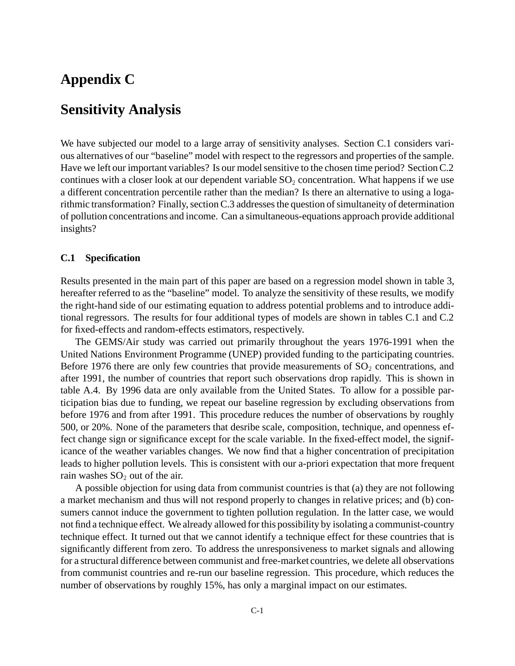# **Appendix C**

# **Sensitivity Analysis**

We have subjected our model to a large array of sensitivity analyses. Section C.1 considers various alternatives of our "baseline" model with respect to the regressors and properties of the sample. Have we left our important variables? Is our model sensitive to the chosen time period? Section C.2 continues with a closer look at our dependent variable  $SO<sub>2</sub>$  concentration. What happens if we use a different concentration percentile rather than the median? Is there an alternative to using a logarithmic transformation? Finally, section C.3 addresses the question of simultaneity of determination of pollution concentrations and income. Can a simultaneous-equations approach provide additional insights?

#### **C.1 Specification**

Results presented in the main part of this paper are based on a regression model shown in table 3, hereafter referred to as the "baseline" model. To analyze the sensitivity of these results, we modify the right-hand side of our estimating equation to address potential problems and to introduce additional regressors. The results for four additional types of models are shown in tables C.1 and C.2 for fixed-effects and random-effects estimators, respectively.

The GEMS/Air study was carried out primarily throughout the years 1976-1991 when the United Nations Environment Programme (UNEP) provided funding to the participating countries. Before 1976 there are only few countries that provide measurements of  $SO_2$  concentrations, and after 1991, the number of countries that report such observations drop rapidly. This is shown in table A.4. By 1996 data are only available from the United States. To allow for a possible participation bias due to funding, we repeat our baseline regression by excluding observations from before 1976 and from after 1991. This procedure reduces the number of observations by roughly 500, or 20%. None of the parameters that desribe scale, composition, technique, and openness effect change sign or significance except for the scale variable. In the fixed-effect model, the significance of the weather variables changes. We now find that a higher concentration of precipitation leads to higher pollution levels. This is consistent with our a-priori expectation that more frequent rain washes  $SO<sub>2</sub>$  out of the air.

A possible objection for using data from communist countries is that (a) they are not following a market mechanism and thus will not respond properly to changes in relative prices; and (b) consumers cannot induce the government to tighten pollution regulation. In the latter case, we would not find a technique effect. We already allowed for this possibility by isolating a communist-country technique effect. It turned out that we cannot identify a technique effect for these countries that is significantly different from zero. To address the unresponsiveness to market signals and allowing for a structural difference between communist and free-market countries, we delete all observations from communist countries and re-run our baseline regression. This procedure, which reduces the number of observations by roughly 15%, has only a marginal impact on our estimates.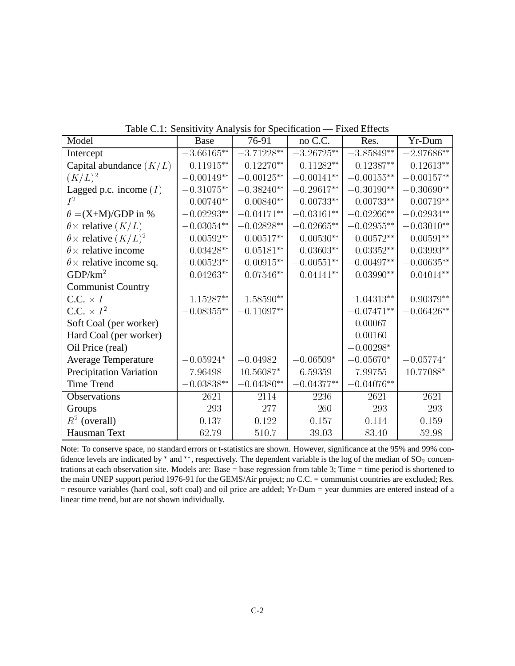| Model                               | raone C.I. Denbitry Primary bib for Decembation<br><b>Base</b> | 76-91           | no C.C.               | Res.          | Yr-Dum                |
|-------------------------------------|----------------------------------------------------------------|-----------------|-----------------------|---------------|-----------------------|
| Intercept                           | $-3.66165^{\ast\ast}$                                          | $-3.71228***$   | $-3.26725^{\ast\ast}$ | $-3.85849**$  | $-2.97686**$          |
| Capital abundance $(K/L)$           | $0.11915**$                                                    | $0.12270**$     | $0.11282**$           | $0.12387**$   | $0.12613**$           |
| $(K/L)^2$                           | $-0.00149**$                                                   | $-0.00125**$    | $-0.00141**$          | $-0.00155***$ | $-0.00157**$          |
| Lagged p.c. income $(I)$            | $-0.31075**$                                                   | $-0.38240**$    | $-0.29617**$          | $-0.30190**$  | $-0.30690**$          |
| $I^2$                               | $0.00740**$                                                    | $0.00840**$     | $0.00733**$           | $0.00733**$   | $0.00719**$           |
| $\theta = (X+M)/GDP$ in %           | $-0.02293**$                                                   | $-0.04171**$    | $-0.03161**$          | $-0.02266**$  | $-0.02934**$          |
| $\theta \times$ relative $(K/L)$    | $-0.03054^{**}\,$                                              | $-0.02828**$    | $-0.02665**$          | $-0.02955**$  | $-0.03010**$          |
| $\theta \times$ relative $(K/L)^2$  | $0.00592**$                                                    | $0.00517**$     | $0.00530**$           | $0.00572**$   | $0.00591**$           |
| $\theta \times$ relative income     | $0.03428**$                                                    | $0.05181**$     | $0.03603**$           | $0.03352**$   | $0.03993**$           |
| $\theta \times$ relative income sq. | $-0.00523**$                                                   | $-0.00915**$    | $-0.00551^{**}\,$     | $-0.00497**$  | $-0.00635^{**}$       |
| GDP/km <sup>2</sup>                 | $0.04263**$                                                    | $0.07546**$     | $0.04141**$           | $0.03990**$   | $0.04014**$           |
| <b>Communist Country</b>            |                                                                |                 |                       |               |                       |
| $C.C. \times I$                     | $1.15287**$                                                    | $1.58590**$     |                       | $1.04313**$   | $0.90379**$           |
| C.C. $\times I^2$                   | $-0.08355**$                                                   | $-0.11097^{**}$ |                       | $-0.07471**$  | $-0.06426^{\ast\ast}$ |
| Soft Coal (per worker)              |                                                                |                 |                       | 0.00067       |                       |
| Hard Coal (per worker)              |                                                                |                 |                       | 0.00160       |                       |
| Oil Price (real)                    |                                                                |                 |                       | $-0.00298*$   |                       |
| <b>Average Temperature</b>          | $-0.05924*$                                                    | $-0.04982$      | $-0.06509*$           | $-0.05670*$   | $-0.05774*$           |
| <b>Precipitation Variation</b>      | 7.96498                                                        | 10.56087*       | 6.59359               | 7.99755       | 10.77088*             |
| <b>Time Trend</b>                   | $-0.03838**$                                                   | $-0.04380**$    | $-0.04377**$          | $-0.04076**$  |                       |
| Observations                        | 2621                                                           | 2114            | 2236                  | 2621          | 2621                  |
| Groups                              | 293                                                            | 277             | 260                   | 293           | 293                   |
| $R^2$ (overall)                     | 0.137                                                          | 0.122           | 0.157                 | 0.114         | 0.159                 |
| Hausman Text                        | 62.79                                                          | 510.7           | 39.03                 | 83.40         | 52.98                 |

Table C.1: Sensitivity Analysis for Specification — Fixed Effects

Note: To conserve space, no standard errors or t-statistics are shown. However, significance at the 95% and 99% confidence levels are indicated by  $*$  and  $**$ , respectively. The dependent variable is the log of the median of  $SO_2$  concentrations at each observation site. Models are: Base = base regression from table 3; Time = time period is shortened to the main UNEP support period 1976-91 for the GEMS/Air project; no C.C. = communist countries are excluded; Res. = resource variables (hard coal, soft coal) and oil price are added; Yr-Dum = year dummies are entered instead of a linear time trend, but are not shown individually.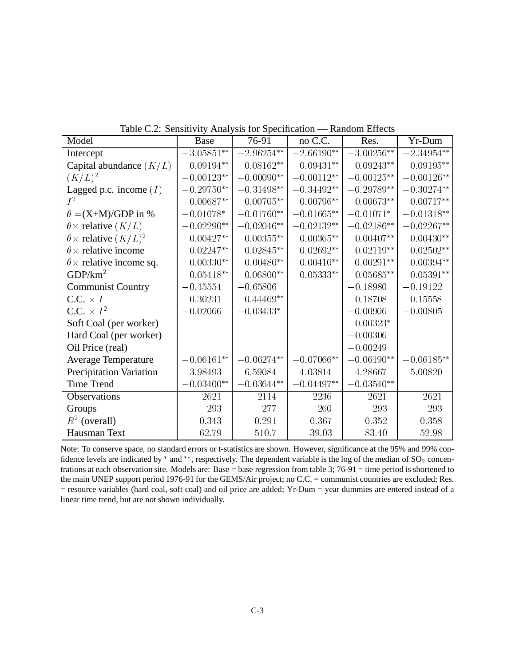| Model                               | <b>Base</b>  | $\ldots$<br>76-91 | no C.C.      | Res.                  | Yr-Dum          |
|-------------------------------------|--------------|-------------------|--------------|-----------------------|-----------------|
| Intercept                           | $-3.05851**$ | $-2.96254**$      | $-2.66190**$ | $-3.00256**$          | $-2.34954***$   |
| Capital abundance $(K/L)$           | $0.09194**$  | $0.08162**$       | $0.09431**$  | $0.09243**$           | $0.09195**$     |
| $(K/L)^2$                           | $-0.00123**$ | $-0.00090**$      | $-0.00112**$ | $-0.00125**$          | $-0.00126**$    |
| Lagged p.c. income $(I)$            | $-0.29750**$ | $-0.31498**$      | $-0.34492**$ | $-0.29789**$          | $-0.30274**$    |
| $I^2$                               | $0.00687**$  | $0.00705**$       | $0.00796**$  | $0.00673**$           | $0.00717**$     |
| $\theta = (X+M)/GDP$ in %           | $-0.01078*$  | $-0.01760**$      | $-0.01665**$ | $-0.01071*$           | $-0.01318^{**}$ |
| $\theta \times$ relative $(K/L)$    | $-0.02290**$ | $-0.02046**$      | $-0.02132**$ | $-0.02186**$          | $-0.02267**$    |
| $\theta \times$ relative $(K/L)^2$  | $0.00427**$  | $0.00355**$       | $0.00365**$  | $0.00407**$           | $0.00430**$     |
| $\theta \times$ relative income     | $0.02247**$  | $0.02845**$       | $0.02692**$  | $0.02119**$           | $0.02502**$     |
| $\theta \times$ relative income sq. | $-0.00330**$ | $-0.00480**$      | $-0.00410**$ | $-0.00291**$          | $-0.00394**$    |
| GDP/km <sup>2</sup>                 | $0.05418**$  | $0.06800**$       | $0.05333**$  | $0.05685**$           | $0.05391**$     |
| <b>Communist Country</b>            | $-0.45554$   | $-0.65806$        |              | $-0.18980$            | $-0.19122$      |
| $C.C. \times I$                     | 0.30231      | $0.44469**$       |              | 0.18708               | 0.15558         |
| C.C. $\times I^2$                   | $-0.02066$   | $-0.03433*$       |              | $-0.00906$            | $-0.00805$      |
| Soft Coal (per worker)              |              |                   |              | $0.00323*$            |                 |
| Hard Coal (per worker)              |              |                   |              | $-0.00306$            |                 |
| Oil Price (real)                    |              |                   |              | $-0.00249$            |                 |
| <b>Average Temperature</b>          | $-0.06161**$ | $-0.06274**$      | $-0.07066**$ | $-0.06190**$          | $-0.06185**$    |
| <b>Precipitation Variation</b>      | 3.98493      | 6.59084           | 4.03814      | 4.28667               | 5.00820         |
| <b>Time Trend</b>                   | $-0.03400**$ | $-0.03644**$      | $-0.04497**$ | $-0.03540^{\ast\ast}$ |                 |
| Observations                        | 2621         | 2114              | 2236         | 2621                  | 2621            |
| Groups                              | 293          | 277               | 260          | 293                   | 293             |
| $R^2$ (overall)                     | 0.343        | 0.291             | 0.367        | 0.352                 | 0.358           |
| Hausman Text                        | 62.79        | 510.7             | 39.03        | 83.40                 | 52.98           |

Table C.2: Sensitivity Analysis for Specification — Random Effects

Note: To conserve space, no standard errors or t-statistics are shown. However, significance at the 95% and 99% confidence levels are indicated by  $*$  and  $**$ , respectively. The dependent variable is the log of the median of  $SO_2$  concentrations at each observation site. Models are: Base = base regression from table 3; 76-91 = time period is shortened to the main UNEP support period 1976-91 for the GEMS/Air project; no C.C. = communist countries are excluded; Res. = resource variables (hard coal, soft coal) and oil price are added; Yr-Dum = year dummies are entered instead of a linear time trend, but are not shown individually.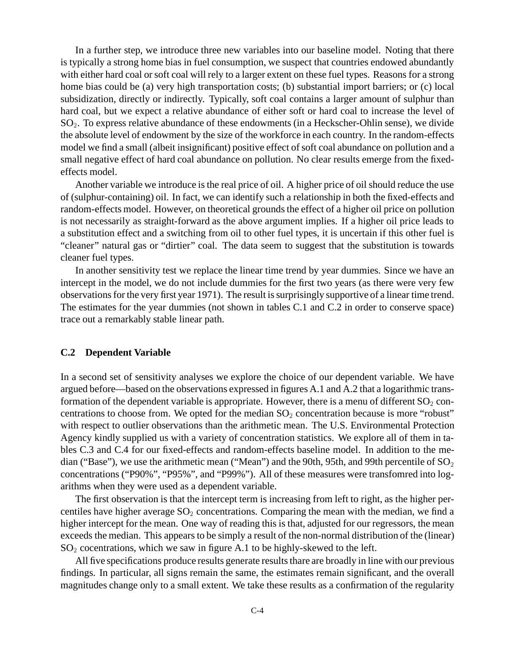In a further step, we introduce three new variables into our baseline model. Noting that there is typically a strong home bias in fuel consumption, we suspect that countries endowed abundantly with either hard coal or soft coal will rely to a larger extent on these fuel types. Reasons for a strong home bias could be (a) very high transportation costs; (b) substantial import barriers; or (c) local subsidization, directly or indirectly. Typically, soft coal contains a larger amount of sulphur than hard coal, but we expect a relative abundance of either soft or hard coal to increase the level of SO2. To express relative abundance of these endowments (in a Heckscher-Ohlin sense), we divide the absolute level of endowment by the size of the workforce in each country. In the random-effects model we find a small (albeit insignificant) positive effect of soft coal abundance on pollution and a small negative effect of hard coal abundance on pollution. No clear results emerge from the fixedeffects model.

Another variable we introduce is the real price of oil. A higher price of oil should reduce the use of (sulphur-containing) oil. In fact, we can identify such a relationship in both the fixed-effects and random-effects model. However, on theoretical grounds the effect of a higher oil price on pollution is not necessarily as straight-forward as the above argument implies. If a higher oil price leads to a substitution effect and a switching from oil to other fuel types, it is uncertain if this other fuel is "cleaner" natural gas or "dirtier" coal. The data seem to suggest that the substitution is towards cleaner fuel types.

In another sensitivity test we replace the linear time trend by year dummies. Since we have an intercept in the model, we do not include dummies for the first two years (as there were very few observations for the very first year 1971). The result is surprisingly supportive of a linear time trend. The estimates for the year dummies (not shown in tables C.1 and C.2 in order to conserve space) trace out a remarkably stable linear path.

#### **C.2 Dependent Variable**

In a second set of sensitivity analyses we explore the choice of our dependent variable. We have argued before—based on the observations expressed in figures A.1 and A.2 that a logarithmic transformation of the dependent variable is appropriate. However, there is a menu of different  $SO_2$  concentrations to choose from. We opted for the median  $SO_2$  concentration because is more "robust" with respect to outlier observations than the arithmetic mean. The U.S. Environmental Protection Agency kindly supplied us with a variety of concentration statistics. We explore all of them in tables C.3 and C.4 for our fixed-effects and random-effects baseline model. In addition to the median ("Base"), we use the arithmetic mean ("Mean") and the 90th, 95th, and 99th percentile of  $SO_2$ concentrations ("P90%", "P95%", and "P99%"). All of these measures were transfomred into logarithms when they were used as a dependent variable.

The first observation is that the intercept term is increasing from left to right, as the higher percentiles have higher average  $SO_2$  concentrations. Comparing the mean with the median, we find a higher intercept for the mean. One way of reading this is that, adjusted for our regressors, the mean exceeds the median. This appears to be simply a result of the non-normal distribution of the (linear)  $SO<sub>2</sub>$  cocentrations, which we saw in figure A.1 to be highly-skewed to the left.

All five specifications produce results generate results thare are broadly in line with our previous findings. In particular, all signs remain the same, the estimates remain significant, and the overall magnitudes change only to a small extent. We take these results as a confirmation of the regularity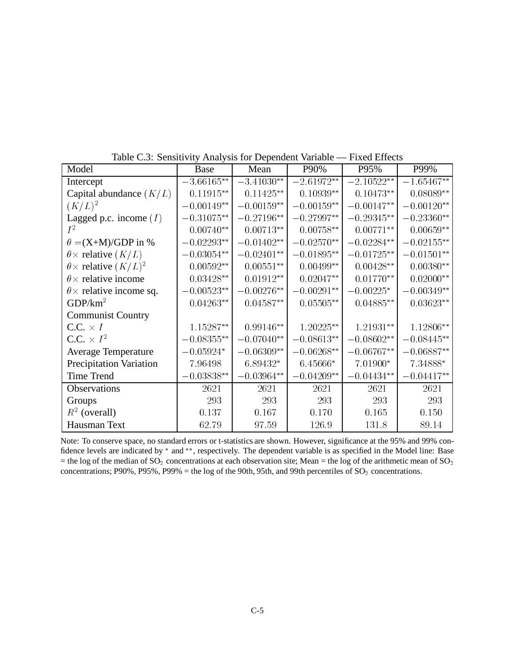| Model                               | Base          | Mean         | P90%         | P95%         | P99%         |
|-------------------------------------|---------------|--------------|--------------|--------------|--------------|
| Intercept                           | $-3.66165**$  | $-3.41030**$ | $-2.61972**$ | $-2.10522**$ | $-1.65467**$ |
| Capital abundance $(K/L)$           | $0.11915**$   | $0.11425**$  | $0.10939**$  | $0.10473**$  | $0.08089**$  |
| $(K/L)^2$                           | $-0.00149**$  | $-0.00159**$ | $-0.00159**$ | $-0.00147**$ | $-0.00120**$ |
| Lagged p.c. income $(I)$            | $-0.31075**$  | $-0.27196**$ | $-0.27997**$ | $-0.29345**$ | $-0.23360**$ |
| $I^2$                               | $0.00740**$   | $0.00713**$  | $0.00758**$  | $0.00771**$  | $0.00659**$  |
| $\theta = (X + M)/GDP$ in %         | $-0.02293**$  | $-0.01402**$ | $-0.02570**$ | $-0.02284**$ | $-0.02155**$ |
| $\theta \times$ relative $(K/L)$    | $-0.03054**$  | $-0.02401**$ | $-0.01895**$ | $-0.01725**$ | $-0.01501**$ |
| $\theta \times$ relative $(K/L)^2$  | $0.00592**$   | $0.00551**$  | $0.00499**$  | $0.00428**$  | $0.00380**$  |
| $\theta \times$ relative income     | $0.03428**$   | $0.01912**$  | $0.02047**$  | $0.01770**$  | $0.02000**$  |
| $\theta \times$ relative income sq. | $-0.00523**$  | $-0.00276**$ | $-0.00291**$ | $-0.00225*$  | $-0.00349**$ |
| GDP/km <sup>2</sup>                 | $0.04263**$   | $0.04587**$  | $0.05505**$  | $0.04885**$  | $0.03623**$  |
| <b>Communist Country</b>            |               |              |              |              |              |
| $C.C. \times I$                     | 1.15287**     | $0.99146**$  | 1.20225**    | $1.21931**$  | 1.12806**    |
| C.C. $\times I^2$                   | $-0.08355***$ | $-0.07040**$ | $-0.08613**$ | $-0.08602**$ | $-0.08445**$ |
| Average Temperature                 | $-0.05924*$   | $-0.06309**$ | $-0.06268**$ | $-0.06767**$ | $-0.06887**$ |
| <b>Precipitation Variation</b>      | 7.96498       | 6.89432*     | $6.45666*$   | 7.01900*     | 7.34888*     |
| <b>Time Trend</b>                   | $-0.03838**$  | $-0.03964**$ | $-0.04209**$ | $-0.04434**$ | $-0.04417**$ |
| Observations                        | 2621          | 2621         | 2621         | 2621         | 2621         |
| Groups                              | 293           | 293          | 293          | 293          | 293          |
| $R^2$ (overall)                     | 0.137         | 0.167        | 0.170        | 0.165        | 0.150        |
| Hausman Text                        | 62.79         | 97.59        | 126.9        | 131.8        | 89.14        |

Table C.3: Sensitivity Analysis for Dependent Variable — Fixed Effects

Note: To conserve space, no standard errors or t-statistics are shown. However, significance at the 95% and 99% confidence levels are indicated by  $*$  and  $**$ , respectively. The dependent variable is as specified in the Model line: Base = the log of the median of  $SO_2$  concentrations at each observation site; Mean = the log of the arithmetic mean of  $SO_2$ concentrations; P90%, P95%, P99% = the log of the 90th, 95th, and 99th percentiles of  $SO_2$  concentrations.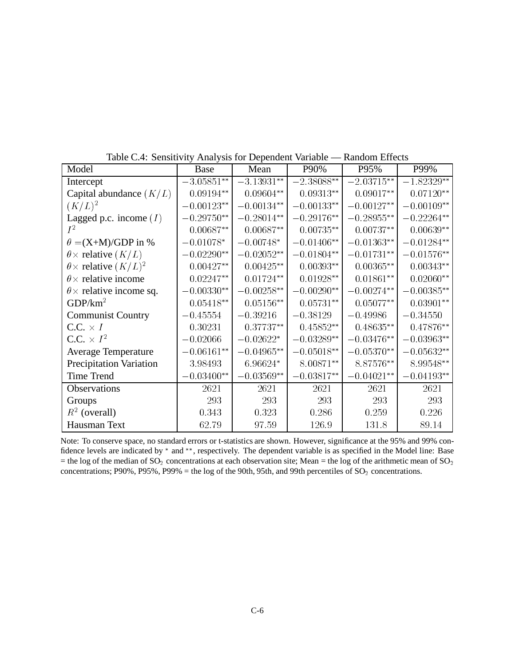| Model                               | Base         | Mean          | P90%         | P95%         | P99%         |
|-------------------------------------|--------------|---------------|--------------|--------------|--------------|
| Intercept                           | $-3.05851**$ | $-3.13931**$  | $-2.38088**$ | $-2.03715**$ | $-1.82329**$ |
| Capital abundance $(K/L)$           | $0.09194**$  | $0.09604**$   | $0.09313**$  | $0.09017**$  | $0.07120**$  |
| $(K/L)^2$                           | $-0.00123**$ | $-0.00134**$  | $-0.00133**$ | $-0.00127**$ | $-0.00109**$ |
| Lagged p.c. income $(I)$            | $-0.29750**$ | $-0.28014**$  | $-0.29176**$ | $-0.28955**$ | $-0.22264**$ |
| $I^2$                               | $0.00687**$  | $0.00687**$   | $0.00735**$  | $0.00737**$  | $0.00639**$  |
| $\theta = (X+M)/GDP$ in %           | $-0.01078*$  | $-0.00748*$   | $-0.01406**$ | $-0.01363**$ | $-0.01284**$ |
| $\theta \times$ relative $(K/L)$    | $-0.02290**$ | $-0.02052**$  | $-0.01804**$ | $-0.01731**$ | $-0.01576**$ |
| $\theta \times$ relative $(K/L)^2$  | $0.00427**$  | $0.00425**$   | $0.00393**$  | $0.00365**$  | $0.00343**$  |
| $\theta \times$ relative income     | $0.02247**$  | $0.01724**$   | $0.01928**$  | $0.01861**$  | $0.02060**$  |
| $\theta \times$ relative income sq. | $-0.00330**$ | $-0.00258***$ | $-0.00290**$ | $-0.00274**$ | $-0.00385**$ |
| GDP/km <sup>2</sup>                 | $0.05418**$  | $0.05156**$   | $0.05731**$  | $0.05077**$  | $0.03901**$  |
| <b>Communist Country</b>            | $-0.45554$   | $-0.39216$    | $-0.38129$   | $-0.49986$   | $-0.34550$   |
| $C.C. \times I$                     | 0.30231      | $0.37737**$   | $0.45852**$  | $0.48635**$  | $0.47876**$  |
| C.C. $\times I^2$                   | $-0.02066$   | $-0.02622*$   | $-0.03289**$ | $-0.03476**$ | $-0.03963**$ |
| Average Temperature                 | $-0.06161**$ | $-0.04965**$  | $-0.05018**$ | $-0.05370**$ | $-0.05632**$ |
| <b>Precipitation Variation</b>      | 3.98493      | 6.96624*      | 8.00871**    | 8.87576**    | 8.99548**    |
| <b>Time Trend</b>                   | $-0.03400**$ | $-0.03569**$  | $-0.03817**$ | $-0.04021**$ | $-0.04193**$ |
| Observations                        | 2621         | 2621          | 2621         | 2621         | 2621         |
| Groups                              | 293          | 293           | 293          | 293          | 293          |
| $R^2$ (overall)                     | 0.343        | 0.323         | 0.286        | 0.259        | 0.226        |
| Hausman Text                        | 62.79        | 97.59         | 126.9        | 131.8        | 89.14        |

Table C.4: Sensitivity Analysis for Dependent Variable — Random Effects

Note: To conserve space, no standard errors or t-statistics are shown. However, significance at the 95% and 99% confidence levels are indicated by  $*$  and  $**$ , respectively. The dependent variable is as specified in the Model line: Base = the log of the median of  $SO_2$  concentrations at each observation site; Mean = the log of the arithmetic mean of  $SO_2$ concentrations; P90%, P95%, P99% = the log of the 90th, 95th, and 99th percentiles of  $SO_2$  concentrations.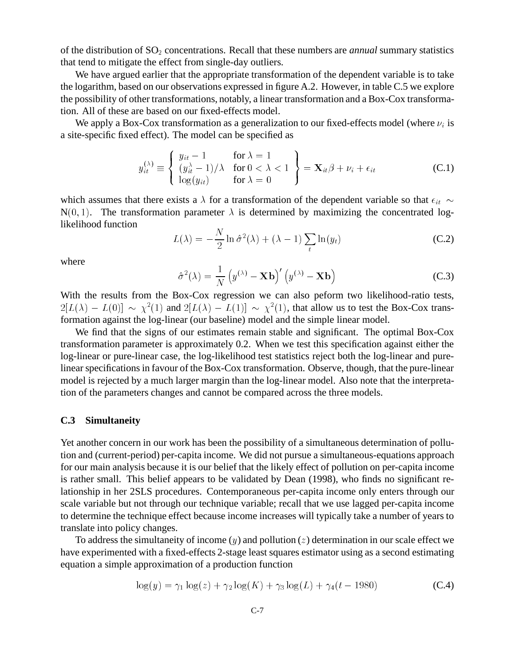of the distribution of SO<sub>2</sub> concentrations. Recall that these numbers are *annual* summary statistics that tend to mitigate the effect from single-day outliers.

We have argued earlier that the appropriate transformation of the dependent variable is to take the logarithm, based on our observations expressed in figure A.2. However, in table C.5 we explore the possibility of other transformations, notably, a linear transformation and a Box-Cox transformation. All of these are based on our fixed-effects model.

We apply a Box-Cox transformation as a generalization to our fixed-effects model (where  $\nu_i$  is a site-specific fixed effect). The model can be specified as

$$
y_{it}^{(\lambda)} \equiv \begin{cases} y_{it} - 1 & \text{for } \lambda = 1 \\ (y_{it}^{\lambda} - 1)/\lambda & \text{for } 0 < \lambda < 1 \\ \log(y_{it}) & \text{for } \lambda = 0 \end{cases} = \mathbf{X}_{it}\beta + \nu_i + \epsilon_{it}
$$
 (C.1)

which assumes that there exists a  $\lambda$  for a transformation of the dependent variable so that  $\epsilon_{it} \sim$  $N(0, 1)$ . The transformation parameter  $\lambda$  is determined by maximizing the concentrated loglikelihood function  $\overline{1}$ 

$$
L(\lambda) = -\frac{N}{2}\ln \hat{\sigma}^2(\lambda) + (\lambda - 1)\sum_{t} \ln(y_t)
$$
 (C.2)

where

$$
\hat{\sigma}^2(\lambda) = \frac{1}{N} \left( y^{(\lambda)} - \mathbf{X} \mathbf{b} \right)' \left( y^{(\lambda)} - \mathbf{X} \mathbf{b} \right)
$$
 (C.3)

With the results from the Box-Cox regression we can also peform two likelihood-ratio tests,  $2[L(\lambda) - L(0)] \sim \chi^2(1)$  and  $2[L(\lambda) - L(1)] \sim \chi^2(1)$ , that allow us to test the Box-Cox transformation against the log-linear (our baseline) model and the simple linear model.

We find that the signs of our estimates remain stable and significant. The optimal Box-Cox transformation parameter is approximately 0.2. When we test this specification against either the log-linear or pure-linear case, the log-likelihood test statistics reject both the log-linear and purelinear specifications in favour of the Box-Cox transformation. Observe, though, that the pure-linear model is rejected by a much larger margin than the log-linear model. Also note that the interpretation of the parameters changes and cannot be compared across the three models.

#### **C.3 Simultaneity**

Yet another concern in our work has been the possibility of a simultaneous determination of pollution and (current-period) per-capita income. We did not pursue a simultaneous-equations approach for our main analysis because it is our belief that the likely effect of pollution on per-capita income is rather small. This belief appears to be validated by Dean (1998), who finds no significant relationship in her 2SLS procedures. Contemporaneous per-capita income only enters through our scale variable but not through our technique variable; recall that we use lagged per-capita income to determine the technique effect because income increases will typically take a number of years to translate into policy changes.

To address the simultaneity of income  $(y)$  and pollution  $(z)$  determination in our scale effect we have experimented with a fixed-effects 2-stage least squares estimator using as a second estimating equation a simple approximation of a production function

$$
\log(y) = \gamma_1 \log(z) + \gamma_2 \log(K) + \gamma_3 \log(L) + \gamma_4(t - 1980)
$$
 (C.4)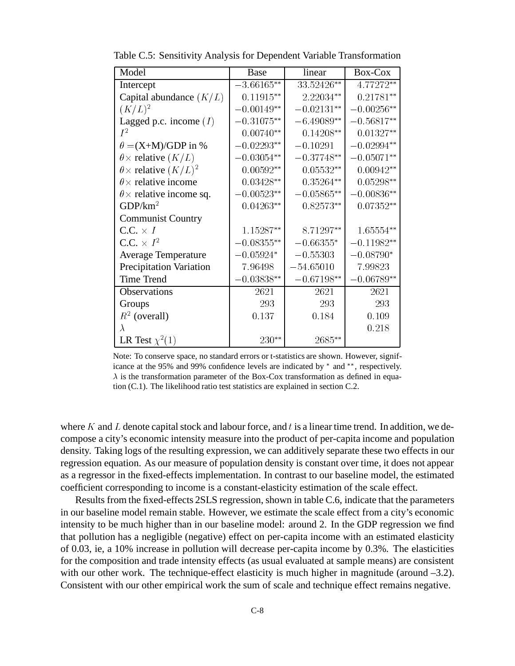| Model                               | <b>Base</b>  | linear       | Box-Cox      |
|-------------------------------------|--------------|--------------|--------------|
| Intercept                           | $-3.66165**$ | 33.52426**   | 4.77272**    |
| Capital abundance $(K/L)$           | $0.11915**$  | 2.22034**    | $0.21781**$  |
| $(K/L)^2$                           | $-0.00149**$ | $-0.02131**$ | $-0.00256**$ |
| Lagged p.c. income $(I)$            | $0.31075**$  | $-6.49089**$ | $0.56817**$  |
| $I^2$                               | $0.00740**$  | $0.14208**$  | $0.01327**$  |
| $\theta = (X+M)/GDP$ in %           | $-0.02293**$ | $-0.10291$   | $-0.02994**$ |
| $\theta \times$ relative $(K/L)$    | $-0.03054**$ | $-0.37748**$ | $-0.05071**$ |
| $\theta \times$ relative $(K/L)^2$  | $0.00592**$  | $0.05532**$  | $0.00942**$  |
| $\theta \times$ relative income     | $0.03428**$  | $0.35264**$  | $0.05298**$  |
| $\theta \times$ relative income sq. | $-0.00523**$ | $-0.05865**$ | $-0.00836**$ |
| GDP/km <sup>2</sup>                 | $0.04263**$  | $0.82573**$  | $0.07352**$  |
| <b>Communist Country</b>            |              |              |              |
| $C.C. \times I$                     | $1.15287**$  | 8.71297**    | $1.65554**$  |
| C.C. $\times I^2$                   | $-0.08355**$ | $-0.66355*$  | $-0.11982**$ |
| <b>Average Temperature</b>          | $-0.05924*$  | $-0.55303$   | $0.08790*$   |
| <b>Precipitation Variation</b>      | 7.96498      | $-54.65010$  | 7.99823      |
| <b>Time Trend</b>                   | $-0.03838**$ | $-0.67198**$ | $0.06789**$  |
| Observations                        | 2621         | 2621         | 2621         |
| Groups                              | 293          | 293          | 293          |
| $R^2$ (overall)                     | 0.137        | 0.184        | 0.109        |
| $\lambda$                           |              |              | 0.218        |
| LR Test $\chi^2(1)$                 | 230**        | 2685**       |              |

Table C.5: Sensitivity Analysis for Dependent Variable Transformation

Note: To conserve space, no standard errors or t-statistics are shown. However, significance at the 95% and 99% confidence levels are indicated by  $*$  and  $**$ , respectively.  $\lambda$  is the transformation parameter of the Box-Cox transformation as defined in equation (C.1). The likelihood ratio test statistics are explained in section C.2.

where K and L denote capital stock and labour force, and t is a linear time trend. In addition, we decompose a city's economic intensity measure into the product of per-capita income and population density. Taking logs of the resulting expression, we can additively separate these two effects in our regression equation. As our measure of population density is constant over time, it does not appear as a regressor in the fixed-effects implementation. In contrast to our baseline model, the estimated coefficient corresponding to income is a constant-elasticity estimation of the scale effect.

Results from the fixed-effects 2SLS regression, shown in table C.6, indicate that the parameters in our baseline model remain stable. However, we estimate the scale effect from a city's economic intensity to be much higher than in our baseline model: around 2. In the GDP regression we find that pollution has a negligible (negative) effect on per-capita income with an estimated elasticity of 0.03, ie, a 10% increase in pollution will decrease per-capita income by 0.3%. The elasticities for the composition and trade intensity effects (as usual evaluated at sample means) are consistent with our other work. The technique-effect elasticity is much higher in magnitude (around -3.2). Consistent with our other empirical work the sum of scale and technique effect remains negative.